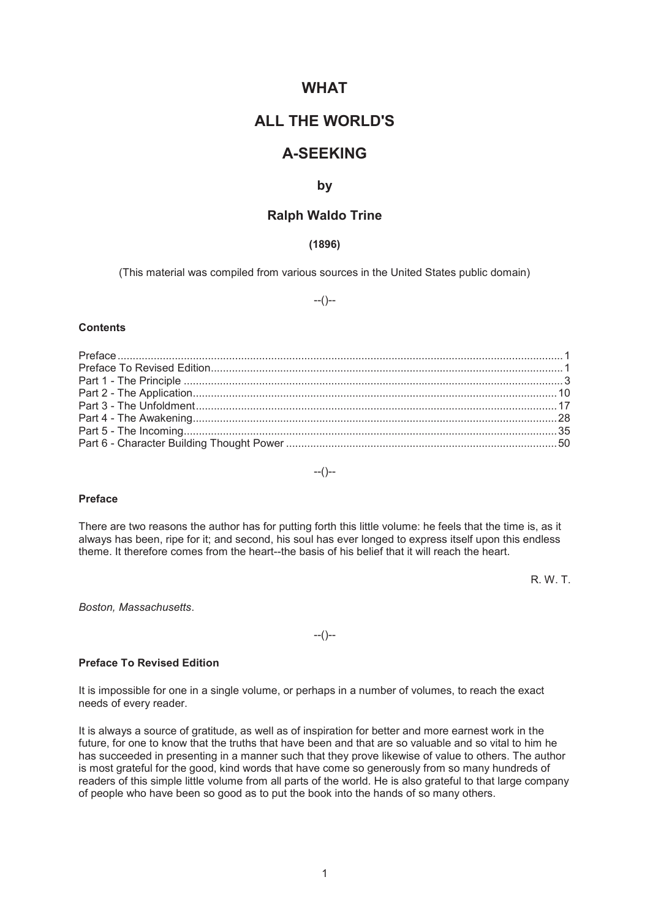# **WHAT**

# **ALL THE WORLD'S**

# **A-SEEKING**

## **by**

# **Ralph Waldo Trine**

## **(1896)**

(This material was compiled from various sources in the United States public domain)

--()--

#### **Contents**

--()--

#### **Preface**

There are two reasons the author has for putting forth this little volume: he feels that the time is, as it always has been, ripe for it; and second, his soul has ever longed to express itself upon this endless theme. It therefore comes from the heart--the basis of his belief that it will reach the heart.

R. W. T.

*Boston, Massachusetts*.

--()--

## **Preface To Revised Edition**

It is impossible for one in a single volume, or perhaps in a number of volumes, to reach the exact needs of every reader.

It is always a source of gratitude, as well as of inspiration for better and more earnest work in the future, for one to know that the truths that have been and that are so valuable and so vital to him he has succeeded in presenting in a manner such that they prove likewise of value to others. The author is most grateful for the good, kind words that have come so generously from so many hundreds of readers of this simple little volume from all parts of the world. He is also grateful to that large company of people who have been so good as to put the book into the hands of so many others.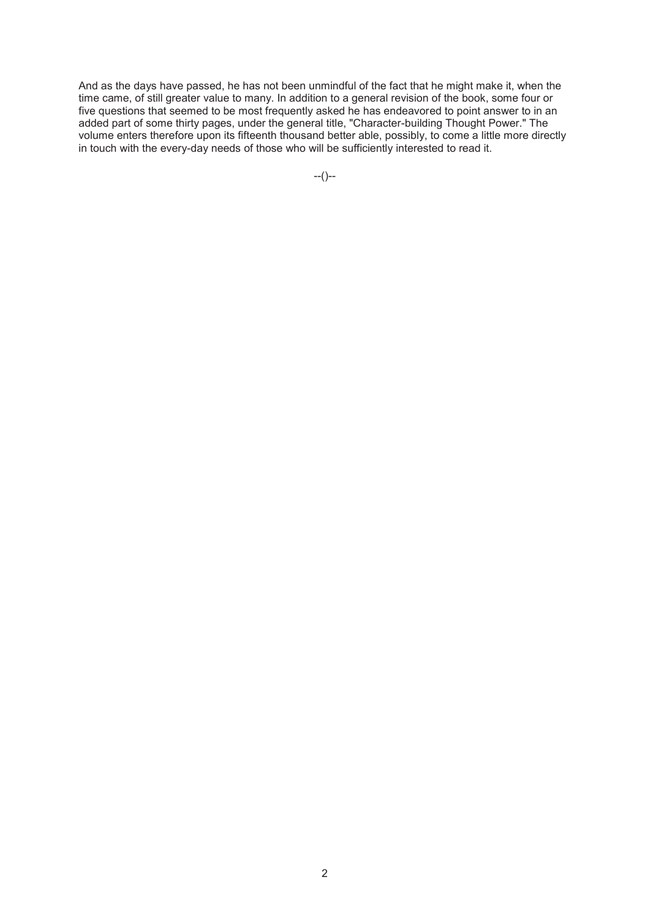And as the days have passed, he has not been unmindful of the fact that he might make it, when the time came, of still greater value to many. In addition to a general revision of the book, some four or five questions that seemed to be most frequently asked he has endeavored to point answer to in an added part of some thirty pages, under the general title, "Character-building Thought Power." The volume enters therefore upon its fifteenth thousand better able, possibly, to come a little more directly in touch with the every-day needs of those who will be sufficiently interested to read it.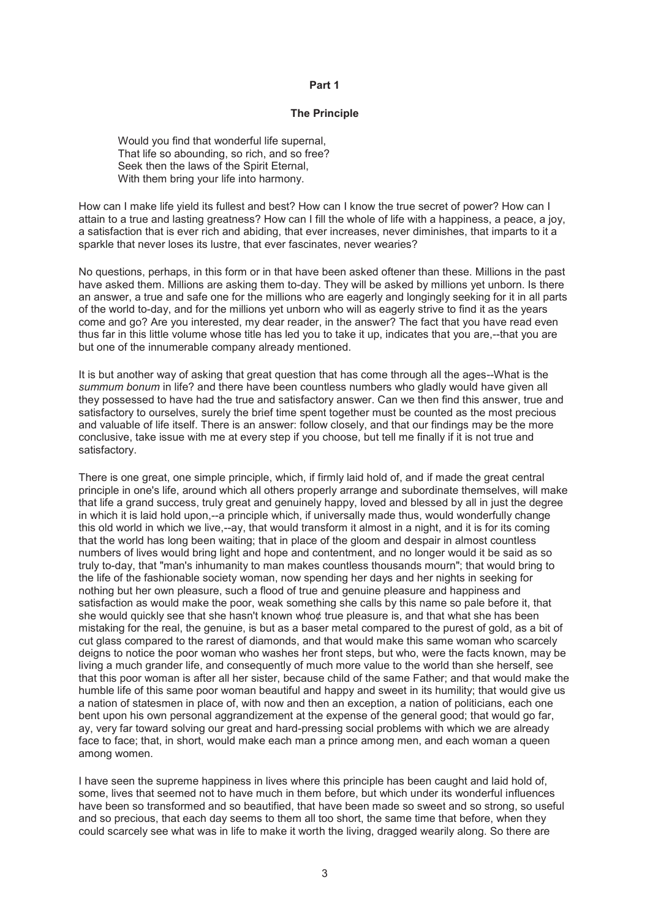#### **Part 1**

### **The Principle**

Would you find that wonderful life supernal. That life so abounding, so rich, and so free? Seek then the laws of the Spirit Eternal, With them bring your life into harmony.

How can I make life yield its fullest and best? How can I know the true secret of power? How can I attain to a true and lasting greatness? How can I fill the whole of life with a happiness, a peace, a joy, a satisfaction that is ever rich and abiding, that ever increases, never diminishes, that imparts to it a sparkle that never loses its lustre, that ever fascinates, never wearies?

No questions, perhaps, in this form or in that have been asked oftener than these. Millions in the past have asked them. Millions are asking them to-day. They will be asked by millions yet unborn. Is there an answer, a true and safe one for the millions who are eagerly and longingly seeking for it in all parts of the world to-day, and for the millions yet unborn who will as eagerly strive to find it as the years come and go? Are you interested, my dear reader, in the answer? The fact that you have read even thus far in this little volume whose title has led you to take it up, indicates that you are,--that you are but one of the innumerable company already mentioned.

It is but another way of asking that great question that has come through all the ages--What is the *summum bonum* in life? and there have been countless numbers who gladly would have given all they possessed to have had the true and satisfactory answer. Can we then find this answer, true and satisfactory to ourselves, surely the brief time spent together must be counted as the most precious and valuable of life itself. There is an answer: follow closely, and that our findings may be the more conclusive, take issue with me at every step if you choose, but tell me finally if it is not true and satisfactory.

There is one great, one simple principle, which, if firmly laid hold of, and if made the great central principle in one's life, around which all others properly arrange and subordinate themselves, will make that life a grand success, truly great and genuinely happy, loved and blessed by all in just the degree in which it is laid hold upon,--a principle which, if universally made thus, would wonderfully change this old world in which we live,--ay, that would transform it almost in a night, and it is for its coming that the world has long been waiting; that in place of the gloom and despair in almost countless numbers of lives would bring light and hope and contentment, and no longer would it be said as so truly to-day, that "man's inhumanity to man makes countless thousands mourn"; that would bring to the life of the fashionable society woman, now spending her days and her nights in seeking for nothing but her own pleasure, such a flood of true and genuine pleasure and happiness and satisfaction as would make the poor, weak something she calls by this name so pale before it, that she would quickly see that she hasn't known who¢ true pleasure is, and that what she has been mistaking for the real, the genuine, is but as a baser metal compared to the purest of gold, as a bit of cut glass compared to the rarest of diamonds, and that would make this same woman who scarcely deigns to notice the poor woman who washes her front steps, but who, were the facts known, may be living a much grander life, and consequently of much more value to the world than she herself, see that this poor woman is after all her sister, because child of the same Father; and that would make the humble life of this same poor woman beautiful and happy and sweet in its humility; that would give us a nation of statesmen in place of, with now and then an exception, a nation of politicians, each one bent upon his own personal aggrandizement at the expense of the general good; that would go far, ay, very far toward solving our great and hard-pressing social problems with which we are already face to face; that, in short, would make each man a prince among men, and each woman a queen among women.

I have seen the supreme happiness in lives where this principle has been caught and laid hold of, some, lives that seemed not to have much in them before, but which under its wonderful influences have been so transformed and so beautified, that have been made so sweet and so strong, so useful and so precious, that each day seems to them all too short, the same time that before, when they could scarcely see what was in life to make it worth the living, dragged wearily along. So there are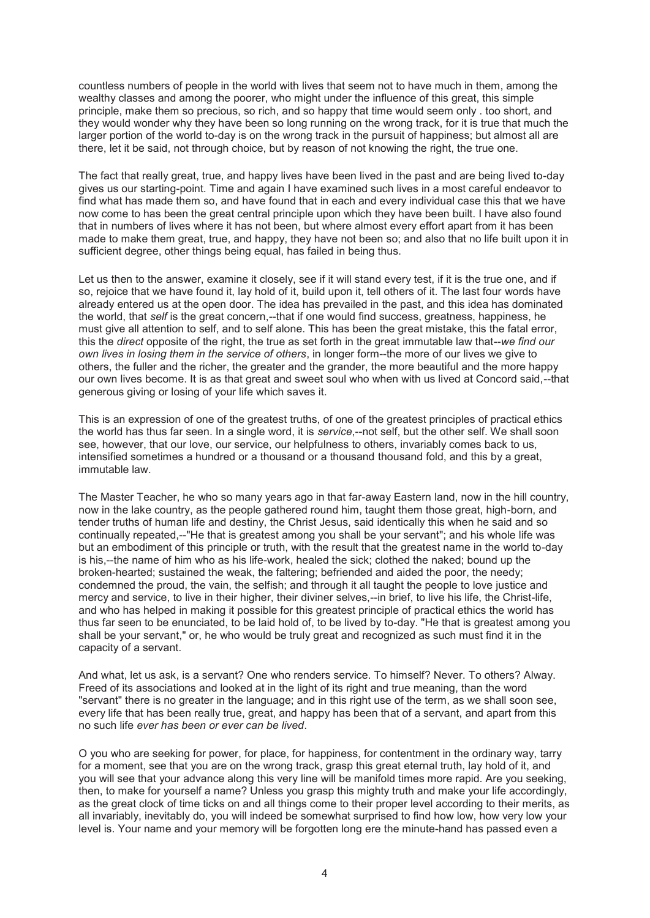countless numbers of people in the world with lives that seem not to have much in them, among the wealthy classes and among the poorer, who might under the influence of this great, this simple principle, make them so precious, so rich, and so happy that time would seem only . too short, and they would wonder why they have been so long running on the wrong track, for it is true that much the larger portion of the world to-day is on the wrong track in the pursuit of happiness; but almost all are there, let it be said, not through choice, but by reason of not knowing the right, the true one.

The fact that really great, true, and happy lives have been lived in the past and are being lived to-day gives us our starting-point. Time and again I have examined such lives in a most careful endeavor to find what has made them so, and have found that in each and every individual case this that we have now come to has been the great central principle upon which they have been built. I have also found that in numbers of lives where it has not been, but where almost every effort apart from it has been made to make them great, true, and happy, they have not been so; and also that no life built upon it in sufficient degree, other things being equal, has failed in being thus.

Let us then to the answer, examine it closely, see if it will stand every test, if it is the true one, and if so, rejoice that we have found it, lay hold of it, build upon it, tell others of it. The last four words have already entered us at the open door. The idea has prevailed in the past, and this idea has dominated the world, that *self* is the great concern,--that if one would find success, greatness, happiness, he must give all attention to self, and to self alone. This has been the great mistake, this the fatal error, this the *direct* opposite of the right, the true as set forth in the great immutable law that--*we find our own lives in losing them in the service of others*, in longer form--the more of our lives we give to others, the fuller and the richer, the greater and the grander, the more beautiful and the more happy our own lives become. It is as that great and sweet soul who when with us lived at Concord said,--that generous giving or losing of your life which saves it.

This is an expression of one of the greatest truths, of one of the greatest principles of practical ethics the world has thus far seen. In a single word, it is *service*,--not self, but the other self. We shall soon see, however, that our love, our service, our helpfulness to others, invariably comes back to us, intensified sometimes a hundred or a thousand or a thousand thousand fold, and this by a great, immutable law.

The Master Teacher, he who so many years ago in that far-away Eastern land, now in the hill country, now in the lake country, as the people gathered round him, taught them those great, high-born, and tender truths of human life and destiny, the Christ Jesus, said identically this when he said and so continually repeated,--"He that is greatest among you shall be your servant"; and his whole life was but an embodiment of this principle or truth, with the result that the greatest name in the world to-day is his,--the name of him who as his life-work, healed the sick; clothed the naked; bound up the broken-hearted; sustained the weak, the faltering; befriended and aided the poor, the needy; condemned the proud, the vain, the selfish; and through it all taught the people to love justice and mercy and service, to live in their higher, their diviner selves,--in brief, to live his life, the Christ-life, and who has helped in making it possible for this greatest principle of practical ethics the world has thus far seen to be enunciated, to be laid hold of, to be lived by to-day. "He that is greatest among you shall be your servant," or, he who would be truly great and recognized as such must find it in the capacity of a servant.

And what, let us ask, is a servant? One who renders service. To himself? Never. To others? Alway. Freed of its associations and looked at in the light of its right and true meaning, than the word "servant" there is no greater in the language; and in this right use of the term, as we shall soon see, every life that has been really true, great, and happy has been that of a servant, and apart from this no such life *ever has been or ever can be lived*.

O you who are seeking for power, for place, for happiness, for contentment in the ordinary way, tarry for a moment, see that you are on the wrong track, grasp this great eternal truth, lay hold of it, and you will see that your advance along this very line will be manifold times more rapid. Are you seeking, then, to make for yourself a name? Unless you grasp this mighty truth and make your life accordingly, as the great clock of time ticks on and all things come to their proper level according to their merits, as all invariably, inevitably do, you will indeed be somewhat surprised to find how low, how very low your level is. Your name and your memory will be forgotten long ere the minute-hand has passed even a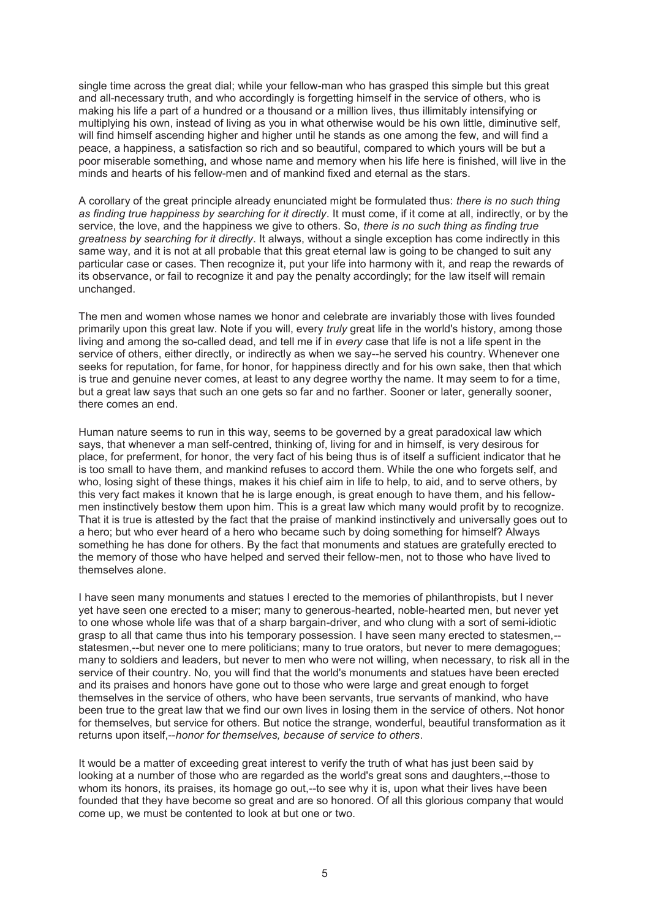single time across the great dial; while your fellow-man who has grasped this simple but this great and all-necessary truth, and who accordingly is forgetting himself in the service of others, who is making his life a part of a hundred or a thousand or a million lives, thus illimitably intensifying or multiplying his own, instead of living as you in what otherwise would be his own little, diminutive self, will find himself ascending higher and higher until he stands as one among the few, and will find a peace, a happiness, a satisfaction so rich and so beautiful, compared to which yours will be but a poor miserable something, and whose name and memory when his life here is finished, will live in the minds and hearts of his fellow-men and of mankind fixed and eternal as the stars.

A corollary of the great principle already enunciated might be formulated thus: *there is no such thing as finding true happiness by searching for it directly*. It must come, if it come at all, indirectly, or by the service, the love, and the happiness we give to others. So, *there is no such thing as finding true greatness by searching for it directly*. It always, without a single exception has come indirectly in this same way, and it is not at all probable that this great eternal law is going to be changed to suit any particular case or cases. Then recognize it, put your life into harmony with it, and reap the rewards of its observance, or fail to recognize it and pay the penalty accordingly; for the law itself will remain unchanged.

The men and women whose names we honor and celebrate are invariably those with lives founded primarily upon this great law. Note if you will, every *truly* great life in the world's history, among those living and among the so-called dead, and tell me if in *every* case that life is not a life spent in the service of others, either directly, or indirectly as when we say--he served his country. Whenever one seeks for reputation, for fame, for honor, for happiness directly and for his own sake, then that which is true and genuine never comes, at least to any degree worthy the name. It may seem to for a time, but a great law says that such an one gets so far and no farther. Sooner or later, generally sooner, there comes an end.

Human nature seems to run in this way, seems to be governed by a great paradoxical law which says, that whenever a man self-centred, thinking of, living for and in himself, is very desirous for place, for preferment, for honor, the very fact of his being thus is of itself a sufficient indicator that he is too small to have them, and mankind refuses to accord them. While the one who forgets self, and who, losing sight of these things, makes it his chief aim in life to help, to aid, and to serve others, by this very fact makes it known that he is large enough, is great enough to have them, and his fellowmen instinctively bestow them upon him. This is a great law which many would profit by to recognize. That it is true is attested by the fact that the praise of mankind instinctively and universally goes out to a hero; but who ever heard of a hero who became such by doing something for himself? Always something he has done for others. By the fact that monuments and statues are gratefully erected to the memory of those who have helped and served their fellow-men, not to those who have lived to themselves alone.

I have seen many monuments and statues I erected to the memories of philanthropists, but I never yet have seen one erected to a miser; many to generous-hearted, noble-hearted men, but never yet to one whose whole life was that of a sharp bargain-driver, and who clung with a sort of semi-idiotic grasp to all that came thus into his temporary possession. I have seen many erected to statesmen,- statesmen,--but never one to mere politicians; many to true orators, but never to mere demagogues; many to soldiers and leaders, but never to men who were not willing, when necessary, to risk all in the service of their country. No, you will find that the world's monuments and statues have been erected and its praises and honors have gone out to those who were large and great enough to forget themselves in the service of others, who have been servants, true servants of mankind, who have been true to the great law that we find our own lives in losing them in the service of others. Not honor for themselves, but service for others. But notice the strange, wonderful, beautiful transformation as it returns upon itself,--*honor for themselves, because of service to others*.

It would be a matter of exceeding great interest to verify the truth of what has just been said by looking at a number of those who are regarded as the world's great sons and daughters,--those to whom its honors, its praises, its homage go out,--to see why it is, upon what their lives have been founded that they have become so great and are so honored. Of all this glorious company that would come up, we must be contented to look at but one or two.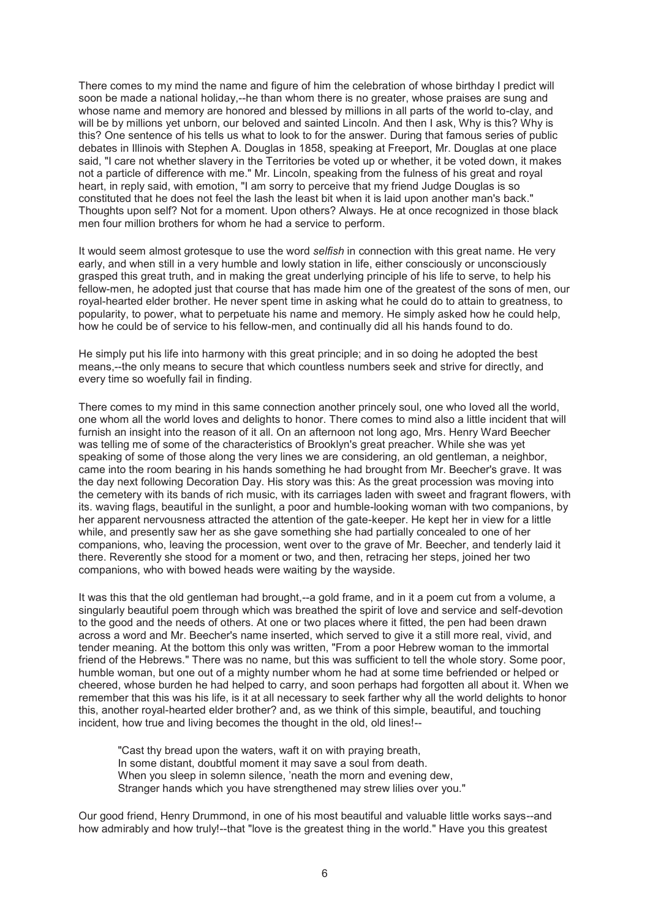There comes to my mind the name and figure of him the celebration of whose birthday I predict will soon be made a national holiday,--he than whom there is no greater, whose praises are sung and whose name and memory are honored and blessed by millions in all parts of the world to-clay, and will be by millions yet unborn, our beloved and sainted Lincoln. And then I ask, Why is this? Why is this? One sentence of his tells us what to look to for the answer. During that famous series of public debates in Illinois with Stephen A. Douglas in 1858, speaking at Freeport, Mr. Douglas at one place said, "I care not whether slavery in the Territories be voted up or whether, it be voted down, it makes not a particle of difference with me." Mr. Lincoln, speaking from the fulness of his great and royal heart, in reply said, with emotion, "I am sorry to perceive that my friend Judge Douglas is so constituted that he does not feel the lash the least bit when it is laid upon another man's back." Thoughts upon self? Not for a moment. Upon others? Always. He at once recognized in those black men four million brothers for whom he had a service to perform.

It would seem almost grotesque to use the word *selfish* in connection with this great name. He very early, and when still in a very humble and lowly station in life, either consciously or unconsciously grasped this great truth, and in making the great underlying principle of his life to serve, to help his fellow-men, he adopted just that course that has made him one of the greatest of the sons of men, our royal-hearted elder brother. He never spent time in asking what he could do to attain to greatness, to popularity, to power, what to perpetuate his name and memory. He simply asked how he could help, how he could be of service to his fellow-men, and continually did all his hands found to do.

He simply put his life into harmony with this great principle; and in so doing he adopted the best means,--the only means to secure that which countless numbers seek and strive for directly, and every time so woefully fail in finding.

There comes to my mind in this same connection another princely soul, one who loved all the world, one whom all the world loves and delights to honor. There comes to mind also a little incident that will furnish an insight into the reason of it all. On an afternoon not long ago, Mrs. Henry Ward Beecher was telling me of some of the characteristics of Brooklyn's great preacher. While she was yet speaking of some of those along the very lines we are considering, an old gentleman, a neighbor, came into the room bearing in his hands something he had brought from Mr. Beecher's grave. It was the day next following Decoration Day. His story was this: As the great procession was moving into the cemetery with its bands of rich music, with its carriages laden with sweet and fragrant flowers, with its. waving flags, beautiful in the sunlight, a poor and humble-looking woman with two companions, by her apparent nervousness attracted the attention of the gate-keeper. He kept her in view for a little while, and presently saw her as she gave something she had partially concealed to one of her companions, who, leaving the procession, went over to the grave of Mr. Beecher, and tenderly laid it there. Reverently she stood for a moment or two, and then, retracing her steps, joined her two companions, who with bowed heads were waiting by the wayside.

It was this that the old gentleman had brought,--a gold frame, and in it a poem cut from a volume, a singularly beautiful poem through which was breathed the spirit of love and service and self-devotion to the good and the needs of others. At one or two places where it fitted, the pen had been drawn across a word and Mr. Beecher's name inserted, which served to give it a still more real, vivid, and tender meaning. At the bottom this only was written, "From a poor Hebrew woman to the immortal friend of the Hebrews." There was no name, but this was sufficient to tell the whole story. Some poor, humble woman, but one out of a mighty number whom he had at some time befriended or helped or cheered, whose burden he had helped to carry, and soon perhaps had forgotten all about it. When we remember that this was his life, is it at all necessary to seek farther why all the world delights to honor this, another royal-hearted elder brother? and, as we think of this simple, beautiful, and touching incident, how true and living becomes the thought in the old, old lines!--

"Cast thy bread upon the waters, waft it on with praying breath, In some distant, doubtful moment it may save a soul from death. When you sleep in solemn silence, 'neath the morn and evening dew, Stranger hands which you have strengthened may strew lilies over you."

Our good friend, Henry Drummond, in one of his most beautiful and valuable little works says--and how admirably and how truly!--that "love is the greatest thing in the world." Have you this greatest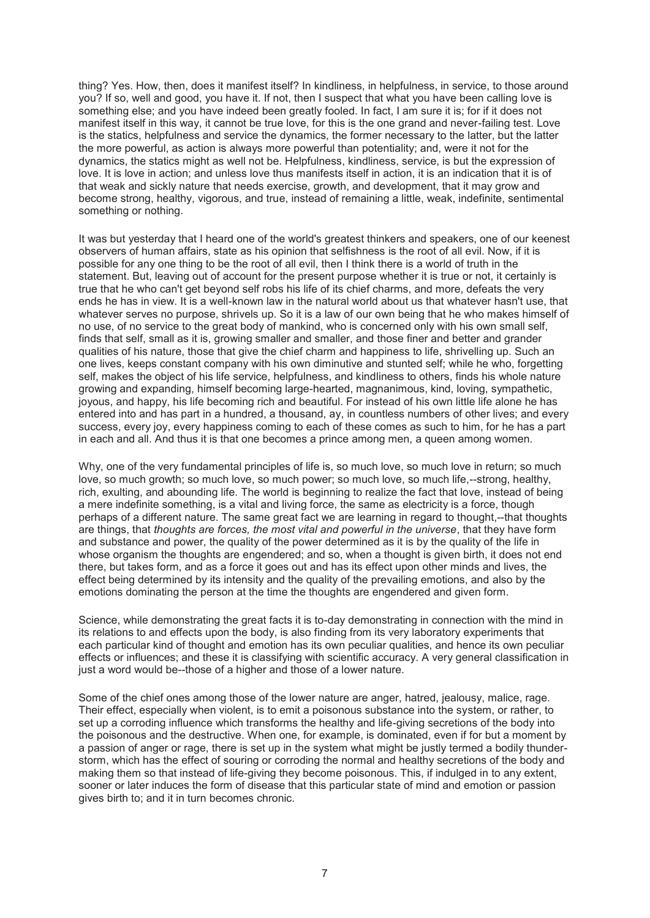thing? Yes. How, then, does it manifest itself? In kindliness, in helpfulness, in service, to those around you? If so, well and good, you have it. If not, then I suspect that what you have been calling love is something else; and you have indeed been greatly fooled. In fact, I am sure it is; for if it does not manifest itself in this way, it cannot be true love, for this is the one grand and never-failing test. Love is the statics, helpfulness and service the dynamics, the former necessary to the latter, but the latter the more powerful, as action is always more powerful than potentiality; and, were it not for the dynamics, the statics might as well not be. Helpfulness, kindliness, service, is but the expression of love. It is love in action; and unless love thus manifests itself in action, it is an indication that it is of that weak and sickly nature that needs exercise, growth, and development, that it may grow and become strong, healthy, vigorous, and true, instead of remaining a little, weak, indefinite, sentimental something or nothing.

It was but yesterday that I heard one of the world's greatest thinkers and speakers, one of our keenest observers of human affairs, state as his opinion that selfishness is the root of all evil. Now, if it is possible for any one thing to be the root of all evil, then I think there is a world of truth in the statement. But, leaving out of account for the present purpose whether it is true or not, it certainly is true that he who can't get beyond self robs his life of its chief charms, and more, defeats the very ends he has in view. It is a well-known law in the natural world about us that whatever hasn't use, that whatever serves no purpose, shrivels up. So it is a law of our own being that he who makes himself of no use, of no service to the great body of mankind, who is concerned only with his own small self, finds that self, small as it is, growing smaller and smaller, and those finer and better and grander qualities of his nature, those that give the chief charm and happiness to life, shrivelling up. Such an one lives, keeps constant company with his own diminutive and stunted self; while he who, forgetting self, makes the object of his life service, helpfulness, and kindliness to others, finds his whole nature growing and expanding, himself becoming large-hearted, magnanimous, kind, loving, sympathetic, joyous, and happy, his life becoming rich and beautiful. For instead of his own little life alone he has entered into and has part in a hundred, a thousand, ay, in countless numbers of other lives; and every success, every joy, every happiness coming to each of these comes as such to him, for he has a part in each and all. And thus it is that one becomes a prince among men, a queen among women.

Why, one of the very fundamental principles of life is, so much love, so much love in return; so much love, so much growth; so much love, so much power; so much love, so much life,--strong, healthy, rich, exulting, and abounding life. The world is beginning to realize the fact that love, instead of being a mere indefinite something, is a vital and living force, the same as electricity is a force, though perhaps of a different nature. The same great fact we are learning in regard to thought,--that thoughts are things, that *thoughts are forces, the most vital and powerful in the universe*, that they have form and substance and power, the quality of the power determined as it is by the quality of the life in whose organism the thoughts are engendered; and so, when a thought is given birth, it does not end there, but takes form, and as a force it goes out and has its effect upon other minds and lives, the effect being determined by its intensity and the quality of the prevailing emotions, and also by the emotions dominating the person at the time the thoughts are engendered and given form.

Science, while demonstrating the great facts it is to-day demonstrating in connection with the mind in its relations to and effects upon the body, is also finding from its very laboratory experiments that each particular kind of thought and emotion has its own peculiar qualities, and hence its own peculiar effects or influences; and these it is classifying with scientific accuracy. A very general classification in just a word would be--those of a higher and those of a lower nature.

Some of the chief ones among those of the lower nature are anger, hatred, jealousy, malice, rage. Their effect, especially when violent, is to emit a poisonous substance into the system, or rather, to set up a corroding influence which transforms the healthy and life-giving secretions of the body into the poisonous and the destructive. When one, for example, is dominated, even if for but a moment by a passion of anger or rage, there is set up in the system what might be justly termed a bodily thunderstorm, which has the effect of souring or corroding the normal and healthy secretions of the body and making them so that instead of life-giving they become poisonous. This, if indulged in to any extent, sooner or later induces the form of disease that this particular state of mind and emotion or passion gives birth to; and it in turn becomes chronic.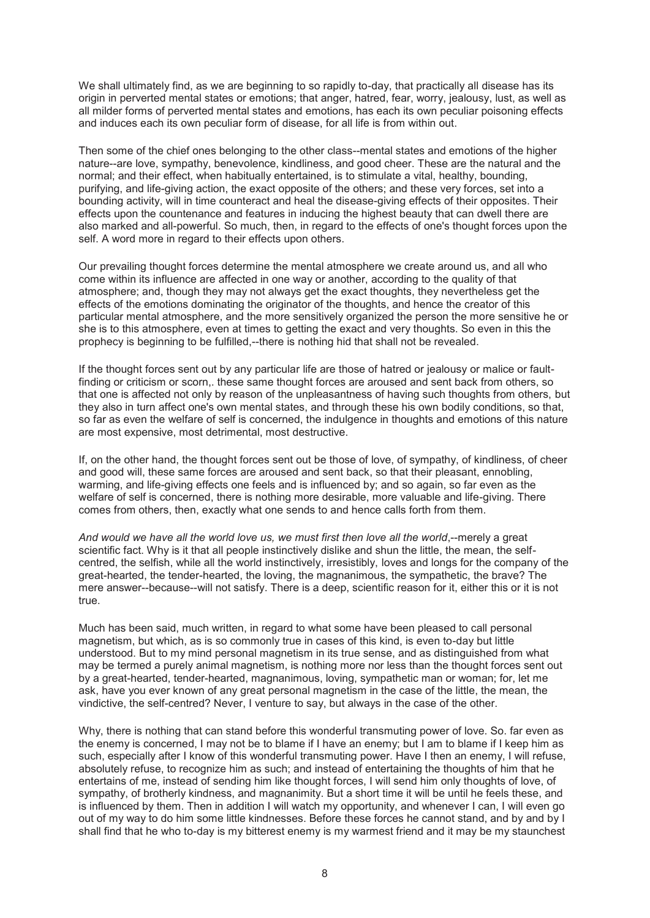We shall ultimately find, as we are beginning to so rapidly to-day, that practically all disease has its origin in perverted mental states or emotions; that anger, hatred, fear, worry, jealousy, lust, as well as all milder forms of perverted mental states and emotions, has each its own peculiar poisoning effects and induces each its own peculiar form of disease, for all life is from within out.

Then some of the chief ones belonging to the other class--mental states and emotions of the higher nature--are love, sympathy, benevolence, kindliness, and good cheer. These are the natural and the normal; and their effect, when habitually entertained, is to stimulate a vital, healthy, bounding, purifying, and life-giving action, the exact opposite of the others; and these very forces, set into a bounding activity, will in time counteract and heal the disease-giving effects of their opposites. Their effects upon the countenance and features in inducing the highest beauty that can dwell there are also marked and all-powerful. So much, then, in regard to the effects of one's thought forces upon the self. A word more in regard to their effects upon others.

Our prevailing thought forces determine the mental atmosphere we create around us, and all who come within its influence are affected in one way or another, according to the quality of that atmosphere; and, though they may not always get the exact thoughts, they nevertheless get the effects of the emotions dominating the originator of the thoughts, and hence the creator of this particular mental atmosphere, and the more sensitively organized the person the more sensitive he or she is to this atmosphere, even at times to getting the exact and very thoughts. So even in this the prophecy is beginning to be fulfilled,--there is nothing hid that shall not be revealed.

If the thought forces sent out by any particular life are those of hatred or jealousy or malice or faultfinding or criticism or scorn,. these same thought forces are aroused and sent back from others, so that one is affected not only by reason of the unpleasantness of having such thoughts from others, but they also in turn affect one's own mental states, and through these his own bodily conditions, so that, so far as even the welfare of self is concerned, the indulgence in thoughts and emotions of this nature are most expensive, most detrimental, most destructive.

If, on the other hand, the thought forces sent out be those of love, of sympathy, of kindliness, of cheer and good will, these same forces are aroused and sent back, so that their pleasant, ennobling, warming, and life-giving effects one feels and is influenced by; and so again, so far even as the welfare of self is concerned, there is nothing more desirable, more valuable and life-giving. There comes from others, then, exactly what one sends to and hence calls forth from them.

And would we have all the world love us, we must first then love all the world,--merely a great scientific fact. Why is it that all people instinctively dislike and shun the little, the mean, the selfcentred, the selfish, while all the world instinctively, irresistibly, loves and longs for the company of the great-hearted, the tender-hearted, the loving, the magnanimous, the sympathetic, the brave? The mere answer--because--will not satisfy. There is a deep, scientific reason for it, either this or it is not true.

Much has been said, much written, in regard to what some have been pleased to call personal magnetism, but which, as is so commonly true in cases of this kind, is even to-day but little understood. But to my mind personal magnetism in its true sense, and as distinguished from what may be termed a purely animal magnetism, is nothing more nor less than the thought forces sent out by a great-hearted, tender-hearted, magnanimous, loving, sympathetic man or woman; for, let me ask, have you ever known of any great personal magnetism in the case of the little, the mean, the vindictive, the self-centred? Never, I venture to say, but always in the case of the other.

Why, there is nothing that can stand before this wonderful transmuting power of love. So. far even as the enemy is concerned, I may not be to blame if I have an enemy; but I am to blame if I keep him as such, especially after I know of this wonderful transmuting power. Have I then an enemy, I will refuse, absolutely refuse, to recognize him as such; and instead of entertaining the thoughts of him that he entertains of me, instead of sending him like thought forces, I will send him only thoughts of love, of sympathy, of brotherly kindness, and magnanimity. But a short time it will be until he feels these, and is influenced by them. Then in addition I will watch my opportunity, and whenever I can, I will even go out of my way to do him some little kindnesses. Before these forces he cannot stand, and by and by I shall find that he who to-day is my bitterest enemy is my warmest friend and it may be my staunchest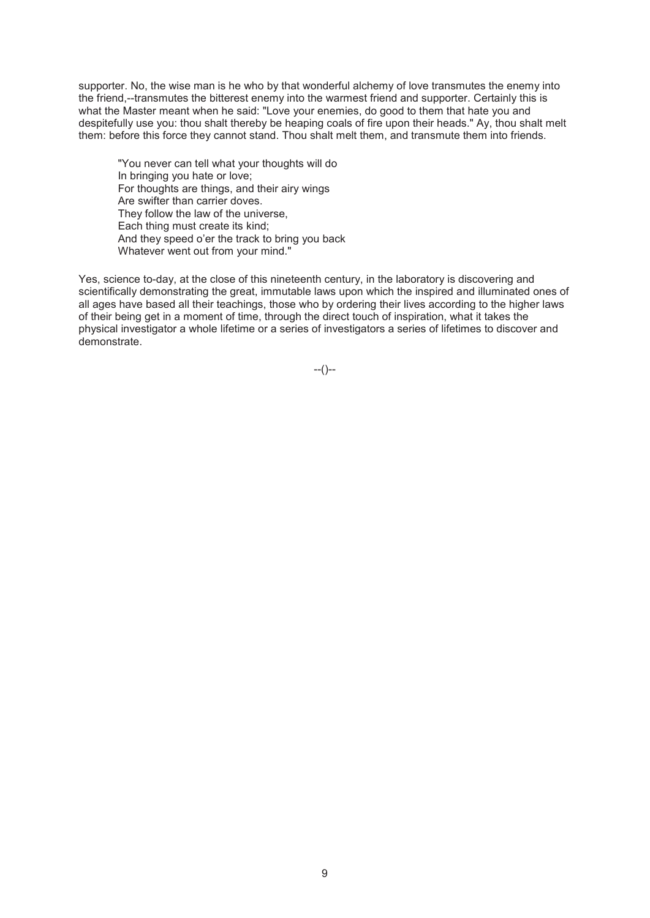supporter. No, the wise man is he who by that wonderful alchemy of love transmutes the enemy into the friend,--transmutes the bitterest enemy into the warmest friend and supporter. Certainly this is what the Master meant when he said: "Love your enemies, do good to them that hate you and despitefully use you: thou shalt thereby be heaping coals of fire upon their heads." Ay, thou shalt melt them: before this force they cannot stand. Thou shalt melt them, and transmute them into friends.

"You never can tell what your thoughts will do In bringing you hate or love; For thoughts are things, and their airy wings Are swifter than carrier doves. They follow the law of the universe, Each thing must create its kind; And they speed o'er the track to bring you back Whatever went out from your mind."

Yes, science to-day, at the close of this nineteenth century, in the laboratory is discovering and scientifically demonstrating the great, immutable laws upon which the inspired and illuminated ones of all ages have based all their teachings, those who by ordering their lives according to the higher laws of their being get in a moment of time, through the direct touch of inspiration, what it takes the physical investigator a whole lifetime or a series of investigators a series of lifetimes to discover and demonstrate.

 $-(-)$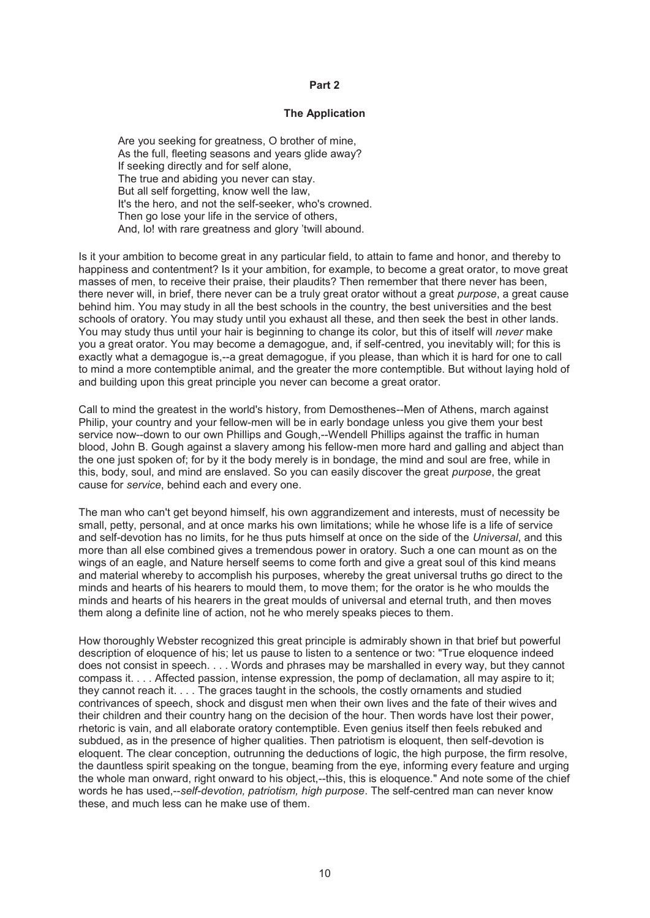#### **Part 2**

### **The Application**

Are you seeking for greatness, O brother of mine, As the full, fleeting seasons and years glide away? If seeking directly and for self alone, The true and abiding you never can stay. But all self forgetting, know well the law, It's the hero, and not the self-seeker, who's crowned. Then go lose your life in the service of others, And, lo! with rare greatness and glory 'twill abound.

Is it your ambition to become great in any particular field, to attain to fame and honor, and thereby to happiness and contentment? Is it your ambition, for example, to become a great orator, to move great masses of men, to receive their praise, their plaudits? Then remember that there never has been, there never will, in brief, there never can be a truly great orator without a great *purpose*, a great cause behind him. You may study in all the best schools in the country, the best universities and the best schools of oratory. You may study until you exhaust all these, and then seek the best in other lands. You may study thus until your hair is beginning to change its color, but this of itself will *never* make you a great orator. You may become a demagogue, and, if self-centred, you inevitably will; for this is exactly what a demagogue is,--a great demagogue, if you please, than which it is hard for one to call to mind a more contemptible animal, and the greater the more contemptible. But without laying hold of and building upon this great principle you never can become a great orator.

Call to mind the greatest in the world's history, from Demosthenes--Men of Athens, march against Philip, your country and your fellow-men will be in early bondage unless you give them your best service now--down to our own Phillips and Gough,--Wendell Phillips against the traffic in human blood, John B. Gough against a slavery among his fellow-men more hard and galling and abject than the one just spoken of; for by it the body merely is in bondage, the mind and soul are free, while in this, body, soul, and mind are enslaved. So you can easily discover the great *purpose*, the great cause for *service*, behind each and every one.

The man who can't get beyond himself, his own aggrandizement and interests, must of necessity be small, petty, personal, and at once marks his own limitations; while he whose life is a life of service and self-devotion has no limits, for he thus puts himself at once on the side of the *Universal*, and this more than all else combined gives a tremendous power in oratory. Such a one can mount as on the wings of an eagle, and Nature herself seems to come forth and give a great soul of this kind means and material whereby to accomplish his purposes, whereby the great universal truths go direct to the minds and hearts of his hearers to mould them, to move them; for the orator is he who moulds the minds and hearts of his hearers in the great moulds of universal and eternal truth, and then moves them along a definite line of action, not he who merely speaks pieces to them.

How thoroughly Webster recognized this great principle is admirably shown in that brief but powerful description of eloquence of his; let us pause to listen to a sentence or two: "True eloquence indeed does not consist in speech. . . . Words and phrases may be marshalled in every way, but they cannot compass it. . . . Affected passion, intense expression, the pomp of declamation, all may aspire to it; they cannot reach it. . . . The graces taught in the schools, the costly ornaments and studied contrivances of speech, shock and disgust men when their own lives and the fate of their wives and their children and their country hang on the decision of the hour. Then words have lost their power, rhetoric is vain, and all elaborate oratory contemptible. Even genius itself then feels rebuked and subdued, as in the presence of higher qualities. Then patriotism is eloquent, then self-devotion is eloquent. The clear conception, outrunning the deductions of logic, the high purpose, the firm resolve, the dauntless spirit speaking on the tongue, beaming from the eye, informing every feature and urging the whole man onward, right onward to his object,--this, this is eloquence." And note some of the chief words he has used,--*self-devotion, patriotism, high purpose*. The self-centred man can never know these, and much less can he make use of them.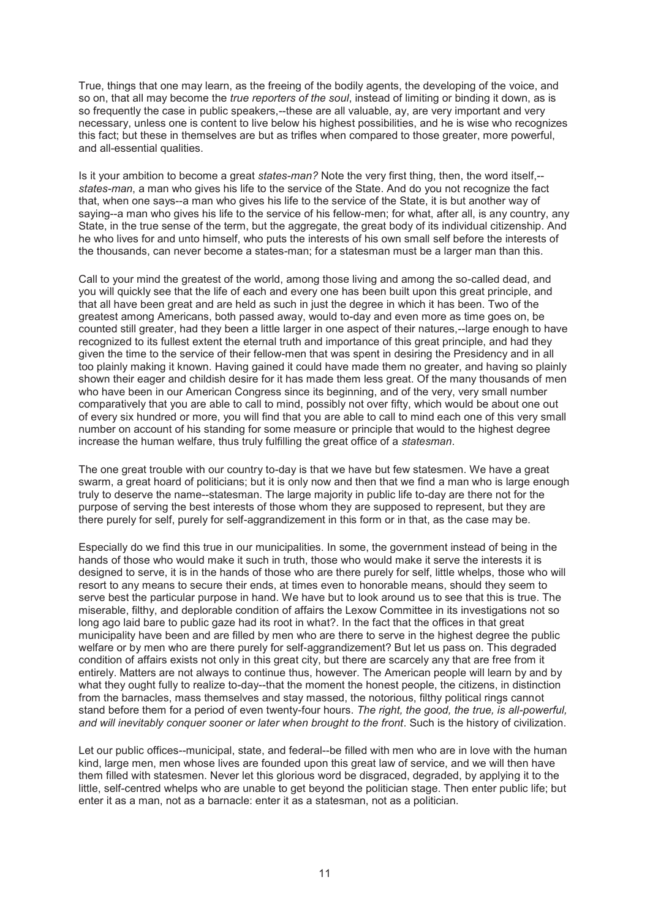True, things that one may learn, as the freeing of the bodily agents, the developing of the voice, and so on, that all may become the *true reporters of the soul*, instead of limiting or binding it down, as is so frequently the case in public speakers,--these are all valuable, ay, are very important and very necessary, unless one is content to live below his highest possibilities, and he is wise who recognizes this fact; but these in themselves are but as trifles when compared to those greater, more powerful, and all-essential qualities.

Is it your ambition to become a great *states-man?* Note the very first thing, then, the word itself,- *states-man*, a man who gives his life to the service of the State. And do you not recognize the fact that, when one says--a man who gives his life to the service of the State, it is but another way of saying--a man who gives his life to the service of his fellow-men; for what, after all, is any country, any State, in the true sense of the term, but the aggregate, the great body of its individual citizenship. And he who lives for and unto himself, who puts the interests of his own small self before the interests of the thousands, can never become a states-man; for a statesman must be a larger man than this.

Call to your mind the greatest of the world, among those living and among the so-called dead, and you will quickly see that the life of each and every one has been built upon this great principle, and that all have been great and are held as such in just the degree in which it has been. Two of the greatest among Americans, both passed away, would to-day and even more as time goes on, be counted still greater, had they been a little larger in one aspect of their natures,--large enough to have recognized to its fullest extent the eternal truth and importance of this great principle, and had they given the time to the service of their fellow-men that was spent in desiring the Presidency and in all too plainly making it known. Having gained it could have made them no greater, and having so plainly shown their eager and childish desire for it has made them less great. Of the many thousands of men who have been in our American Congress since its beginning, and of the very, very small number comparatively that you are able to call to mind, possibly not over fifty, which would be about one out of every six hundred or more, you will find that you are able to call to mind each one of this very small number on account of his standing for some measure or principle that would to the highest degree increase the human welfare, thus truly fulfilling the great office of a *statesman*.

The one great trouble with our country to-day is that we have but few statesmen. We have a great swarm, a great hoard of politicians; but it is only now and then that we find a man who is large enough truly to deserve the name--statesman. The large majority in public life to-day are there not for the purpose of serving the best interests of those whom they are supposed to represent, but they are there purely for self, purely for self-aggrandizement in this form or in that, as the case may be.

Especially do we find this true in our municipalities. In some, the government instead of being in the hands of those who would make it such in truth, those who would make it serve the interests it is designed to serve, it is in the hands of those who are there purely for self, little whelps, those who will resort to any means to secure their ends, at times even to honorable means, should they seem to serve best the particular purpose in hand. We have but to look around us to see that this is true. The miserable, filthy, and deplorable condition of affairs the Lexow Committee in its investigations not so long ago laid bare to public gaze had its root in what?. In the fact that the offices in that great municipality have been and are filled by men who are there to serve in the highest degree the public welfare or by men who are there purely for self-aggrandizement? But let us pass on. This degraded condition of affairs exists not only in this great city, but there are scarcely any that are free from it entirely. Matters are not always to continue thus, however. The American people will learn by and by what they ought fully to realize to-day--that the moment the honest people, the citizens, in distinction from the barnacles, mass themselves and stay massed, the notorious, filthy political rings cannot stand before them for a period of even twenty-four hours. *The right, the good, the true, is all-powerful, and will inevitably conquer sooner or later when brought to the front*. Such is the history of civilization.

Let our public offices--municipal, state, and federal--be filled with men who are in love with the human kind, large men, men whose lives are founded upon this great law of service, and we will then have them filled with statesmen. Never let this glorious word be disgraced, degraded, by applying it to the little, self-centred whelps who are unable to get beyond the politician stage. Then enter public life; but enter it as a man, not as a barnacle: enter it as a statesman, not as a politician.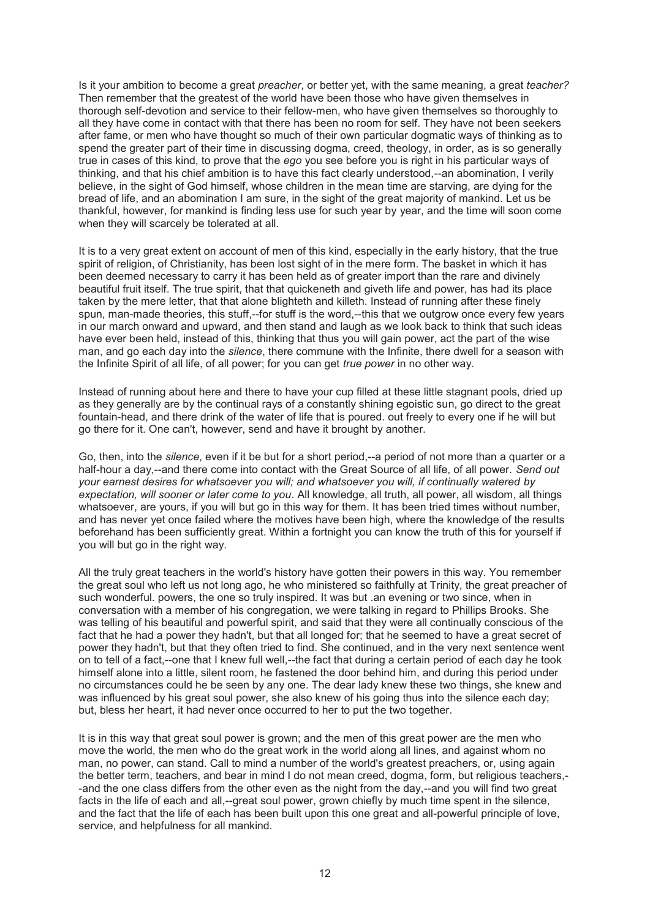Is it your ambition to become a great *preacher*, or better yet, with the same meaning, a great *teacher?* Then remember that the greatest of the world have been those who have given themselves in thorough self-devotion and service to their fellow-men, who have given themselves so thoroughly to all they have come in contact with that there has been no room for self. They have not been seekers after fame, or men who have thought so much of their own particular dogmatic ways of thinking as to spend the greater part of their time in discussing dogma, creed, theology, in order, as is so generally true in cases of this kind, to prove that the *ego* you see before you is right in his particular ways of thinking, and that his chief ambition is to have this fact clearly understood,--an abomination, I verily believe, in the sight of God himself, whose children in the mean time are starving, are dying for the bread of life, and an abomination I am sure, in the sight of the great majority of mankind. Let us be thankful, however, for mankind is finding less use for such year by year, and the time will soon come when they will scarcely be tolerated at all.

It is to a very great extent on account of men of this kind, especially in the early history, that the true spirit of religion, of Christianity, has been lost sight of in the mere form. The basket in which it has been deemed necessary to carry it has been held as of greater import than the rare and divinely beautiful fruit itself. The true spirit, that that quickeneth and giveth life and power, has had its place taken by the mere letter, that that alone blighteth and killeth. Instead of running after these finely spun, man-made theories, this stuff,--for stuff is the word,--this that we outgrow once every few years in our march onward and upward, and then stand and laugh as we look back to think that such ideas have ever been held, instead of this, thinking that thus you will gain power, act the part of the wise man, and go each day into the *silence*, there commune with the Infinite, there dwell for a season with the Infinite Spirit of all life, of all power; for you can get *true power* in no other way.

Instead of running about here and there to have your cup filled at these little stagnant pools, dried up as they generally are by the continual rays of a constantly shining egoistic sun, go direct to the great fountain-head, and there drink of the water of life that is poured. out freely to every one if he will but go there for it. One can't, however, send and have it brought by another.

Go, then, into the *silence*, even if it be but for a short period,--a period of not more than a quarter or a half-hour a day,--and there come into contact with the Great Source of all life, of all power. *Send out your earnest desires for whatsoever you will; and whatsoever you will, if continually watered by expectation, will sooner or later come to you*. All knowledge, all truth, all power, all wisdom, all things whatsoever, are yours, if you will but go in this way for them. It has been tried times without number, and has never yet once failed where the motives have been high, where the knowledge of the results beforehand has been sufficiently great. Within a fortnight you can know the truth of this for yourself if you will but go in the right way.

All the truly great teachers in the world's history have gotten their powers in this way. You remember the great soul who left us not long ago, he who ministered so faithfully at Trinity, the great preacher of such wonderful. powers, the one so truly inspired. It was but .an evening or two since, when in conversation with a member of his congregation, we were talking in regard to Phillips Brooks. She was telling of his beautiful and powerful spirit, and said that they were all continually conscious of the fact that he had a power they hadn't, but that all longed for; that he seemed to have a great secret of power they hadn't, but that they often tried to find. She continued, and in the very next sentence went on to tell of a fact,--one that I knew full well,--the fact that during a certain period of each day he took himself alone into a little, silent room, he fastened the door behind him, and during this period under no circumstances could he be seen by any one. The dear lady knew these two things, she knew and was influenced by his great soul power, she also knew of his going thus into the silence each day; but, bless her heart, it had never once occurred to her to put the two together.

It is in this way that great soul power is grown; and the men of this great power are the men who move the world, the men who do the great work in the world along all lines, and against whom no man, no power, can stand. Call to mind a number of the world's greatest preachers, or, using again the better term, teachers, and bear in mind I do not mean creed, dogma, form, but religious teachers,- -and the one class differs from the other even as the night from the day,--and you will find two great facts in the life of each and all,--great soul power, grown chiefly by much time spent in the silence, and the fact that the life of each has been built upon this one great and all-powerful principle of love, service, and helpfulness for all mankind.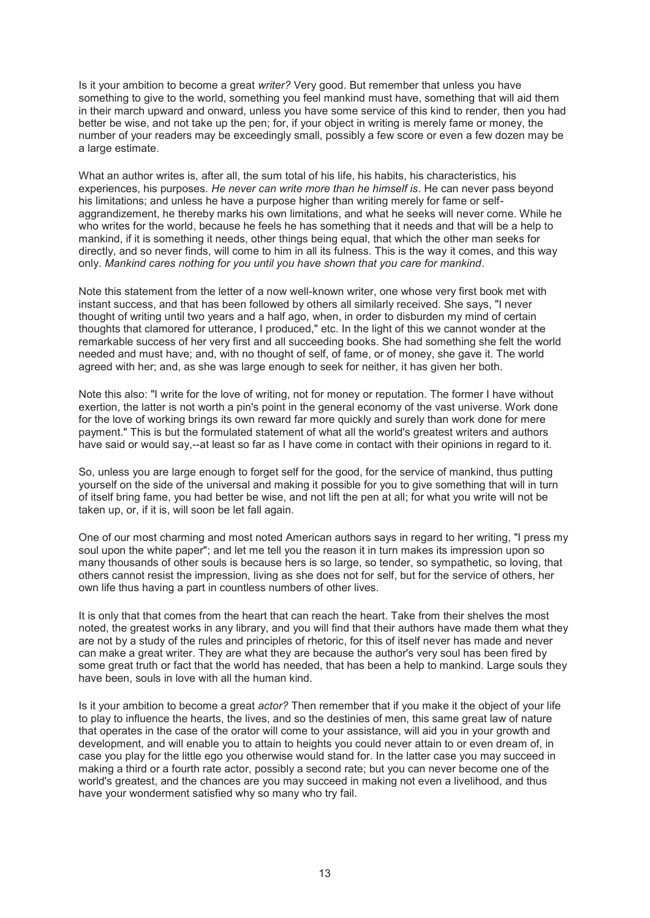Is it your ambition to become a great *writer?* Very good. But remember that unless you have something to give to the world, something you feel mankind must have, something that will aid them in their march upward and onward, unless you have some service of this kind to render, then you had better be wise, and not take up the pen; for, if your object in writing is merely fame or money, the number of your readers may be exceedingly small, possibly a few score or even a few dozen may be a large estimate.

What an author writes is, after all, the sum total of his life, his habits, his characteristics, his experiences, his purposes. *He never can write more than he himself is*. He can never pass beyond his limitations; and unless he have a purpose higher than writing merely for fame or selfaggrandizement, he thereby marks his own limitations, and what he seeks will never come. While he who writes for the world, because he feels he has something that it needs and that will be a help to mankind, if it is something it needs, other things being equal, that which the other man seeks for directly, and so never finds, will come to him in all its fulness. This is the way it comes, and this way only. *Mankind cares nothing for you until you have shown that you care for mankind*.

Note this statement from the letter of a now well-known writer, one whose very first book met with instant success, and that has been followed by others all similarly received. She says, "I never thought of writing until two years and a half ago, when, in order to disburden my mind of certain thoughts that clamored for utterance, I produced," etc. In the light of this we cannot wonder at the remarkable success of her very first and all succeeding books. She had something she felt the world needed and must have; and, with no thought of self, of fame, or of money, she gave it. The world agreed with her; and, as she was large enough to seek for neither, it has given her both.

Note this also: "I write for the love of writing, not for money or reputation. The former I have without exertion, the latter is not worth a pin's point in the general economy of the vast universe. Work done for the love of working brings its own reward far more quickly and surely than work done for mere payment." This is but the formulated statement of what all the world's greatest writers and authors have said or would say,--at least so far as I have come in contact with their opinions in regard to it.

So, unless you are large enough to forget self for the good, for the service of mankind, thus putting yourself on the side of the universal and making it possible for you to give something that will in turn of itself bring fame, you had better be wise, and not lift the pen at all; for what you write will not be taken up, or, if it is, will soon be let fall again.

One of our most charming and most noted American authors says in regard to her writing, "I press my soul upon the white paper"; and let me tell you the reason it in turn makes its impression upon so many thousands of other souls is because hers is so large, so tender, so sympathetic, so loving, that others cannot resist the impression, living as she does not for self, but for the service of others, her own life thus having a part in countless numbers of other lives.

It is only that that comes from the heart that can reach the heart. Take from their shelves the most noted, the greatest works in any library, and you will find that their authors have made them what they are not by a study of the rules and principles of rhetoric, for this of itself never has made and never can make a great writer. They are what they are because the author's very soul has been fired by some great truth or fact that the world has needed, that has been a help to mankind. Large souls they have been, souls in love with all the human kind.

Is it your ambition to become a great *actor?* Then remember that if you make it the object of your life to play to influence the hearts, the lives, and so the destinies of men, this same great law of nature that operates in the case of the orator will come to your assistance, will aid you in your growth and development, and will enable you to attain to heights you could never attain to or even dream of, in case you play for the little ego you otherwise would stand for. In the latter case you may succeed in making a third or a fourth rate actor, possibly a second rate; but you can never become one of the world's greatest, and the chances are you may succeed in making not even a livelihood, and thus have your wonderment satisfied why so many who try fail.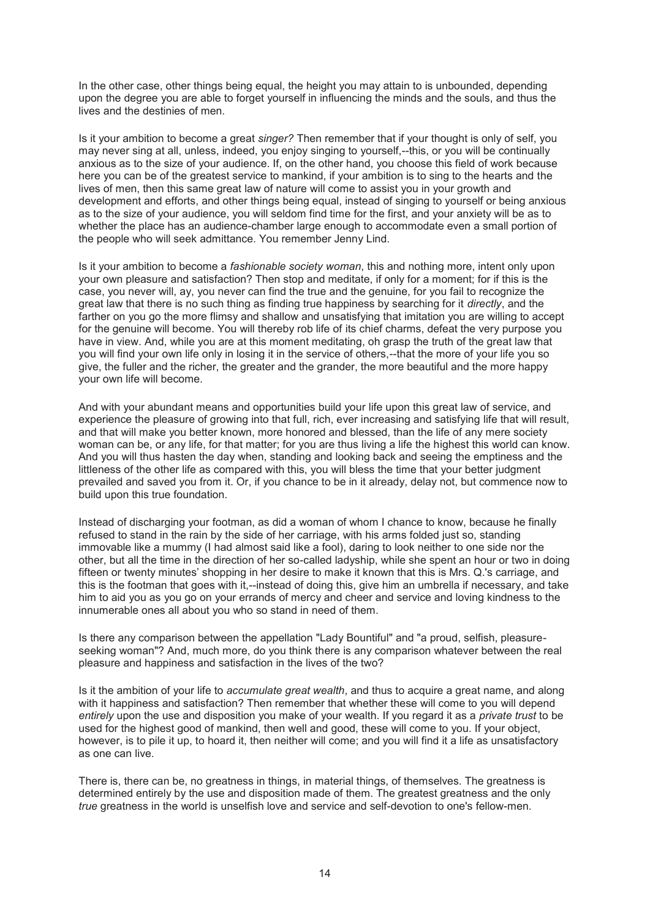In the other case, other things being equal, the height you may attain to is unbounded, depending upon the degree you are able to forget yourself in influencing the minds and the souls, and thus the lives and the destinies of men.

Is it your ambition to become a great *singer?* Then remember that if your thought is only of self, you may never sing at all, unless, indeed, you enjoy singing to yourself,--this, or you will be continually anxious as to the size of your audience. If, on the other hand, you choose this field of work because here you can be of the greatest service to mankind, if your ambition is to sing to the hearts and the lives of men, then this same great law of nature will come to assist you in your growth and development and efforts, and other things being equal, instead of singing to yourself or being anxious as to the size of your audience, you will seldom find time for the first, and your anxiety will be as to whether the place has an audience-chamber large enough to accommodate even a small portion of the people who will seek admittance. You remember Jenny Lind.

Is it your ambition to become a *fashionable society woman*, this and nothing more, intent only upon your own pleasure and satisfaction? Then stop and meditate, if only for a moment; for if this is the case, you never will, ay, you never can find the true and the genuine, for you fail to recognize the great law that there is no such thing as finding true happiness by searching for it *directly*, and the farther on you go the more flimsy and shallow and unsatisfying that imitation you are willing to accept for the genuine will become. You will thereby rob life of its chief charms, defeat the very purpose you have in view. And, while you are at this moment meditating, oh grasp the truth of the great law that you will find your own life only in losing it in the service of others,--that the more of your life you so give, the fuller and the richer, the greater and the grander, the more beautiful and the more happy your own life will become.

And with your abundant means and opportunities build your life upon this great law of service, and experience the pleasure of growing into that full, rich, ever increasing and satisfying life that will result, and that will make you better known, more honored and blessed, than the life of any mere society woman can be, or any life, for that matter; for you are thus living a life the highest this world can know. And you will thus hasten the day when, standing and looking back and seeing the emptiness and the littleness of the other life as compared with this, you will bless the time that your better judgment prevailed and saved you from it. Or, if you chance to be in it already, delay not, but commence now to build upon this true foundation.

Instead of discharging your footman, as did a woman of whom I chance to know, because he finally refused to stand in the rain by the side of her carriage, with his arms folded just so, standing immovable like a mummy (I had almost said like a fool), daring to look neither to one side nor the other, but all the time in the direction of her so-called ladyship, while she spent an hour or two in doing fifteen or twenty minutes' shopping in her desire to make it known that this is Mrs. Q.'s carriage, and this is the footman that goes with it,--instead of doing this, give him an umbrella if necessary, and take him to aid you as you go on your errands of mercy and cheer and service and loving kindness to the innumerable ones all about you who so stand in need of them.

Is there any comparison between the appellation "Lady Bountiful" and "a proud, selfish, pleasureseeking woman"? And, much more, do you think there is any comparison whatever between the real pleasure and happiness and satisfaction in the lives of the two?

Is it the ambition of your life to *accumulate great wealth*, and thus to acquire a great name, and along with it happiness and satisfaction? Then remember that whether these will come to you will depend *entirely* upon the use and disposition you make of your wealth. If you regard it as a *private trust* to be used for the highest good of mankind, then well and good, these will come to you. If your object, however, is to pile it up, to hoard it, then neither will come; and you will find it a life as unsatisfactory as one can live.

There is, there can be, no greatness in things, in material things, of themselves. The greatness is determined entirely by the use and disposition made of them. The greatest greatness and the only *true* greatness in the world is unselfish love and service and self-devotion to one's fellow-men.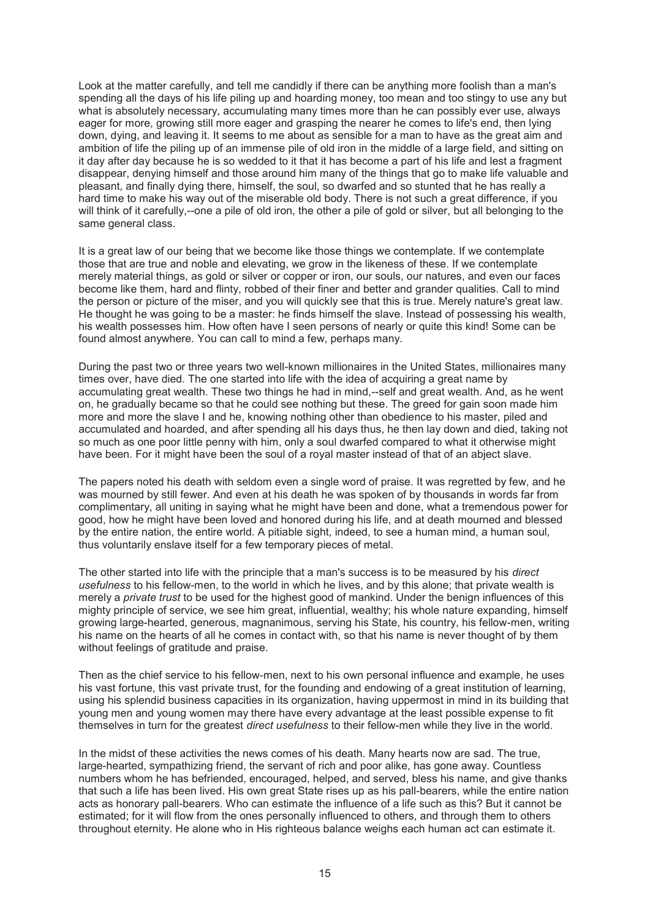Look at the matter carefully, and tell me candidly if there can be anything more foolish than a man's spending all the days of his life piling up and hoarding money, too mean and too stingy to use any but what is absolutely necessary, accumulating many times more than he can possibly ever use, always eager for more, growing still more eager and grasping the nearer he comes to life's end, then lying down, dying, and leaving it. It seems to me about as sensible for a man to have as the great aim and ambition of life the piling up of an immense pile of old iron in the middle of a large field, and sitting on it day after day because he is so wedded to it that it has become a part of his life and lest a fragment disappear, denying himself and those around him many of the things that go to make life valuable and pleasant, and finally dying there, himself, the soul, so dwarfed and so stunted that he has really a hard time to make his way out of the miserable old body. There is not such a great difference, if you will think of it carefully,--one a pile of old iron, the other a pile of gold or silver, but all belonging to the same general class.

It is a great law of our being that we become like those things we contemplate. If we contemplate those that are true and noble and elevating, we grow in the likeness of these. If we contemplate merely material things, as gold or silver or copper or iron, our souls, our natures, and even our faces become like them, hard and flinty, robbed of their finer and better and grander qualities. Call to mind the person or picture of the miser, and you will quickly see that this is true. Merely nature's great law. He thought he was going to be a master: he finds himself the slave. Instead of possessing his wealth, his wealth possesses him. How often have I seen persons of nearly or quite this kind! Some can be found almost anywhere. You can call to mind a few, perhaps many.

During the past two or three years two well-known millionaires in the United States, millionaires many times over, have died. The one started into life with the idea of acquiring a great name by accumulating great wealth. These two things he had in mind,--self and great wealth. And, as he went on, he gradually became so that he could see nothing but these. The greed for gain soon made him more and more the slave I and he, knowing nothing other than obedience to his master, piled and accumulated and hoarded, and after spending all his days thus, he then lay down and died, taking not so much as one poor little penny with him, only a soul dwarfed compared to what it otherwise might have been. For it might have been the soul of a royal master instead of that of an abject slave.

The papers noted his death with seldom even a single word of praise. It was regretted by few, and he was mourned by still fewer. And even at his death he was spoken of by thousands in words far from complimentary, all uniting in saying what he might have been and done, what a tremendous power for good, how he might have been loved and honored during his life, and at death mourned and blessed by the entire nation, the entire world. A pitiable sight, indeed, to see a human mind, a human soul, thus voluntarily enslave itself for a few temporary pieces of metal.

The other started into life with the principle that a man's success is to be measured by his *direct usefulness* to his fellow-men, to the world in which he lives, and by this alone; that private wealth is merely a *private trust* to be used for the highest good of mankind. Under the benign influences of this mighty principle of service, we see him great, influential, wealthy; his whole nature expanding, himself growing large-hearted, generous, magnanimous, serving his State, his country, his fellow-men, writing his name on the hearts of all he comes in contact with, so that his name is never thought of by them without feelings of gratitude and praise.

Then as the chief service to his fellow-men, next to his own personal influence and example, he uses his vast fortune, this vast private trust, for the founding and endowing of a great institution of learning, using his splendid business capacities in its organization, having uppermost in mind in its building that young men and young women may there have every advantage at the least possible expense to fit themselves in turn for the greatest *direct usefulness* to their fellow-men while they live in the world.

In the midst of these activities the news comes of his death. Many hearts now are sad. The true, large-hearted, sympathizing friend, the servant of rich and poor alike, has gone away. Countless numbers whom he has befriended, encouraged, helped, and served, bless his name, and give thanks that such a life has been lived. His own great State rises up as his pall-bearers, while the entire nation acts as honorary pall-bearers. Who can estimate the influence of a life such as this? But it cannot be estimated; for it will flow from the ones personally influenced to others, and through them to others throughout eternity. He alone who in His righteous balance weighs each human act can estimate it.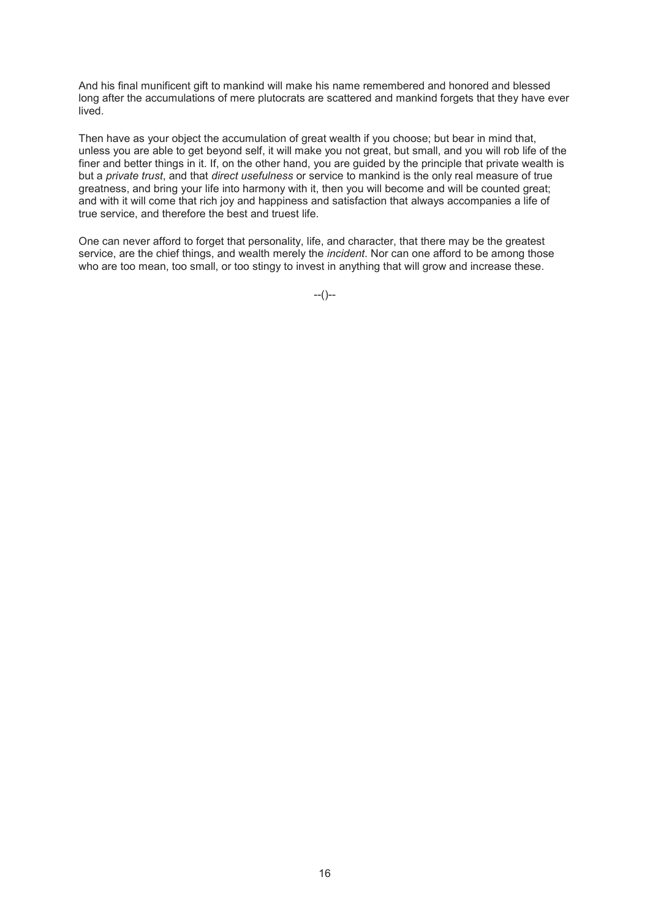And his final munificent gift to mankind will make his name remembered and honored and blessed long after the accumulations of mere plutocrats are scattered and mankind forgets that they have ever lived.

Then have as your object the accumulation of great wealth if you choose; but bear in mind that, unless you are able to get beyond self, it will make you not great, but small, and you will rob life of the finer and better things in it. If, on the other hand, you are guided by the principle that private wealth is but a *private trust*, and that *direct usefulness* or service to mankind is the only real measure of true greatness, and bring your life into harmony with it, then you will become and will be counted great; and with it will come that rich joy and happiness and satisfaction that always accompanies a life of true service, and therefore the best and truest life.

One can never afford to forget that personality, life, and character, that there may be the greatest service, are the chief things, and wealth merely the *incident*. Nor can one afford to be among those who are too mean, too small, or too stingy to invest in anything that will grow and increase these.

--()--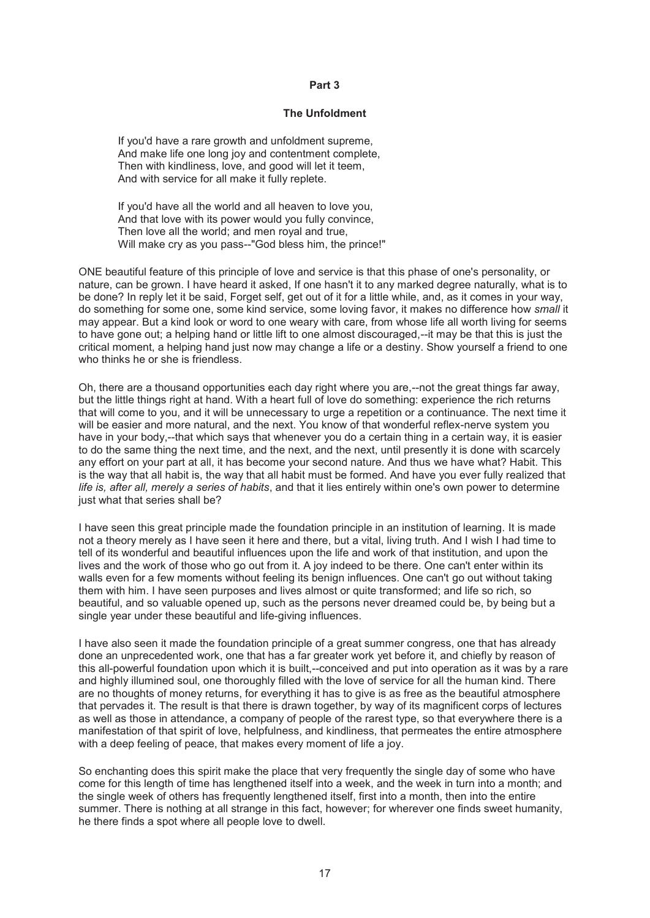#### **Part 3**

#### **The Unfoldment**

If you'd have a rare growth and unfoldment supreme, And make life one long joy and contentment complete, Then with kindliness, love, and good will let it teem, And with service for all make it fully replete.

If you'd have all the world and all heaven to love you, And that love with its power would you fully convince, Then love all the world; and men royal and true, Will make cry as you pass--"God bless him, the prince!"

ONE beautiful feature of this principle of love and service is that this phase of one's personality, or nature, can be grown. I have heard it asked, If one hasn't it to any marked degree naturally, what is to be done? In reply let it be said, Forget self, get out of it for a little while, and, as it comes in your way, do something for some one, some kind service, some loving favor, it makes no difference how *small* it may appear. But a kind look or word to one weary with care, from whose life all worth living for seems to have gone out; a helping hand or little lift to one almost discouraged,--it may be that this is just the critical moment, a helping hand just now may change a life or a destiny. Show yourself a friend to one who thinks he or she is friendless.

Oh, there are a thousand opportunities each day right where you are,--not the great things far away, but the little things right at hand. With a heart full of love do something: experience the rich returns that will come to you, and it will be unnecessary to urge a repetition or a continuance. The next time it will be easier and more natural, and the next. You know of that wonderful reflex-nerve system you have in your body,--that which says that whenever you do a certain thing in a certain way, it is easier to do the same thing the next time, and the next, and the next, until presently it is done with scarcely any effort on your part at all, it has become your second nature. And thus we have what? Habit. This is the way that all habit is, the way that all habit must be formed. And have you ever fully realized that *life is, after all, merely a series of habits*, and that it lies entirely within one's own power to determine just what that series shall be?

I have seen this great principle made the foundation principle in an institution of learning. It is made not a theory merely as I have seen it here and there, but a vital, living truth. And I wish I had time to tell of its wonderful and beautiful influences upon the life and work of that institution, and upon the lives and the work of those who go out from it. A joy indeed to be there. One can't enter within its walls even for a few moments without feeling its benign influences. One can't go out without taking them with him. I have seen purposes and lives almost or quite transformed; and life so rich, so beautiful, and so valuable opened up, such as the persons never dreamed could be, by being but a single year under these beautiful and life-giving influences.

I have also seen it made the foundation principle of a great summer congress, one that has already done an unprecedented work, one that has a far greater work yet before it, and chiefly by reason of this all-powerful foundation upon which it is built,--conceived and put into operation as it was by a rare and highly illumined soul, one thoroughly filled with the love of service for all the human kind. There are no thoughts of money returns, for everything it has to give is as free as the beautiful atmosphere that pervades it. The result is that there is drawn together, by way of its magnificent corps of lectures as well as those in attendance, a company of people of the rarest type, so that everywhere there is a manifestation of that spirit of love, helpfulness, and kindliness, that permeates the entire atmosphere with a deep feeling of peace, that makes every moment of life a joy.

So enchanting does this spirit make the place that very frequently the single day of some who have come for this length of time has lengthened itself into a week, and the week in turn into a month; and the single week of others has frequently lengthened itself, first into a month, then into the entire summer. There is nothing at all strange in this fact, however; for wherever one finds sweet humanity, he there finds a spot where all people love to dwell.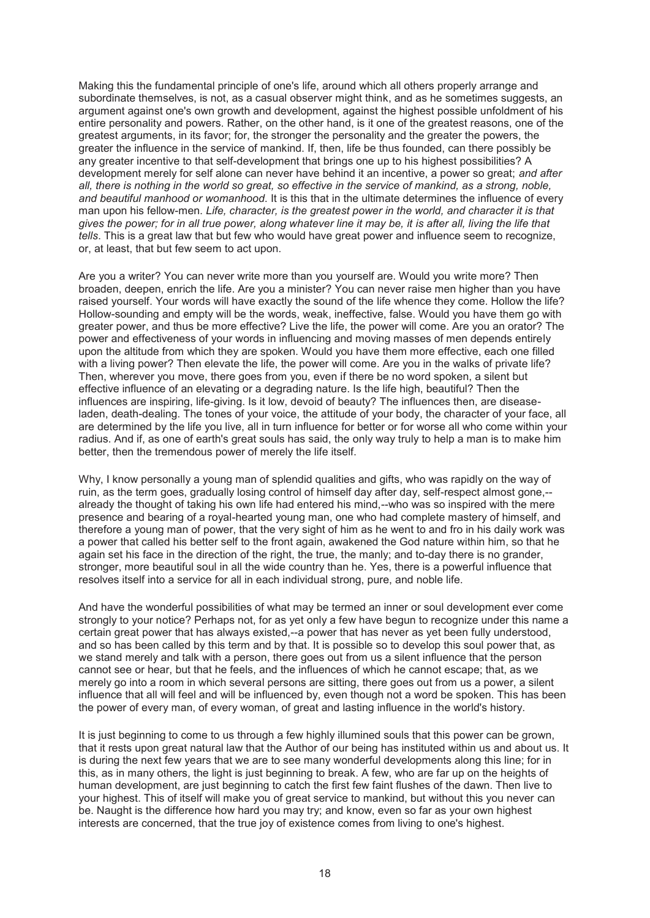Making this the fundamental principle of one's life, around which all others properly arrange and subordinate themselves, is not, as a casual observer might think, and as he sometimes suggests, an argument against one's own growth and development, against the highest possible unfoldment of his entire personality and powers. Rather, on the other hand, is it one of the greatest reasons, one of the greatest arguments, in its favor; for, the stronger the personality and the greater the powers, the greater the influence in the service of mankind. If, then, life be thus founded, can there possibly be any greater incentive to that self-development that brings one up to his highest possibilities? A development merely for self alone can never have behind it an incentive, a power so great; *and after*  all, there is nothing in the world so great, so effective in the service of mankind, as a strong, noble, *and beautiful manhood or womanhood*. It is this that in the ultimate determines the influence of every man upon his fellow-men. *Life, character, is the greatest power in the world, and character it is that gives the power; for in all true power, along whatever line it may be, it is after all, living the life that tells*. This is a great law that but few who would have great power and influence seem to recognize, or, at least, that but few seem to act upon.

Are you a writer? You can never write more than you yourself are. Would you write more? Then broaden, deepen, enrich the life. Are you a minister? You can never raise men higher than you have raised yourself. Your words will have exactly the sound of the life whence they come. Hollow the life? Hollow-sounding and empty will be the words, weak, ineffective, false. Would you have them go with greater power, and thus be more effective? Live the life, the power will come. Are you an orator? The power and effectiveness of your words in influencing and moving masses of men depends entirely upon the altitude from which they are spoken. Would you have them more effective, each one filled with a living power? Then elevate the life, the power will come. Are you in the walks of private life? Then, wherever you move, there goes from you, even if there be no word spoken, a silent but effective influence of an elevating or a degrading nature. Is the life high, beautiful? Then the influences are inspiring, life-giving. Is it low, devoid of beauty? The influences then, are diseaseladen, death-dealing. The tones of your voice, the attitude of your body, the character of your face, all are determined by the life you live, all in turn influence for better or for worse all who come within your radius. And if, as one of earth's great souls has said, the only way truly to help a man is to make him better, then the tremendous power of merely the life itself.

Why, I know personally a young man of splendid qualities and gifts, who was rapidly on the way of ruin, as the term goes, gradually losing control of himself day after day, self-respect almost gone,- already the thought of taking his own life had entered his mind,--who was so inspired with the mere presence and bearing of a royal-hearted young man, one who had complete mastery of himself, and therefore a young man of power, that the very sight of him as he went to and fro in his daily work was a power that called his better self to the front again, awakened the God nature within him, so that he again set his face in the direction of the right, the true, the manly; and to-day there is no grander, stronger, more beautiful soul in all the wide country than he. Yes, there is a powerful influence that resolves itself into a service for all in each individual strong, pure, and noble life.

And have the wonderful possibilities of what may be termed an inner or soul development ever come strongly to your notice? Perhaps not, for as yet only a few have begun to recognize under this name a certain great power that has always existed,--a power that has never as yet been fully understood, and so has been called by this term and by that. It is possible so to develop this soul power that, as we stand merely and talk with a person, there goes out from us a silent influence that the person cannot see or hear, but that he feels, and the influences of which he cannot escape; that, as we merely go into a room in which several persons are sitting, there goes out from us a power, a silent influence that all will feel and will be influenced by, even though not a word be spoken. This has been the power of every man, of every woman, of great and lasting influence in the world's history.

It is just beginning to come to us through a few highly illumined souls that this power can be grown, that it rests upon great natural law that the Author of our being has instituted within us and about us. It is during the next few years that we are to see many wonderful developments along this line; for in this, as in many others, the light is just beginning to break. A few, who are far up on the heights of human development, are just beginning to catch the first few faint flushes of the dawn. Then live to your highest. This of itself will make you of great service to mankind, but without this you never can be. Naught is the difference how hard you may try; and know, even so far as your own highest interests are concerned, that the true joy of existence comes from living to one's highest.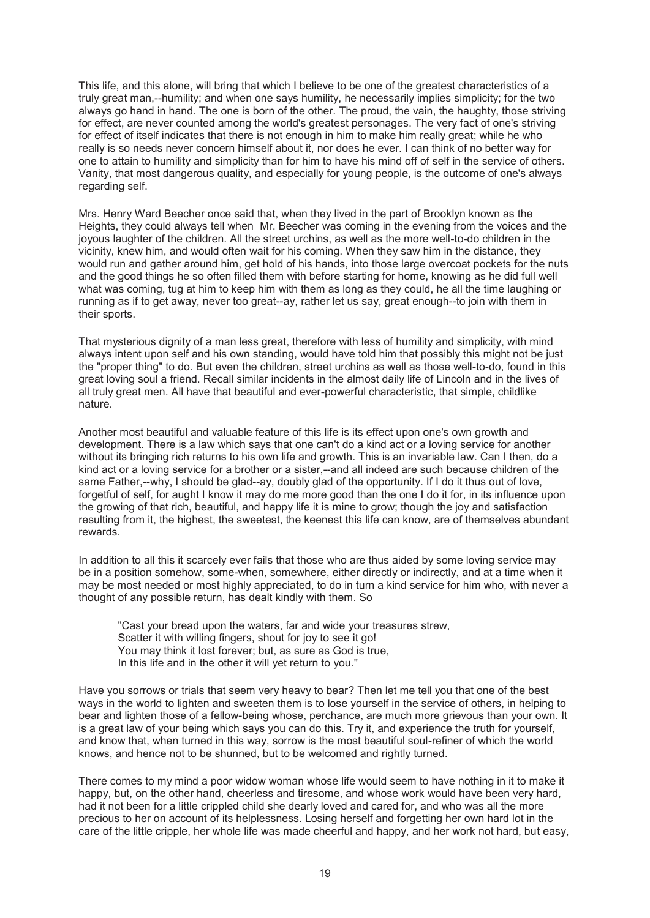This life, and this alone, will bring that which I believe to be one of the greatest characteristics of a truly great man,--humility; and when one says humility, he necessarily implies simplicity; for the two always go hand in hand. The one is born of the other. The proud, the vain, the haughty, those striving for effect, are never counted among the world's greatest personages. The very fact of one's striving for effect of itself indicates that there is not enough in him to make him really great; while he who really is so needs never concern himself about it, nor does he ever. I can think of no better way for one to attain to humility and simplicity than for him to have his mind off of self in the service of others. Vanity, that most dangerous quality, and especially for young people, is the outcome of one's always regarding self.

Mrs. Henry Ward Beecher once said that, when they lived in the part of Brooklyn known as the Heights, they could always tell when Mr. Beecher was coming in the evening from the voices and the joyous laughter of the children. All the street urchins, as well as the more well-to-do children in the vicinity, knew him, and would often wait for his coming. When they saw him in the distance, they would run and gather around him, get hold of his hands, into those large overcoat pockets for the nuts and the good things he so often filled them with before starting for home, knowing as he did full well what was coming, tug at him to keep him with them as long as they could, he all the time laughing or running as if to get away, never too great--ay, rather let us say, great enough--to join with them in their sports.

That mysterious dignity of a man less great, therefore with less of humility and simplicity, with mind always intent upon self and his own standing, would have told him that possibly this might not be just the "proper thing" to do. But even the children, street urchins as well as those well-to-do, found in this great loving soul a friend. Recall similar incidents in the almost daily life of Lincoln and in the lives of all truly great men. All have that beautiful and ever-powerful characteristic, that simple, childlike nature.

Another most beautiful and valuable feature of this life is its effect upon one's own growth and development. There is a law which says that one can't do a kind act or a loving service for another without its bringing rich returns to his own life and growth. This is an invariable law. Can I then, do a kind act or a loving service for a brother or a sister,--and all indeed are such because children of the same Father,--why, I should be glad--ay, doubly glad of the opportunity. If I do it thus out of love, forgetful of self, for aught I know it may do me more good than the one I do it for, in its influence upon the growing of that rich, beautiful, and happy life it is mine to grow; though the joy and satisfaction resulting from it, the highest, the sweetest, the keenest this life can know, are of themselves abundant rewards.

In addition to all this it scarcely ever fails that those who are thus aided by some loving service may be in a position somehow, some-when, somewhere, either directly or indirectly, and at a time when it may be most needed or most highly appreciated, to do in turn a kind service for him who, with never a thought of any possible return, has dealt kindly with them. So

"Cast your bread upon the waters, far and wide your treasures strew, Scatter it with willing fingers, shout for joy to see it go! You may think it lost forever; but, as sure as God is true, In this life and in the other it will yet return to you."

Have you sorrows or trials that seem very heavy to bear? Then let me tell you that one of the best ways in the world to lighten and sweeten them is to lose yourself in the service of others, in helping to bear and lighten those of a fellow-being whose, perchance, are much more grievous than your own. It is a great law of your being which says you can do this. Try it, and experience the truth for yourself, and know that, when turned in this way, sorrow is the most beautiful soul-refiner of which the world knows, and hence not to be shunned, but to be welcomed and rightly turned.

There comes to my mind a poor widow woman whose life would seem to have nothing in it to make it happy, but, on the other hand, cheerless and tiresome, and whose work would have been very hard, had it not been for a little crippled child she dearly loved and cared for, and who was all the more precious to her on account of its helplessness. Losing herself and forgetting her own hard lot in the care of the little cripple, her whole life was made cheerful and happy, and her work not hard, but easy,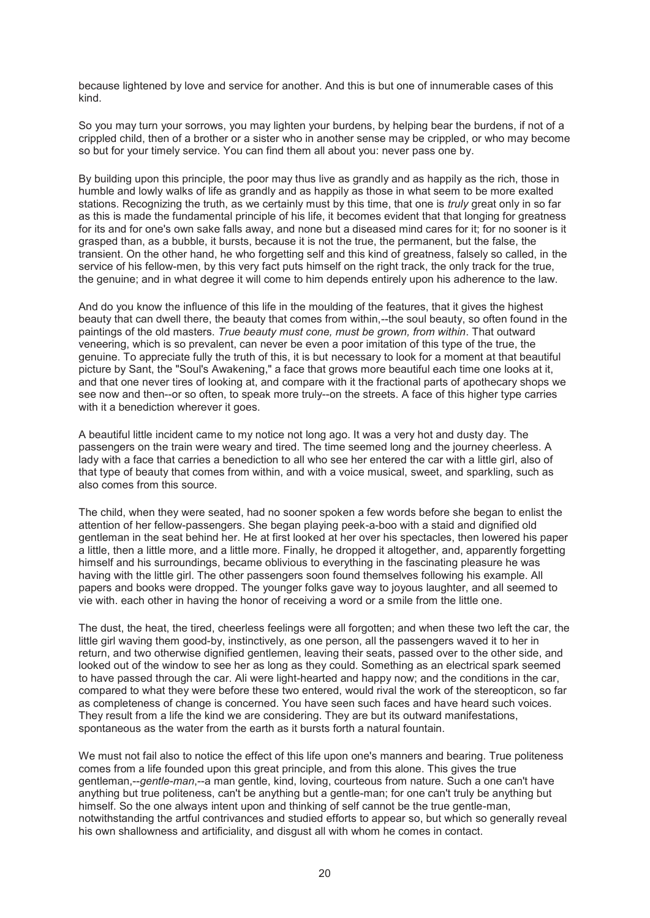because lightened by love and service for another. And this is but one of innumerable cases of this kind.

So you may turn your sorrows, you may lighten your burdens, by helping bear the burdens, if not of a crippled child, then of a brother or a sister who in another sense may be crippled, or who may become so but for your timely service. You can find them all about you: never pass one by.

By building upon this principle, the poor may thus live as grandly and as happily as the rich, those in humble and lowly walks of life as grandly and as happily as those in what seem to be more exalted stations. Recognizing the truth, as we certainly must by this time, that one is *truly* great only in so far as this is made the fundamental principle of his life, it becomes evident that that longing for greatness for its and for one's own sake falls away, and none but a diseased mind cares for it; for no sooner is it grasped than, as a bubble, it bursts, because it is not the true, the permanent, but the false, the transient. On the other hand, he who forgetting self and this kind of greatness, falsely so called, in the service of his fellow-men, by this very fact puts himself on the right track, the only track for the true, the genuine; and in what degree it will come to him depends entirely upon his adherence to the law.

And do you know the influence of this life in the moulding of the features, that it gives the highest beauty that can dwell there, the beauty that comes from within,--the soul beauty, so often found in the paintings of the old masters. *True beauty must cone, must be grown, from within*. That outward veneering, which is so prevalent, can never be even a poor imitation of this type of the true, the genuine. To appreciate fully the truth of this, it is but necessary to look for a moment at that beautiful picture by Sant, the "Soul's Awakening," a face that grows more beautiful each time one looks at it, and that one never tires of looking at, and compare with it the fractional parts of apothecary shops we see now and then--or so often, to speak more truly--on the streets. A face of this higher type carries with it a benediction wherever it goes.

A beautiful little incident came to my notice not long ago. It was a very hot and dusty day. The passengers on the train were weary and tired. The time seemed long and the journey cheerless. A lady with a face that carries a benediction to all who see her entered the car with a little girl, also of that type of beauty that comes from within, and with a voice musical, sweet, and sparkling, such as also comes from this source.

The child, when they were seated, had no sooner spoken a few words before she began to enlist the attention of her fellow-passengers. She began playing peek-a-boo with a staid and dignified old gentleman in the seat behind her. He at first looked at her over his spectacles, then lowered his paper a little, then a little more, and a little more. Finally, he dropped it altogether, and, apparently forgetting himself and his surroundings, became oblivious to everything in the fascinating pleasure he was having with the little girl. The other passengers soon found themselves following his example. All papers and books were dropped. The younger folks gave way to joyous laughter, and all seemed to vie with. each other in having the honor of receiving a word or a smile from the little one.

The dust, the heat, the tired, cheerless feelings were all forgotten; and when these two left the car, the little girl waving them good-by, instinctively, as one person, all the passengers waved it to her in return, and two otherwise dignified gentlemen, leaving their seats, passed over to the other side, and looked out of the window to see her as long as they could. Something as an electrical spark seemed to have passed through the car. Ali were light-hearted and happy now; and the conditions in the car, compared to what they were before these two entered, would rival the work of the stereopticon, so far as completeness of change is concerned. You have seen such faces and have heard such voices. They result from a life the kind we are considering. They are but its outward manifestations, spontaneous as the water from the earth as it bursts forth a natural fountain.

We must not fail also to notice the effect of this life upon one's manners and bearing. True politeness comes from a life founded upon this great principle, and from this alone. This gives the true gentleman,--*gentle-man*,--a man gentle, kind, loving, courteous from nature. Such a one can't have anything but true politeness, can't be anything but a gentle-man; for one can't truly be anything but himself. So the one always intent upon and thinking of self cannot be the true gentle-man, notwithstanding the artful contrivances and studied efforts to appear so, but which so generally reveal his own shallowness and artificiality, and disgust all with whom he comes in contact.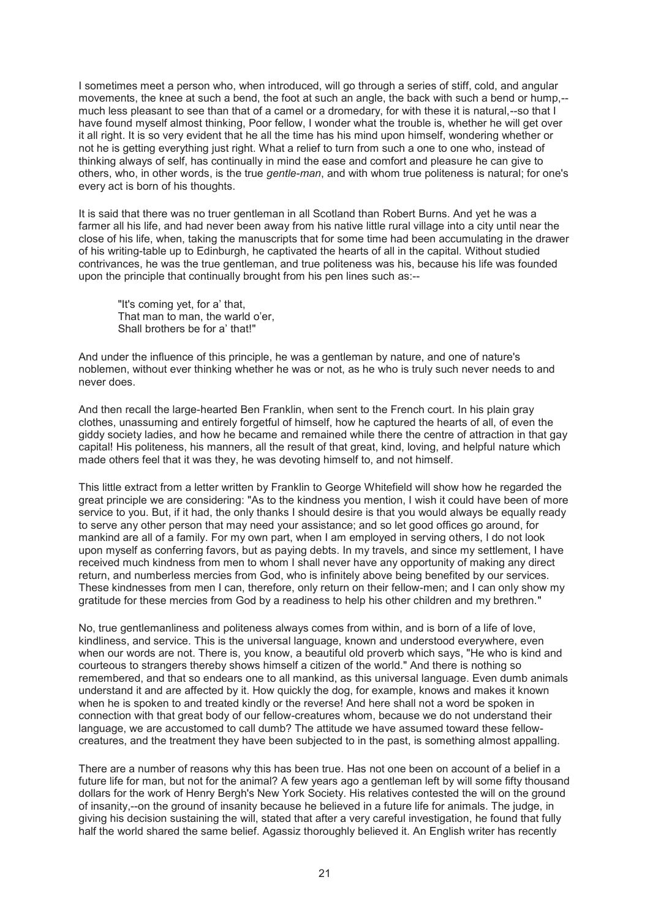I sometimes meet a person who, when introduced, will go through a series of stiff, cold, and angular movements, the knee at such a bend, the foot at such an angle, the back with such a bend or hump,- much less pleasant to see than that of a camel or a dromedary, for with these it is natural,--so that I have found myself almost thinking, Poor fellow, I wonder what the trouble is, whether he will get over it all right. It is so very evident that he all the time has his mind upon himself, wondering whether or not he is getting everything just right. What a relief to turn from such a one to one who, instead of thinking always of self, has continually in mind the ease and comfort and pleasure he can give to others, who, in other words, is the true *gentle-man*, and with whom true politeness is natural; for one's every act is born of his thoughts.

It is said that there was no truer gentleman in all Scotland than Robert Burns. And yet he was a farmer all his life, and had never been away from his native little rural village into a city until near the close of his life, when, taking the manuscripts that for some time had been accumulating in the drawer of his writing-table up to Edinburgh, he captivated the hearts of all in the capital. Without studied contrivances, he was the true gentleman, and true politeness was his, because his life was founded upon the principle that continually brought from his pen lines such as:--

"It's coming yet, for a' that, That man to man, the warld o'er, Shall brothers be for a' that!"

And under the influence of this principle, he was a gentleman by nature, and one of nature's noblemen, without ever thinking whether he was or not, as he who is truly such never needs to and never does.

And then recall the large-hearted Ben Franklin, when sent to the French court. In his plain gray clothes, unassuming and entirely forgetful of himself, how he captured the hearts of all, of even the giddy society ladies, and how he became and remained while there the centre of attraction in that gay capital! His politeness, his manners, all the result of that great, kind, loving, and helpful nature which made others feel that it was they, he was devoting himself to, and not himself.

This little extract from a letter written by Franklin to George Whitefield will show how he regarded the great principle we are considering: "As to the kindness you mention, I wish it could have been of more service to you. But, if it had, the only thanks I should desire is that you would always be equally ready to serve any other person that may need your assistance; and so let good offices go around, for mankind are all of a family. For my own part, when I am employed in serving others, I do not look upon myself as conferring favors, but as paying debts. In my travels, and since my settlement, I have received much kindness from men to whom I shall never have any opportunity of making any direct return, and numberless mercies from God, who is infinitely above being benefited by our services. These kindnesses from men I can, therefore, only return on their fellow-men; and I can only show my gratitude for these mercies from God by a readiness to help his other children and my brethren."

No, true gentlemanliness and politeness always comes from within, and is born of a life of love, kindliness, and service. This is the universal language, known and understood everywhere, even when our words are not. There is, you know, a beautiful old proverb which says, "He who is kind and courteous to strangers thereby shows himself a citizen of the world." And there is nothing so remembered, and that so endears one to all mankind, as this universal language. Even dumb animals understand it and are affected by it. How quickly the dog, for example, knows and makes it known when he is spoken to and treated kindly or the reverse! And here shall not a word be spoken in connection with that great body of our fellow-creatures whom, because we do not understand their language, we are accustomed to call dumb? The attitude we have assumed toward these fellowcreatures, and the treatment they have been subjected to in the past, is something almost appalling.

There are a number of reasons why this has been true. Has not one been on account of a belief in a future life for man, but not for the animal? A few years ago a gentleman left by will some fifty thousand dollars for the work of Henry Bergh's New York Society. His relatives contested the will on the ground of insanity,--on the ground of insanity because he believed in a future life for animals. The judge, in giving his decision sustaining the will, stated that after a very careful investigation, he found that fully half the world shared the same belief. Agassiz thoroughly believed it. An English writer has recently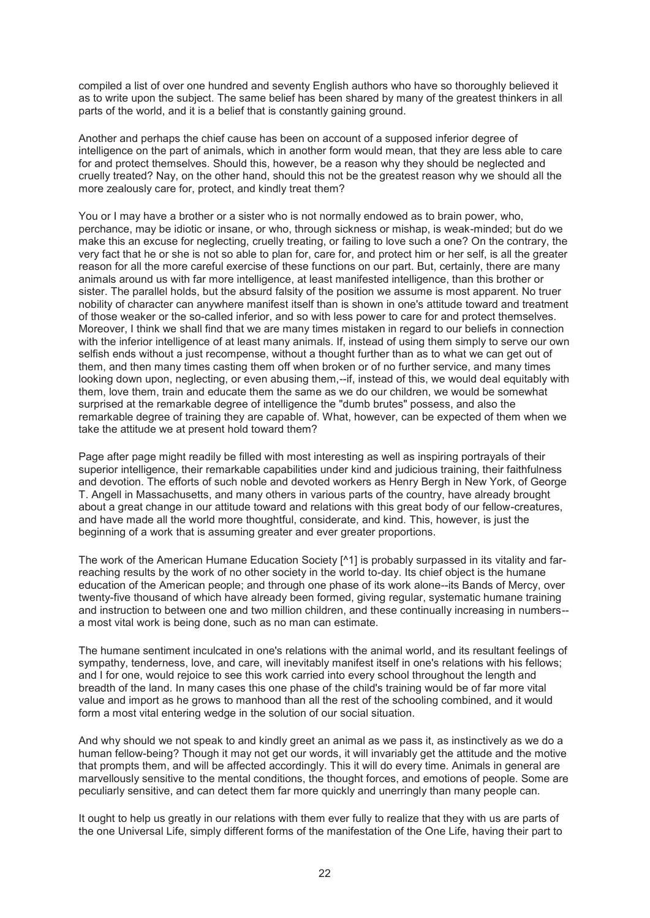compiled a list of over one hundred and seventy English authors who have so thoroughly believed it as to write upon the subject. The same belief has been shared by many of the greatest thinkers in all parts of the world, and it is a belief that is constantly gaining ground.

Another and perhaps the chief cause has been on account of a supposed inferior degree of intelligence on the part of animals, which in another form would mean, that they are less able to care for and protect themselves. Should this, however, be a reason why they should be neglected and cruelly treated? Nay, on the other hand, should this not be the greatest reason why we should all the more zealously care for, protect, and kindly treat them?

You or I may have a brother or a sister who is not normally endowed as to brain power, who, perchance, may be idiotic or insane, or who, through sickness or mishap, is weak-minded; but do we make this an excuse for neglecting, cruelly treating, or failing to love such a one? On the contrary, the very fact that he or she is not so able to plan for, care for, and protect him or her self, is all the greater reason for all the more careful exercise of these functions on our part. But, certainly, there are many animals around us with far more intelligence, at least manifested intelligence, than this brother or sister. The parallel holds, but the absurd falsity of the position we assume is most apparent. No truer nobility of character can anywhere manifest itself than is shown in one's attitude toward and treatment of those weaker or the so-called inferior, and so with less power to care for and protect themselves. Moreover, I think we shall find that we are many times mistaken in regard to our beliefs in connection with the inferior intelligence of at least many animals. If, instead of using them simply to serve our own selfish ends without a just recompense, without a thought further than as to what we can get out of them, and then many times casting them off when broken or of no further service, and many times looking down upon, neglecting, or even abusing them,--if, instead of this, we would deal equitably with them, love them, train and educate them the same as we do our children, we would be somewhat surprised at the remarkable degree of intelligence the "dumb brutes" possess, and also the remarkable degree of training they are capable of. What, however, can be expected of them when we take the attitude we at present hold toward them?

Page after page might readily be filled with most interesting as well as inspiring portrayals of their superior intelligence, their remarkable capabilities under kind and judicious training, their faithfulness and devotion. The efforts of such noble and devoted workers as Henry Bergh in New York, of George T. Angell in Massachusetts, and many others in various parts of the country, have already brought about a great change in our attitude toward and relations with this great body of our fellow-creatures, and have made all the world more thoughtful, considerate, and kind. This, however, is just the beginning of a work that is assuming greater and ever greater proportions.

The work of the American Humane Education Society [^1] is probably surpassed in its vitality and farreaching results by the work of no other society in the world to-day. Its chief object is the humane education of the American people; and through one phase of its work alone--its Bands of Mercy, over twenty-five thousand of which have already been formed, giving regular, systematic humane training and instruction to between one and two million children, and these continually increasing in numbers- a most vital work is being done, such as no man can estimate.

The humane sentiment inculcated in one's relations with the animal world, and its resultant feelings of sympathy, tenderness, love, and care, will inevitably manifest itself in one's relations with his fellows; and I for one, would rejoice to see this work carried into every school throughout the length and breadth of the land. In many cases this one phase of the child's training would be of far more vital value and import as he grows to manhood than all the rest of the schooling combined, and it would form a most vital entering wedge in the solution of our social situation.

And why should we not speak to and kindly greet an animal as we pass it, as instinctively as we do a human fellow-being? Though it may not get our words, it will invariably get the attitude and the motive that prompts them, and will be affected accordingly. This it will do every time. Animals in general are marvellously sensitive to the mental conditions, the thought forces, and emotions of people. Some are peculiarly sensitive, and can detect them far more quickly and unerringly than many people can.

It ought to help us greatly in our relations with them ever fully to realize that they with us are parts of the one Universal Life, simply different forms of the manifestation of the One Life, having their part to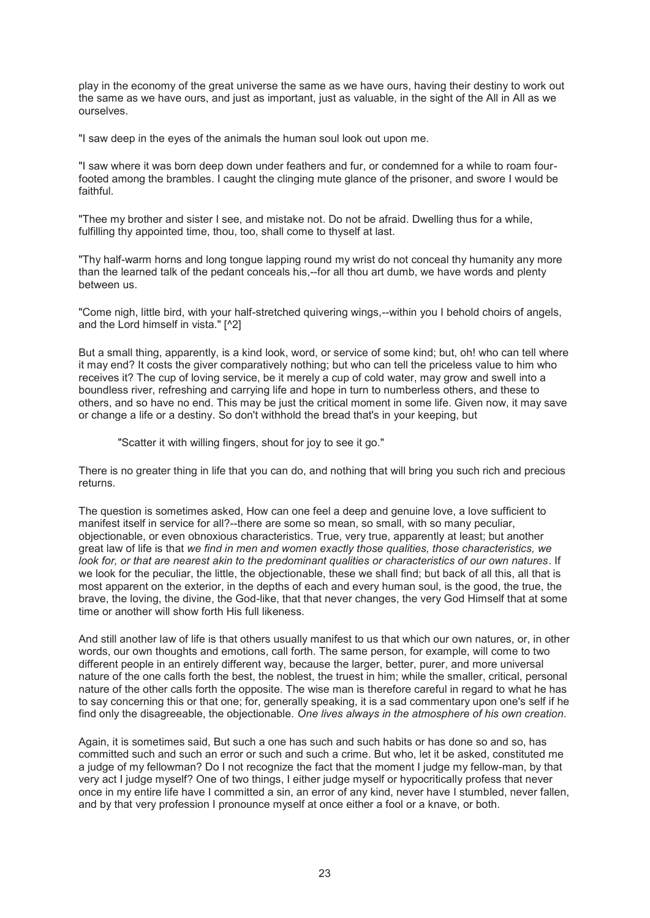play in the economy of the great universe the same as we have ours, having their destiny to work out the same as we have ours, and just as important, just as valuable, in the sight of the All in All as we ourselves.

"I saw deep in the eyes of the animals the human soul look out upon me.

"I saw where it was born deep down under feathers and fur, or condemned for a while to roam fourfooted among the brambles. I caught the clinging mute glance of the prisoner, and swore I would be faithful.

"Thee my brother and sister I see, and mistake not. Do not be afraid. Dwelling thus for a while, fulfilling thy appointed time, thou, too, shall come to thyself at last.

"Thy half-warm horns and long tongue lapping round my wrist do not conceal thy humanity any more than the learned talk of the pedant conceals his,--for all thou art dumb, we have words and plenty between us.

"Come nigh, little bird, with your half-stretched quivering wings,--within you I behold choirs of angels, and the Lord himself in vista." [^2]

But a small thing, apparently, is a kind look, word, or service of some kind; but, oh! who can tell where it may end? It costs the giver comparatively nothing; but who can tell the priceless value to him who receives it? The cup of loving service, be it merely a cup of cold water, may grow and swell into a boundless river, refreshing and carrying life and hope in turn to numberless others, and these to others, and so have no end. This may be just the critical moment in some life. Given now, it may save or change a life or a destiny. So don't withhold the bread that's in your keeping, but

"Scatter it with willing fingers, shout for joy to see it go."

There is no greater thing in life that you can do, and nothing that will bring you such rich and precious returns.

The question is sometimes asked, How can one feel a deep and genuine love, a love sufficient to manifest itself in service for all?--there are some so mean, so small, with so many peculiar, objectionable, or even obnoxious characteristics. True, very true, apparently at least; but another great law of life is that *we find in men and women exactly those qualities, those characteristics, we look for, or that are nearest akin to the predominant qualities or characteristics of our own natures*. If we look for the peculiar, the little, the objectionable, these we shall find; but back of all this, all that is most apparent on the exterior, in the depths of each and every human soul, is the good, the true, the brave, the loving, the divine, the God-like, that that never changes, the very God Himself that at some time or another will show forth His full likeness.

And still another law of life is that others usually manifest to us that which our own natures, or, in other words, our own thoughts and emotions, call forth. The same person, for example, will come to two different people in an entirely different way, because the larger, better, purer, and more universal nature of the one calls forth the best, the noblest, the truest in him; while the smaller, critical, personal nature of the other calls forth the opposite. The wise man is therefore careful in regard to what he has to say concerning this or that one; for, generally speaking, it is a sad commentary upon one's self if he find only the disagreeable, the objectionable. *One lives always in the atmosphere of his own creation*.

Again, it is sometimes said, But such a one has such and such habits or has done so and so, has committed such and such an error or such and such a crime. But who, let it be asked, constituted me a judge of my fellowman? Do I not recognize the fact that the moment I judge my fellow-man, by that very act I judge myself? One of two things, I either judge myself or hypocritically profess that never once in my entire life have I committed a sin, an error of any kind, never have I stumbled, never fallen, and by that very profession I pronounce myself at once either a fool or a knave, or both.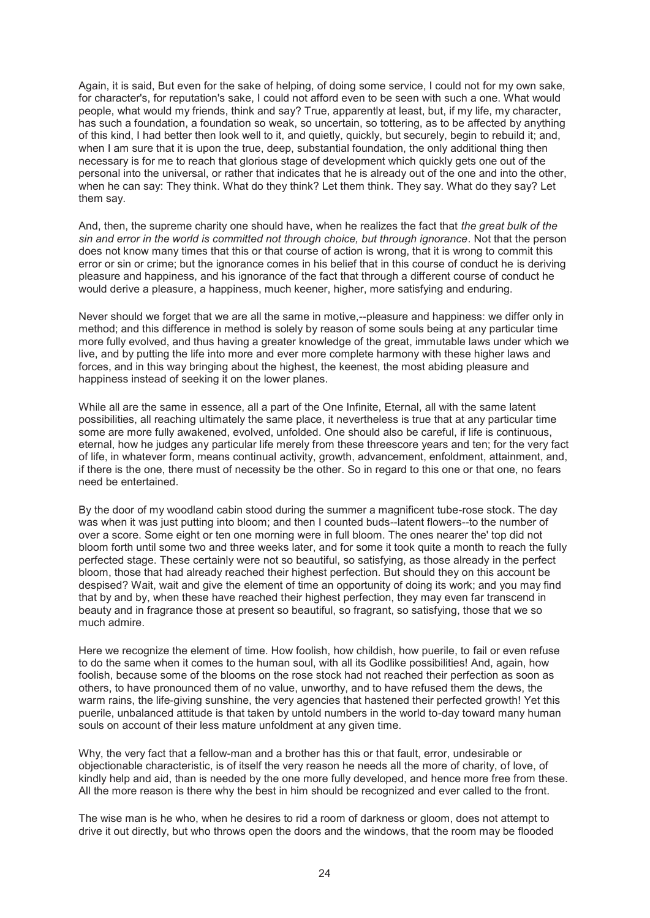Again, it is said, But even for the sake of helping, of doing some service, I could not for my own sake, for character's, for reputation's sake, I could not afford even to be seen with such a one. What would people, what would my friends, think and say? True, apparently at least, but, if my life, my character, has such a foundation, a foundation so weak, so uncertain, so tottering, as to be affected by anything of this kind, I had better then look well to it, and quietly, quickly, but securely, begin to rebuild it; and, when I am sure that it is upon the true, deep, substantial foundation, the only additional thing then necessary is for me to reach that glorious stage of development which quickly gets one out of the personal into the universal, or rather that indicates that he is already out of the one and into the other, when he can say: They think. What do they think? Let them think. They say. What do they say? Let them say.

And, then, the supreme charity one should have, when he realizes the fact that *the great bulk of the sin and error in the world is committed not through choice, but through ignorance*. Not that the person does not know many times that this or that course of action is wrong, that it is wrong to commit this error or sin or crime; but the ignorance comes in his belief that in this course of conduct he is deriving pleasure and happiness, and his ignorance of the fact that through a different course of conduct he would derive a pleasure, a happiness, much keener, higher, more satisfying and enduring.

Never should we forget that we are all the same in motive,--pleasure and happiness: we differ only in method; and this difference in method is solely by reason of some souls being at any particular time more fully evolved, and thus having a greater knowledge of the great, immutable laws under which we live, and by putting the life into more and ever more complete harmony with these higher laws and forces, and in this way bringing about the highest, the keenest, the most abiding pleasure and happiness instead of seeking it on the lower planes.

While all are the same in essence, all a part of the One Infinite, Eternal, all with the same latent possibilities, all reaching ultimately the same place, it nevertheless is true that at any particular time some are more fully awakened, evolved, unfolded. One should also be careful, if life is continuous, eternal, how he judges any particular life merely from these threescore years and ten; for the very fact of life, in whatever form, means continual activity, growth, advancement, enfoldment, attainment, and, if there is the one, there must of necessity be the other. So in regard to this one or that one, no fears need be entertained.

By the door of my woodland cabin stood during the summer a magnificent tube-rose stock. The day was when it was just putting into bloom; and then I counted buds--latent flowers--to the number of over a score. Some eight or ten one morning were in full bloom. The ones nearer the' top did not bloom forth until some two and three weeks later, and for some it took quite a month to reach the fully perfected stage. These certainly were not so beautiful, so satisfying, as those already in the perfect bloom, those that had already reached their highest perfection. But should they on this account be despised? Wait, wait and give the element of time an opportunity of doing its work; and you may find that by and by, when these have reached their highest perfection, they may even far transcend in beauty and in fragrance those at present so beautiful, so fragrant, so satisfying, those that we so much admire.

Here we recognize the element of time. How foolish, how childish, how puerile, to fail or even refuse to do the same when it comes to the human soul, with all its Godlike possibilities! And, again, how foolish, because some of the blooms on the rose stock had not reached their perfection as soon as others, to have pronounced them of no value, unworthy, and to have refused them the dews, the warm rains, the life-giving sunshine, the very agencies that hastened their perfected growth! Yet this puerile, unbalanced attitude is that taken by untold numbers in the world to-day toward many human souls on account of their less mature unfoldment at any given time.

Why, the very fact that a fellow-man and a brother has this or that fault, error, undesirable or objectionable characteristic, is of itself the very reason he needs all the more of charity, of love, of kindly help and aid, than is needed by the one more fully developed, and hence more free from these. All the more reason is there why the best in him should be recognized and ever called to the front.

The wise man is he who, when he desires to rid a room of darkness or gloom, does not attempt to drive it out directly, but who throws open the doors and the windows, that the room may be flooded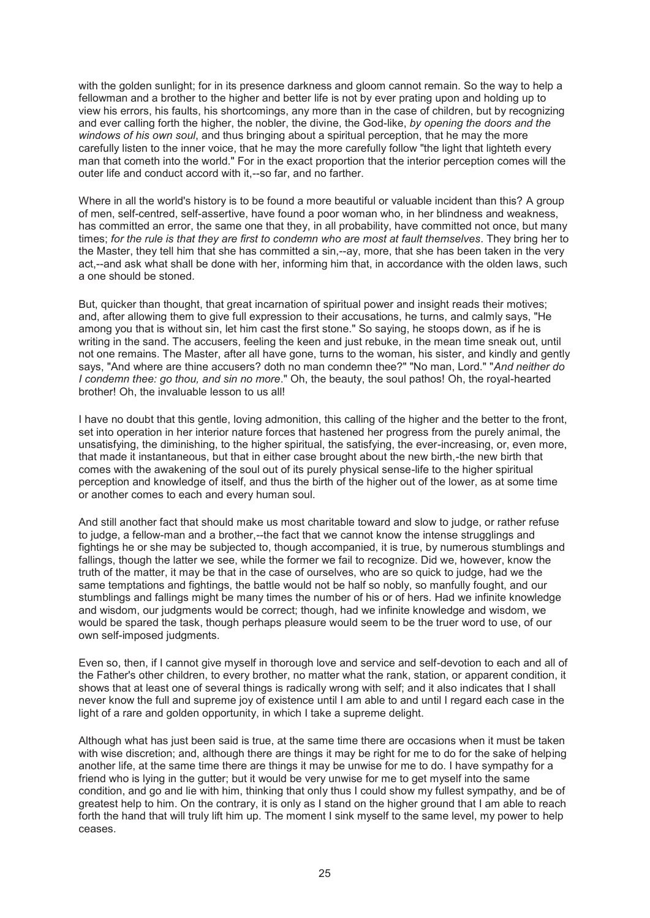with the golden sunlight; for in its presence darkness and gloom cannot remain. So the way to help a fellowman and a brother to the higher and better life is not by ever prating upon and holding up to view his errors, his faults, his shortcomings, any more than in the case of children, but by recognizing and ever calling forth the higher, the nobler, the divine, the God-like, *by opening the doors and the windows of his own soul*, and thus bringing about a spiritual perception, that he may the more carefully listen to the inner voice, that he may the more carefully follow "the light that lighteth every man that cometh into the world." For in the exact proportion that the interior perception comes will the outer life and conduct accord with it,--so far, and no farther.

Where in all the world's history is to be found a more beautiful or valuable incident than this? A group of men, self-centred, self-assertive, have found a poor woman who, in her blindness and weakness, has committed an error, the same one that they, in all probability, have committed not once, but many times; *for the rule is that they are first to condemn who are most at fault themselves*. They bring her to the Master, they tell him that she has committed a sin,--ay, more, that she has been taken in the very act,--and ask what shall be done with her, informing him that, in accordance with the olden laws, such a one should be stoned.

But, quicker than thought, that great incarnation of spiritual power and insight reads their motives; and, after allowing them to give full expression to their accusations, he turns, and calmly says, "He among you that is without sin, let him cast the first stone." So saying, he stoops down, as if he is writing in the sand. The accusers, feeling the keen and just rebuke, in the mean time sneak out, until not one remains. The Master, after all have gone, turns to the woman, his sister, and kindly and gently says, "And where are thine accusers? doth no man condemn thee?" "No man, Lord." "*And neither do I condemn thee: go thou, and sin no more*." Oh, the beauty, the soul pathos! Oh, the royal-hearted brother! Oh, the invaluable lesson to us all!

I have no doubt that this gentle, loving admonition, this calling of the higher and the better to the front, set into operation in her interior nature forces that hastened her progress from the purely animal, the unsatisfying, the diminishing, to the higher spiritual, the satisfying, the ever-increasing, or, even more, that made it instantaneous, but that in either case brought about the new birth,-the new birth that comes with the awakening of the soul out of its purely physical sense-life to the higher spiritual perception and knowledge of itself, and thus the birth of the higher out of the lower, as at some time or another comes to each and every human soul.

And still another fact that should make us most charitable toward and slow to judge, or rather refuse to judge, a fellow-man and a brother,--the fact that we cannot know the intense strugglings and fightings he or she may be subjected to, though accompanied, it is true, by numerous stumblings and fallings, though the latter we see, while the former we fail to recognize. Did we, however, know the truth of the matter, it may be that in the case of ourselves, who are so quick to judge, had we the same temptations and fightings, the battle would not be half so nobly, so manfully fought, and our stumblings and fallings might be many times the number of his or of hers. Had we infinite knowledge and wisdom, our judgments would be correct; though, had we infinite knowledge and wisdom, we would be spared the task, though perhaps pleasure would seem to be the truer word to use, of our own self-imposed judgments.

Even so, then, if I cannot give myself in thorough love and service and self-devotion to each and all of the Father's other children, to every brother, no matter what the rank, station, or apparent condition, it shows that at least one of several things is radically wrong with self; and it also indicates that I shall never know the full and supreme joy of existence until I am able to and until I regard each case in the light of a rare and golden opportunity, in which I take a supreme delight.

Although what has just been said is true, at the same time there are occasions when it must be taken with wise discretion; and, although there are things it may be right for me to do for the sake of helping another life, at the same time there are things it may be unwise for me to do. I have sympathy for a friend who is lying in the gutter; but it would be very unwise for me to get myself into the same condition, and go and lie with him, thinking that only thus I could show my fullest sympathy, and be of greatest help to him. On the contrary, it is only as I stand on the higher ground that I am able to reach forth the hand that will truly lift him up. The moment I sink myself to the same level, my power to help ceases.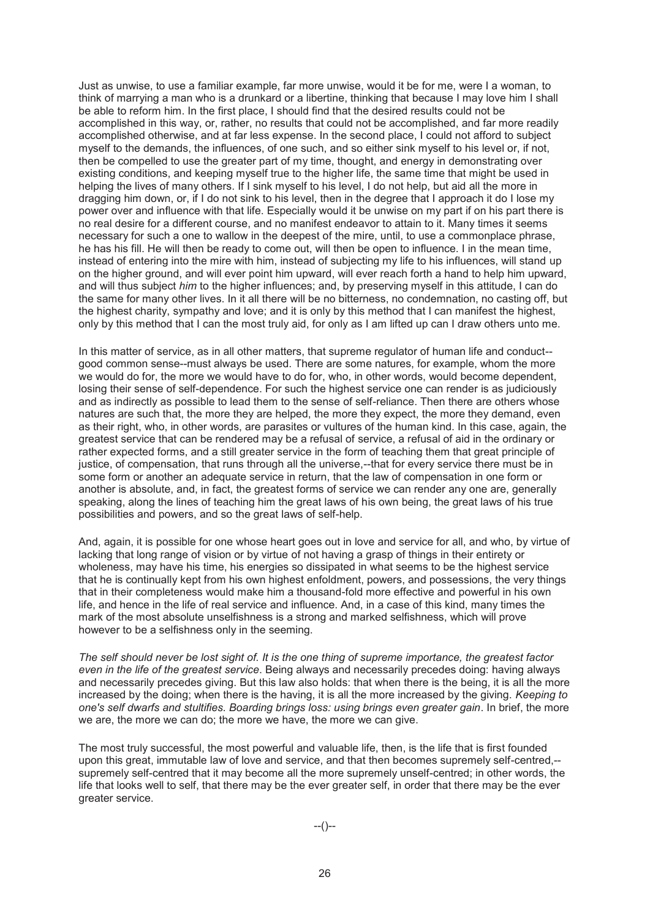Just as unwise, to use a familiar example, far more unwise, would it be for me, were I a woman, to think of marrying a man who is a drunkard or a libertine, thinking that because I may love him I shall be able to reform him. In the first place, I should find that the desired results could not be accomplished in this way, or, rather, no results that could not be accomplished, and far more readily accomplished otherwise, and at far less expense. In the second place, I could not afford to subject myself to the demands, the influences, of one such, and so either sink myself to his level or, if not, then be compelled to use the greater part of my time, thought, and energy in demonstrating over existing conditions, and keeping myself true to the higher life, the same time that might be used in helping the lives of many others. If I sink myself to his level, I do not help, but aid all the more in dragging him down, or, if I do not sink to his level, then in the degree that I approach it do I lose my power over and influence with that life. Especially would it be unwise on my part if on his part there is no real desire for a different course, and no manifest endeavor to attain to it. Many times it seems necessary for such a one to wallow in the deepest of the mire, until, to use a commonplace phrase, he has his fill. He will then be ready to come out, will then be open to influence. I in the mean time, instead of entering into the mire with him, instead of subjecting my life to his influences, will stand up on the higher ground, and will ever point him upward, will ever reach forth a hand to help him upward, and will thus subject *him* to the higher influences; and, by preserving myself in this attitude, I can do the same for many other lives. In it all there will be no bitterness, no condemnation, no casting off, but the highest charity, sympathy and love; and it is only by this method that I can manifest the highest, only by this method that I can the most truly aid, for only as I am lifted up can I draw others unto me.

In this matter of service, as in all other matters, that supreme regulator of human life and conduct- good common sense--must always be used. There are some natures, for example, whom the more we would do for, the more we would have to do for, who, in other words, would become dependent, losing their sense of self-dependence. For such the highest service one can render is as judiciously and as indirectly as possible to lead them to the sense of self-reliance. Then there are others whose natures are such that, the more they are helped, the more they expect, the more they demand, even as their right, who, in other words, are parasites or vultures of the human kind. In this case, again, the greatest service that can be rendered may be a refusal of service, a refusal of aid in the ordinary or rather expected forms, and a still greater service in the form of teaching them that great principle of justice, of compensation, that runs through all the universe,--that for every service there must be in some form or another an adequate service in return, that the law of compensation in one form or another is absolute, and, in fact, the greatest forms of service we can render any one are, generally speaking, along the lines of teaching him the great laws of his own being, the great laws of his true possibilities and powers, and so the great laws of self-help.

And, again, it is possible for one whose heart goes out in love and service for all, and who, by virtue of lacking that long range of vision or by virtue of not having a grasp of things in their entirety or wholeness, may have his time, his energies so dissipated in what seems to be the highest service that he is continually kept from his own highest enfoldment, powers, and possessions, the very things that in their completeness would make him a thousand-fold more effective and powerful in his own life, and hence in the life of real service and influence. And, in a case of this kind, many times the mark of the most absolute unselfishness is a strong and marked selfishness, which will prove however to be a selfishness only in the seeming.

*The self should never be lost sight of. It is the one thing of supreme importance, the greatest factor even in the life of the greatest service*. Being always and necessarily precedes doing: having always and necessarily precedes giving. But this law also holds: that when there is the being, it is all the more increased by the doing; when there is the having, it is all the more increased by the giving. *Keeping to one's self dwarfs and stultifies. Boarding brings loss: using brings even greater gain*. In brief, the more we are, the more we can do; the more we have, the more we can give.

The most truly successful, the most powerful and valuable life, then, is the life that is first founded upon this great, immutable law of love and service, and that then becomes supremely self-centred,- supremely self-centred that it may become all the more supremely unself-centred; in other words, the life that looks well to self, that there may be the ever greater self, in order that there may be the ever greater service.

--()--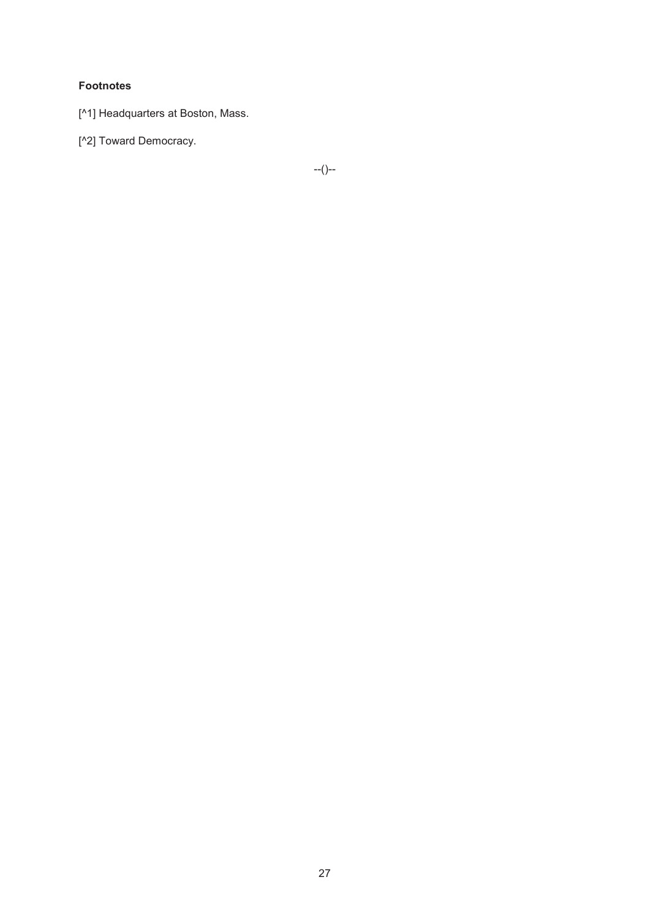# **Footnotes**

- [^1] Headquarters at Boston, Mass.
- [^2] Toward Democracy.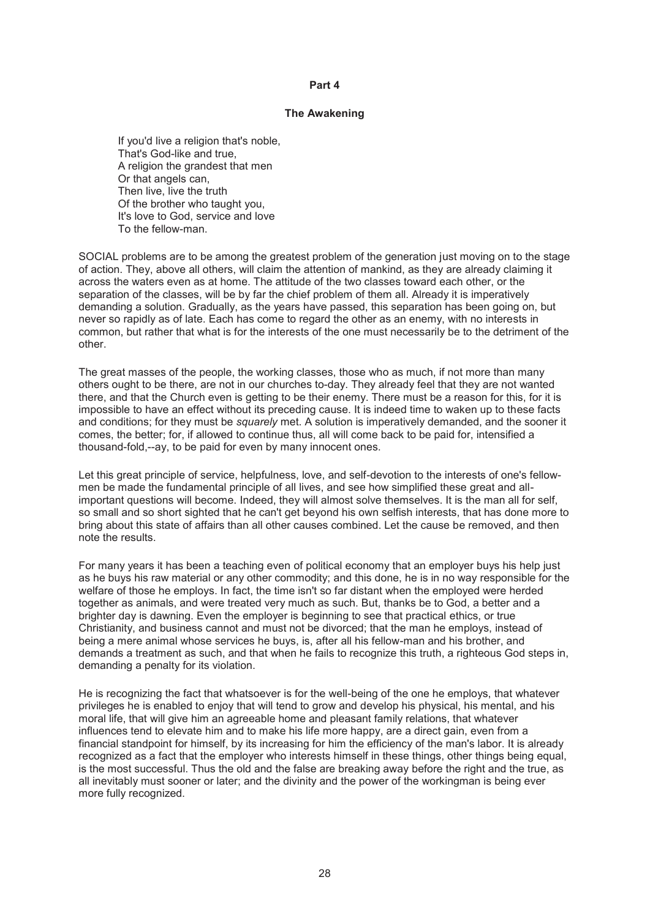#### **Part 4**

### **The Awakening**

If you'd live a religion that's noble. That's God-like and true, A religion the grandest that men Or that angels can, Then live, live the truth Of the brother who taught you, It's love to God, service and love To the fellow-man.

SOCIAL problems are to be among the greatest problem of the generation just moving on to the stage of action. They, above all others, will claim the attention of mankind, as they are already claiming it across the waters even as at home. The attitude of the two classes toward each other, or the separation of the classes, will be by far the chief problem of them all. Already it is imperatively demanding a solution. Gradually, as the years have passed, this separation has been going on, but never so rapidly as of late. Each has come to regard the other as an enemy, with no interests in common, but rather that what is for the interests of the one must necessarily be to the detriment of the other.

The great masses of the people, the working classes, those who as much, if not more than many others ought to be there, are not in our churches to-day. They already feel that they are not wanted there, and that the Church even is getting to be their enemy. There must be a reason for this, for it is impossible to have an effect without its preceding cause. It is indeed time to waken up to these facts and conditions; for they must be *squarely* met. A solution is imperatively demanded, and the sooner it comes, the better; for, if allowed to continue thus, all will come back to be paid for, intensified a thousand-fold,--ay, to be paid for even by many innocent ones.

Let this great principle of service, helpfulness, love, and self-devotion to the interests of one's fellowmen be made the fundamental principle of all lives, and see how simplified these great and allimportant questions will become. Indeed, they will almost solve themselves. It is the man all for self, so small and so short sighted that he can't get beyond his own selfish interests, that has done more to bring about this state of affairs than all other causes combined. Let the cause be removed, and then note the results.

For many years it has been a teaching even of political economy that an employer buys his help just as he buys his raw material or any other commodity; and this done, he is in no way responsible for the welfare of those he employs. In fact, the time isn't so far distant when the employed were herded together as animals, and were treated very much as such. But, thanks be to God, a better and a brighter day is dawning. Even the employer is beginning to see that practical ethics, or true Christianity, and business cannot and must not be divorced; that the man he employs, instead of being a mere animal whose services he buys, is, after all his fellow-man and his brother, and demands a treatment as such, and that when he fails to recognize this truth, a righteous God steps in, demanding a penalty for its violation.

He is recognizing the fact that whatsoever is for the well-being of the one he employs, that whatever privileges he is enabled to enjoy that will tend to grow and develop his physical, his mental, and his moral life, that will give him an agreeable home and pleasant family relations, that whatever influences tend to elevate him and to make his life more happy, are a direct gain, even from a financial standpoint for himself, by its increasing for him the efficiency of the man's labor. It is already recognized as a fact that the employer who interests himself in these things, other things being equal, is the most successful. Thus the old and the false are breaking away before the right and the true, as all inevitably must sooner or later; and the divinity and the power of the workingman is being ever more fully recognized.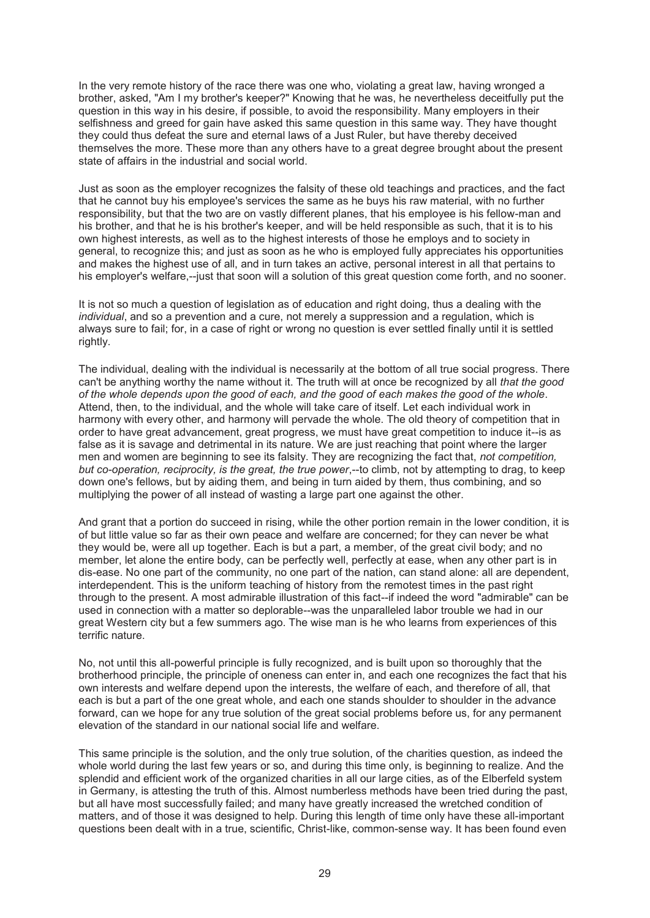In the very remote history of the race there was one who, violating a great law, having wronged a brother, asked, "Am I my brother's keeper?" Knowing that he was, he nevertheless deceitfully put the question in this way in his desire, if possible, to avoid the responsibility. Many employers in their selfishness and greed for gain have asked this same question in this same way. They have thought they could thus defeat the sure and eternal laws of a Just Ruler, but have thereby deceived themselves the more. These more than any others have to a great degree brought about the present state of affairs in the industrial and social world.

Just as soon as the employer recognizes the falsity of these old teachings and practices, and the fact that he cannot buy his employee's services the same as he buys his raw material, with no further responsibility, but that the two are on vastly different planes, that his employee is his fellow-man and his brother, and that he is his brother's keeper, and will be held responsible as such, that it is to his own highest interests, as well as to the highest interests of those he employs and to society in general, to recognize this; and just as soon as he who is employed fully appreciates his opportunities and makes the highest use of all, and in turn takes an active, personal interest in all that pertains to his employer's welfare,--just that soon will a solution of this great question come forth, and no sooner.

It is not so much a question of legislation as of education and right doing, thus a dealing with the *individual*, and so a prevention and a cure, not merely a suppression and a regulation, which is always sure to fail; for, in a case of right or wrong no question is ever settled finally until it is settled rightly.

The individual, dealing with the individual is necessarily at the bottom of all true social progress. There can't be anything worthy the name without it. The truth will at once be recognized by all *that the good of the whole depends upon the good of each, and the good of each makes the good of the whole*. Attend, then, to the individual, and the whole will take care of itself. Let each individual work in harmony with every other, and harmony will pervade the whole. The old theory of competition that in order to have great advancement, great progress, we must have great competition to induce it--is as false as it is savage and detrimental in its nature. We are just reaching that point where the larger men and women are beginning to see its falsity. They are recognizing the fact that, *not competition, but co-operation, reciprocity, is the great, the true power*,--to climb, not by attempting to drag, to keep down one's fellows, but by aiding them, and being in turn aided by them, thus combining, and so multiplying the power of all instead of wasting a large part one against the other.

And grant that a portion do succeed in rising, while the other portion remain in the lower condition, it is of but little value so far as their own peace and welfare are concerned; for they can never be what they would be, were all up together. Each is but a part, a member, of the great civil body; and no member, let alone the entire body, can be perfectly well, perfectly at ease, when any other part is in dis-ease. No one part of the community, no one part of the nation, can stand alone: all are dependent, interdependent. This is the uniform teaching of history from the remotest times in the past right through to the present. A most admirable illustration of this fact--if indeed the word "admirable" can be used in connection with a matter so deplorable--was the unparalleled labor trouble we had in our great Western city but a few summers ago. The wise man is he who learns from experiences of this terrific nature.

No, not until this all-powerful principle is fully recognized, and is built upon so thoroughly that the brotherhood principle, the principle of oneness can enter in, and each one recognizes the fact that his own interests and welfare depend upon the interests, the welfare of each, and therefore of all, that each is but a part of the one great whole, and each one stands shoulder to shoulder in the advance forward, can we hope for any true solution of the great social problems before us, for any permanent elevation of the standard in our national social life and welfare.

This same principle is the solution, and the only true solution, of the charities question, as indeed the whole world during the last few years or so, and during this time only, is beginning to realize. And the splendid and efficient work of the organized charities in all our large cities, as of the Elberfeld system in Germany, is attesting the truth of this. Almost numberless methods have been tried during the past, but all have most successfully failed; and many have greatly increased the wretched condition of matters, and of those it was designed to help. During this length of time only have these all-important questions been dealt with in a true, scientific, Christ-like, common-sense way. It has been found even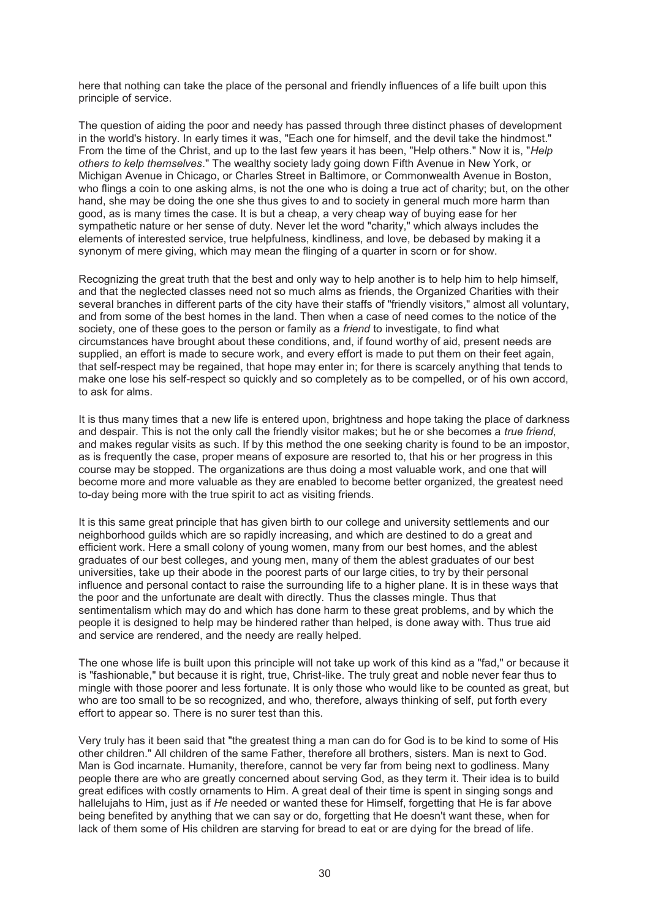here that nothing can take the place of the personal and friendly influences of a life built upon this principle of service.

The question of aiding the poor and needy has passed through three distinct phases of development in the world's history. In early times it was, "Each one for himself, and the devil take the hindmost." From the time of the Christ, and up to the last few years it has been, "Help others." Now it is, "*Help others to kelp themselves*." The wealthy society lady going down Fifth Avenue in New York, or Michigan Avenue in Chicago, or Charles Street in Baltimore, or Commonwealth Avenue in Boston, who flings a coin to one asking alms, is not the one who is doing a true act of charity; but, on the other hand, she may be doing the one she thus gives to and to society in general much more harm than good, as is many times the case. It is but a cheap, a very cheap way of buying ease for her sympathetic nature or her sense of duty. Never let the word "charity," which always includes the elements of interested service, true helpfulness, kindliness, and love, be debased by making it a synonym of mere giving, which may mean the flinging of a quarter in scorn or for show.

Recognizing the great truth that the best and only way to help another is to help him to help himself, and that the neglected classes need not so much alms as friends, the Organized Charities with their several branches in different parts of the city have their staffs of "friendly visitors," almost all voluntary, and from some of the best homes in the land. Then when a case of need comes to the notice of the society, one of these goes to the person or family as a *friend* to investigate, to find what circumstances have brought about these conditions, and, if found worthy of aid, present needs are supplied, an effort is made to secure work, and every effort is made to put them on their feet again, that self-respect may be regained, that hope may enter in; for there is scarcely anything that tends to make one lose his self-respect so quickly and so completely as to be compelled, or of his own accord, to ask for alms.

It is thus many times that a new life is entered upon, brightness and hope taking the place of darkness and despair. This is not the only call the friendly visitor makes; but he or she becomes a *true friend*, and makes regular visits as such. If by this method the one seeking charity is found to be an impostor, as is frequently the case, proper means of exposure are resorted to, that his or her progress in this course may be stopped. The organizations are thus doing a most valuable work, and one that will become more and more valuable as they are enabled to become better organized, the greatest need to-day being more with the true spirit to act as visiting friends.

It is this same great principle that has given birth to our college and university settlements and our neighborhood guilds which are so rapidly increasing, and which are destined to do a great and efficient work. Here a small colony of young women, many from our best homes, and the ablest graduates of our best colleges, and young men, many of them the ablest graduates of our best universities, take up their abode in the poorest parts of our large cities, to try by their personal influence and personal contact to raise the surrounding life to a higher plane. It is in these ways that the poor and the unfortunate are dealt with directly. Thus the classes mingle. Thus that sentimentalism which may do and which has done harm to these great problems, and by which the people it is designed to help may be hindered rather than helped, is done away with. Thus true aid and service are rendered, and the needy are really helped.

The one whose life is built upon this principle will not take up work of this kind as a "fad," or because it is "fashionable," but because it is right, true, Christ-like. The truly great and noble never fear thus to mingle with those poorer and less fortunate. It is only those who would like to be counted as great, but who are too small to be so recognized, and who, therefore, always thinking of self, put forth every effort to appear so. There is no surer test than this.

Very truly has it been said that "the greatest thing a man can do for God is to be kind to some of His other children." All children of the same Father, therefore all brothers, sisters. Man is next to God. Man is God incarnate. Humanity, therefore, cannot be very far from being next to godliness. Many people there are who are greatly concerned about serving God, as they term it. Their idea is to build great edifices with costly ornaments to Him. A great deal of their time is spent in singing songs and hallelujahs to Him, just as if *He* needed or wanted these for Himself, forgetting that He is far above being benefited by anything that we can say or do, forgetting that He doesn't want these, when for lack of them some of His children are starving for bread to eat or are dying for the bread of life.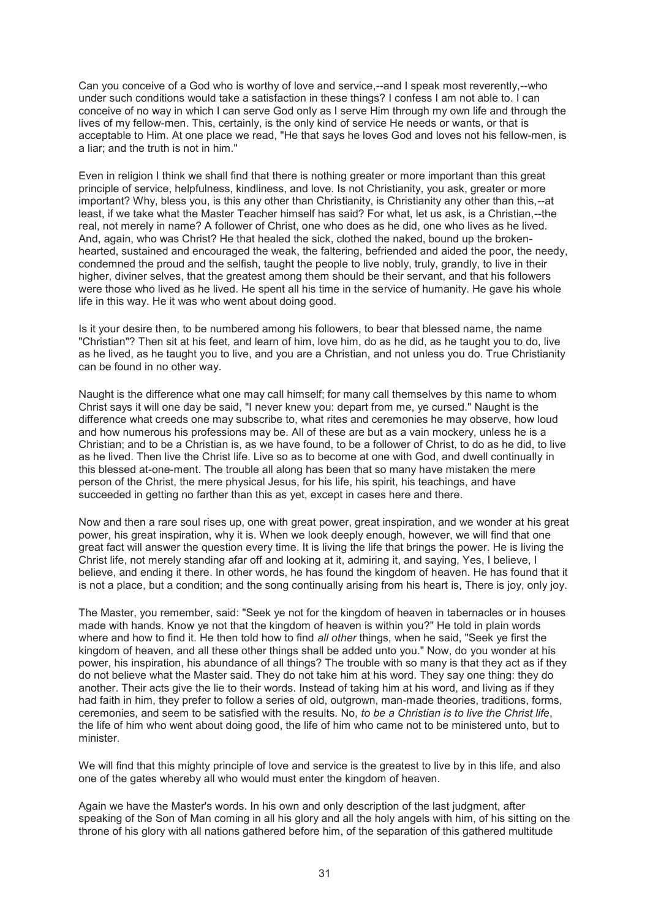Can you conceive of a God who is worthy of love and service,--and I speak most reverently,--who under such conditions would take a satisfaction in these things? I confess I am not able to. I can conceive of no way in which I can serve God only as I serve Him through my own life and through the lives of my fellow-men. This, certainly, is the only kind of service He needs or wants, or that is acceptable to Him. At one place we read, "He that says he loves God and loves not his fellow-men, is a liar; and the truth is not in him."

Even in religion I think we shall find that there is nothing greater or more important than this great principle of service, helpfulness, kindliness, and love. Is not Christianity, you ask, greater or more important? Why, bless you, is this any other than Christianity, is Christianity any other than this,--at least, if we take what the Master Teacher himself has said? For what, let us ask, is a Christian,--the real, not merely in name? A follower of Christ, one who does as he did, one who lives as he lived. And, again, who was Christ? He that healed the sick, clothed the naked, bound up the brokenhearted, sustained and encouraged the weak, the faltering, befriended and aided the poor, the needy, condemned the proud and the selfish, taught the people to live nobly, truly, grandly, to live in their higher, diviner selves, that the greatest among them should be their servant, and that his followers were those who lived as he lived. He spent all his time in the service of humanity. He gave his whole life in this way. He it was who went about doing good.

Is it your desire then, to be numbered among his followers, to bear that blessed name, the name "Christian"? Then sit at his feet, and learn of him, love him, do as he did, as he taught you to do, live as he lived, as he taught you to live, and you are a Christian, and not unless you do. True Christianity can be found in no other way.

Naught is the difference what one may call himself; for many call themselves by this name to whom Christ says it will one day be said, "I never knew you: depart from me, ye cursed." Naught is the difference what creeds one may subscribe to, what rites and ceremonies he may observe, how loud and how numerous his professions may be. All of these are but as a vain mockery, unless he is a Christian; and to be a Christian is, as we have found, to be a follower of Christ, to do as he did, to live as he lived. Then live the Christ life. Live so as to become at one with God, and dwell continually in this blessed at-one-ment. The trouble all along has been that so many have mistaken the mere person of the Christ, the mere physical Jesus, for his life, his spirit, his teachings, and have succeeded in getting no farther than this as yet, except in cases here and there.

Now and then a rare soul rises up, one with great power, great inspiration, and we wonder at his great power, his great inspiration, why it is. When we look deeply enough, however, we will find that one great fact will answer the question every time. It is living the life that brings the power. He is living the Christ life, not merely standing afar off and looking at it, admiring it, and saying, Yes, I believe, I believe, and ending it there. In other words, he has found the kingdom of heaven. He has found that it is not a place, but a condition; and the song continually arising from his heart is, There is joy, only joy.

The Master, you remember, said: "Seek ye not for the kingdom of heaven in tabernacles or in houses made with hands. Know ye not that the kingdom of heaven is within you?" He told in plain words where and how to find it. He then told how to find *all other* things, when he said, "Seek ye first the kingdom of heaven, and all these other things shall be added unto you." Now, do you wonder at his power, his inspiration, his abundance of all things? The trouble with so many is that they act as if they do not believe what the Master said. They do not take him at his word. They say one thing: they do another. Their acts give the lie to their words. Instead of taking him at his word, and living as if they had faith in him, they prefer to follow a series of old, outgrown, man-made theories, traditions, forms, ceremonies, and seem to be satisfied with the results. No, *to be a Christian is to live the Christ life*, the life of him who went about doing good, the life of him who came not to be ministered unto, but to minister.

We will find that this mighty principle of love and service is the greatest to live by in this life, and also one of the gates whereby all who would must enter the kingdom of heaven.

Again we have the Master's words. In his own and only description of the last judgment, after speaking of the Son of Man coming in all his glory and all the holy angels with him, of his sitting on the throne of his glory with all nations gathered before him, of the separation of this gathered multitude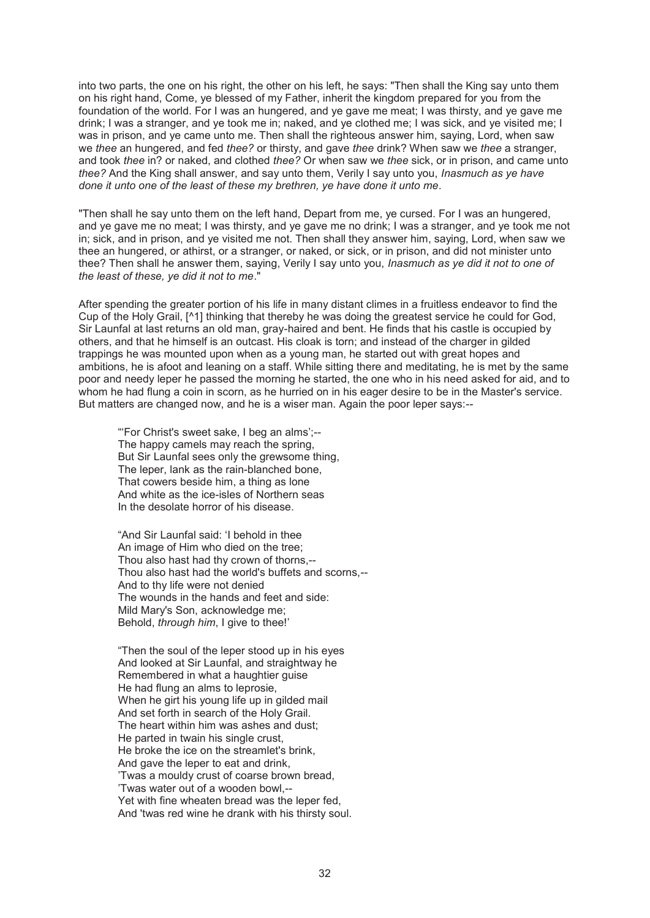into two parts, the one on his right, the other on his left, he says: "Then shall the King say unto them on his right hand, Come, ye blessed of my Father, inherit the kingdom prepared for you from the foundation of the world. For I was an hungered, and ye gave me meat; I was thirsty, and ye gave me drink; I was a stranger, and ye took me in; naked, and ye clothed me; I was sick, and ye visited me; I was in prison, and ye came unto me. Then shall the righteous answer him, saying, Lord, when saw we *thee* an hungered, and fed *thee?* or thirsty, and gave *thee* drink? When saw we *thee* a stranger, and took *thee* in? or naked, and clothed *thee?* Or when saw we *thee* sick, or in prison, and came unto *thee?* And the King shall answer, and say unto them, Verily I say unto you, *Inasmuch as ye have done it unto one of the least of these my brethren, ye have done it unto me*.

"Then shall he say unto them on the left hand, Depart from me, ye cursed. For I was an hungered, and ye gave me no meat; I was thirsty, and ye gave me no drink; I was a stranger, and ye took me not in; sick, and in prison, and ye visited me not. Then shall they answer him, saying, Lord, when saw we thee an hungered, or athirst, or a stranger, or naked, or sick, or in prison, and did not minister unto thee? Then shall he answer them, saying, Verily I say unto you, *Inasmuch as ye did it not to one of the least of these, ye did it not to me*."

After spending the greater portion of his life in many distant climes in a fruitless endeavor to find the Cup of the Holy Grail, [^1] thinking that thereby he was doing the greatest service he could for God, Sir Launfal at last returns an old man, gray-haired and bent. He finds that his castle is occupied by others, and that he himself is an outcast. His cloak is torn; and instead of the charger in gilded trappings he was mounted upon when as a young man, he started out with great hopes and ambitions, he is afoot and leaning on a staff. While sitting there and meditating, he is met by the same poor and needy leper he passed the morning he started, the one who in his need asked for aid, and to whom he had flung a coin in scorn, as he hurried on in his eager desire to be in the Master's service. But matters are changed now, and he is a wiser man. Again the poor leper says:--

"'For Christ's sweet sake, I beg an alms';-- The happy camels may reach the spring, But Sir Launfal sees only the grewsome thing, The leper, lank as the rain-blanched bone, That cowers beside him, a thing as lone And white as the ice-isles of Northern seas In the desolate horror of his disease.

"And Sir Launfal said: 'I behold in thee An image of Him who died on the tree; Thou also hast had thy crown of thorns,-- Thou also hast had the world's buffets and scorns,-- And to thy life were not denied The wounds in the hands and feet and side: Mild Mary's Son, acknowledge me; Behold, *through him*, I give to thee!'

"Then the soul of the leper stood up in his eyes And looked at Sir Launfal, and straightway he Remembered in what a haughtier guise He had flung an alms to leprosie, When he girt his young life up in gilded mail And set forth in search of the Holy Grail. The heart within him was ashes and dust; He parted in twain his single crust, He broke the ice on the streamlet's brink, And gave the leper to eat and drink, 'Twas a mouldy crust of coarse brown bread, 'Twas water out of a wooden bowl,-- Yet with fine wheaten bread was the leper fed, And 'twas red wine he drank with his thirsty soul.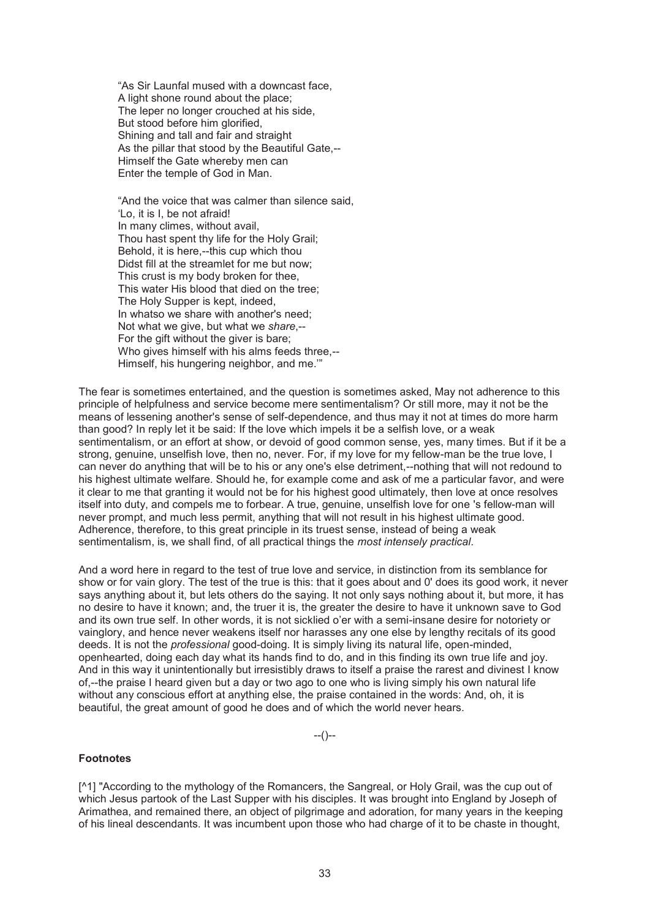"As Sir Launfal mused with a downcast face, A light shone round about the place; The leper no longer crouched at his side, But stood before him glorified, Shining and tall and fair and straight As the pillar that stood by the Beautiful Gate,-- Himself the Gate whereby men can Enter the temple of God in Man.

"And the voice that was calmer than silence said, 'Lo, it is I, be not afraid! In many climes, without avail, Thou hast spent thy life for the Holy Grail; Behold, it is here,--this cup which thou Didst fill at the streamlet for me but now; This crust is my body broken for thee, This water His blood that died on the tree; The Holy Supper is kept, indeed, In whatso we share with another's need; Not what we give, but what we *share*,-- For the gift without the giver is bare; Who gives himself with his alms feeds three,-- Himself, his hungering neighbor, and me.'"

The fear is sometimes entertained, and the question is sometimes asked, May not adherence to this principle of helpfulness and service become mere sentimentalism? Or still more, may it not be the means of lessening another's sense of self-dependence, and thus may it not at times do more harm than good? In reply let it be said: If the love which impels it be a selfish love, or a weak sentimentalism, or an effort at show, or devoid of good common sense, yes, many times. But if it be a strong, genuine, unselfish love, then no, never. For, if my love for my fellow-man be the true love, I can never do anything that will be to his or any one's else detriment,--nothing that will not redound to his highest ultimate welfare. Should he, for example come and ask of me a particular favor, and were it clear to me that granting it would not be for his highest good ultimately, then love at once resolves itself into duty, and compels me to forbear. A true, genuine, unselfish love for one 's fellow-man will never prompt, and much less permit, anything that will not result in his highest ultimate good. Adherence, therefore, to this great principle in its truest sense, instead of being a weak sentimentalism, is, we shall find, of all practical things the *most intensely practical*.

And a word here in regard to the test of true love and service, in distinction from its semblance for show or for vain glory. The test of the true is this: that it goes about and 0' does its good work, it never says anything about it, but lets others do the saying. It not only says nothing about it, but more, it has no desire to have it known; and, the truer it is, the greater the desire to have it unknown save to God and its own true self. In other words, it is not sicklied o'er with a semi-insane desire for notoriety or vainglory, and hence never weakens itself nor harasses any one else by lengthy recitals of its good deeds. It is not the *professional* good-doing. It is simply living its natural life, open-minded, openhearted, doing each day what its hands find to do, and in this finding its own true life and joy. And in this way it unintentionally but irresistibly draws to itself a praise the rarest and divinest I know of,--the praise I heard given but a day or two ago to one who is living simply his own natural life without any conscious effort at anything else, the praise contained in the words: And, oh, it is beautiful, the great amount of good he does and of which the world never hears.

--()--

### **Footnotes**

[^1] "According to the mythology of the Romancers, the Sangreal, or Holy Grail, was the cup out of which Jesus partook of the Last Supper with his disciples. It was brought into England by Joseph of Arimathea, and remained there, an object of pilgrimage and adoration, for many years in the keeping of his lineal descendants. It was incumbent upon those who had charge of it to be chaste in thought,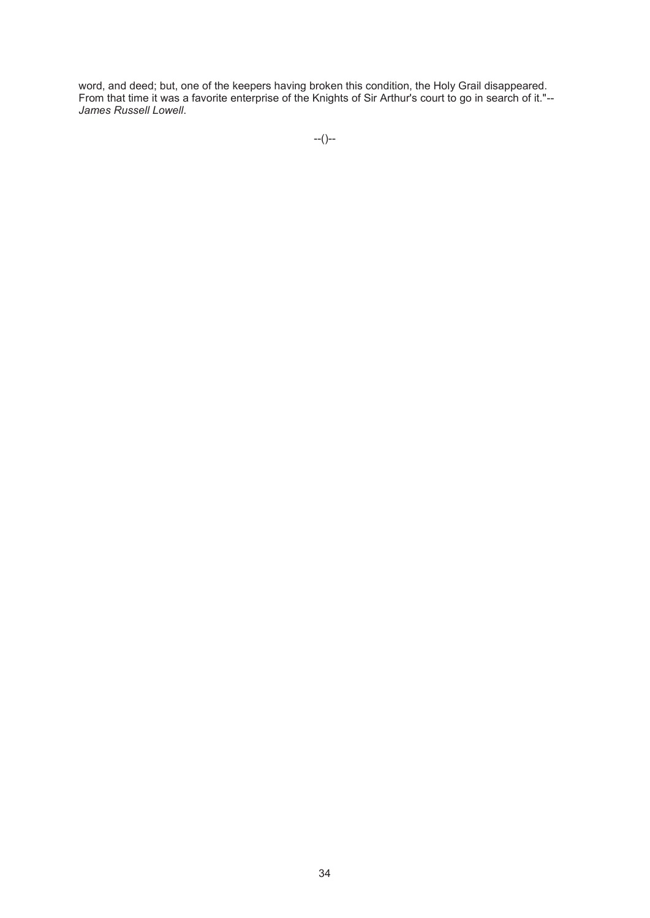word, and deed; but, one of the keepers having broken this condition, the Holy Grail disappeared. From that time it was a favorite enterprise of the Knights of Sir Arthur's court to go in search of it."-- *James Russell Lowell*.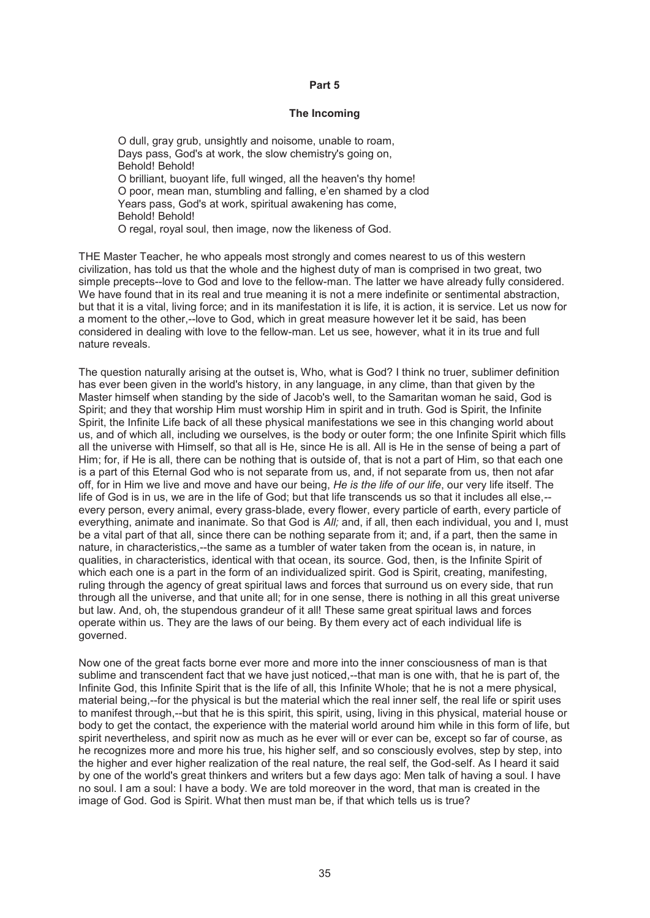### **Part 5**

#### **The Incoming**

O dull, gray grub, unsightly and noisome, unable to roam, Days pass, God's at work, the slow chemistry's going on, Behold! Behold! O brilliant, buoyant life, full winged, all the heaven's thy home! O poor, mean man, stumbling and falling, e'en shamed by a clod Years pass, God's at work, spiritual awakening has come, Behold! Behold! O regal, royal soul, then image, now the likeness of God.

THE Master Teacher, he who appeals most strongly and comes nearest to us of this western civilization, has told us that the whole and the highest duty of man is comprised in two great, two simple precepts--love to God and love to the fellow-man. The latter we have already fully considered. We have found that in its real and true meaning it is not a mere indefinite or sentimental abstraction, but that it is a vital, living force; and in its manifestation it is life, it is action, it is service. Let us now for a moment to the other,--love to God, which in great measure however let it be said, has been considered in dealing with love to the fellow-man. Let us see, however, what it in its true and full nature reveals.

The question naturally arising at the outset is, Who, what is God? I think no truer, sublimer definition has ever been given in the world's history, in any language, in any clime, than that given by the Master himself when standing by the side of Jacob's well, to the Samaritan woman he said, God is Spirit; and they that worship Him must worship Him in spirit and in truth. God is Spirit, the Infinite Spirit, the Infinite Life back of all these physical manifestations we see in this changing world about us, and of which all, including we ourselves, is the body or outer form; the one Infinite Spirit which fills all the universe with Himself, so that all is He, since He is all. All is He in the sense of being a part of Him; for, if He is all, there can be nothing that is outside of, that is not a part of Him, so that each one is a part of this Eternal God who is not separate from us, and, if not separate from us, then not afar off, for in Him we live and move and have our being, *He is the life of our life*, our very life itself. The life of God is in us, we are in the life of God; but that life transcends us so that it includes all else,- every person, every animal, every grass-blade, every flower, every particle of earth, every particle of everything, animate and inanimate. So that God is *All;* and, if all, then each individual, you and I, must be a vital part of that all, since there can be nothing separate from it; and, if a part, then the same in nature, in characteristics,--the same as a tumbler of water taken from the ocean is, in nature, in qualities, in characteristics, identical with that ocean, its source. God, then, is the Infinite Spirit of which each one is a part in the form of an individualized spirit. God is Spirit, creating, manifesting, ruling through the agency of great spiritual laws and forces that surround us on every side, that run through all the universe, and that unite all; for in one sense, there is nothing in all this great universe but law. And, oh, the stupendous grandeur of it all! These same great spiritual laws and forces operate within us. They are the laws of our being. By them every act of each individual life is governed.

Now one of the great facts borne ever more and more into the inner consciousness of man is that sublime and transcendent fact that we have just noticed,--that man is one with, that he is part of, the Infinite God, this Infinite Spirit that is the life of all, this Infinite Whole; that he is not a mere physical, material being,--for the physical is but the material which the real inner self, the real life or spirit uses to manifest through,--but that he is this spirit, this spirit, using, living in this physical, material house or body to get the contact, the experience with the material world around him while in this form of life, but spirit nevertheless, and spirit now as much as he ever will or ever can be, except so far of course, as he recognizes more and more his true, his higher self, and so consciously evolves, step by step, into the higher and ever higher realization of the real nature, the real self, the God-self. As I heard it said by one of the world's great thinkers and writers but a few days ago: Men talk of having a soul. I have no soul. I am a soul: I have a body. We are told moreover in the word, that man is created in the image of God. God is Spirit. What then must man be, if that which tells us is true?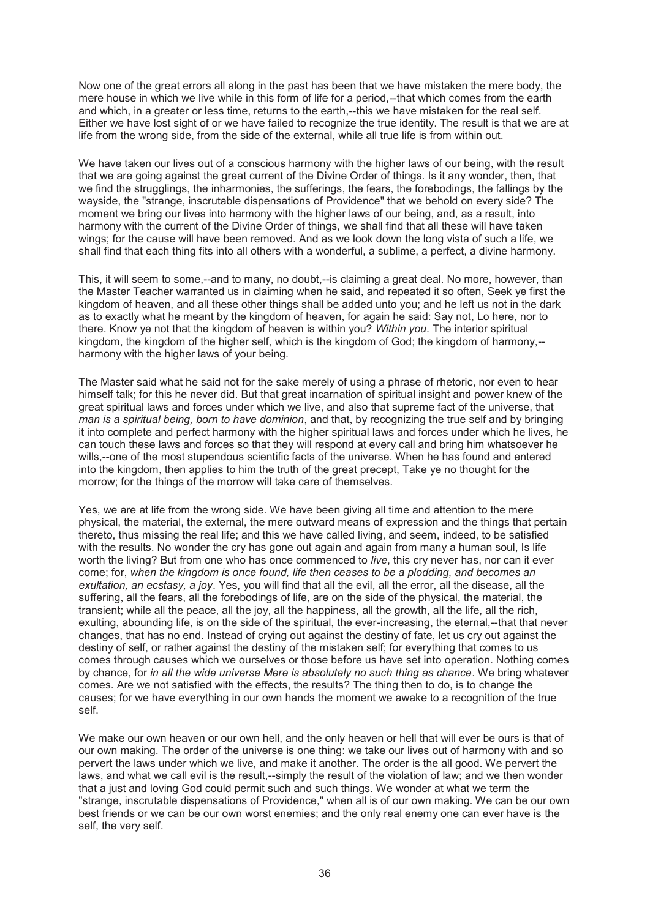Now one of the great errors all along in the past has been that we have mistaken the mere body, the mere house in which we live while in this form of life for a period,--that which comes from the earth and which, in a greater or less time, returns to the earth,--this we have mistaken for the real self. Either we have lost sight of or we have failed to recognize the true identity. The result is that we are at life from the wrong side, from the side of the external, while all true life is from within out.

We have taken our lives out of a conscious harmony with the higher laws of our being, with the result that we are going against the great current of the Divine Order of things. Is it any wonder, then, that we find the strugglings, the inharmonies, the sufferings, the fears, the forebodings, the fallings by the wayside, the "strange, inscrutable dispensations of Providence" that we behold on every side? The moment we bring our lives into harmony with the higher laws of our being, and, as a result, into harmony with the current of the Divine Order of things, we shall find that all these will have taken wings; for the cause will have been removed. And as we look down the long vista of such a life, we shall find that each thing fits into all others with a wonderful, a sublime, a perfect, a divine harmony.

This, it will seem to some,--and to many, no doubt,--is claiming a great deal. No more, however, than the Master Teacher warranted us in claiming when he said, and repeated it so often, Seek ye first the kingdom of heaven, and all these other things shall be added unto you; and he left us not in the dark as to exactly what he meant by the kingdom of heaven, for again he said: Say not, Lo here, nor to there. Know ye not that the kingdom of heaven is within you? *Within you*. The interior spiritual kingdom, the kingdom of the higher self, which is the kingdom of God; the kingdom of harmony,- harmony with the higher laws of your being.

The Master said what he said not for the sake merely of using a phrase of rhetoric, nor even to hear himself talk; for this he never did. But that great incarnation of spiritual insight and power knew of the great spiritual laws and forces under which we live, and also that supreme fact of the universe, that *man is a spiritual being, born to have dominion*, and that, by recognizing the true self and by bringing it into complete and perfect harmony with the higher spiritual laws and forces under which he lives, he can touch these laws and forces so that they will respond at every call and bring him whatsoever he wills,--one of the most stupendous scientific facts of the universe. When he has found and entered into the kingdom, then applies to him the truth of the great precept, Take ye no thought for the morrow; for the things of the morrow will take care of themselves.

Yes, we are at life from the wrong side. We have been giving all time and attention to the mere physical, the material, the external, the mere outward means of expression and the things that pertain thereto, thus missing the real life; and this we have called living, and seem, indeed, to be satisfied with the results. No wonder the cry has gone out again and again from many a human soul, Is life worth the living? But from one who has once commenced to *live*, this cry never has, nor can it ever come; for, *when the kingdom is once found, life then ceases to be a plodding, and becomes an exultation, an ecstasy, a joy*. Yes, you will find that all the evil, all the error, all the disease, all the suffering, all the fears, all the forebodings of life, are on the side of the physical, the material, the transient; while all the peace, all the joy, all the happiness, all the growth, all the life, all the rich, exulting, abounding life, is on the side of the spiritual, the ever-increasing, the eternal,--that that never changes, that has no end. Instead of crying out against the destiny of fate, let us cry out against the destiny of self, or rather against the destiny of the mistaken self; for everything that comes to us comes through causes which we ourselves or those before us have set into operation. Nothing comes by chance, for *in all the wide universe Mere is absolutely no such thing as chance*. We bring whatever comes. Are we not satisfied with the effects, the results? The thing then to do, is to change the causes; for we have everything in our own hands the moment we awake to a recognition of the true self.

We make our own heaven or our own hell, and the only heaven or hell that will ever be ours is that of our own making. The order of the universe is one thing: we take our lives out of harmony with and so pervert the laws under which we live, and make it another. The order is the all good. We pervert the laws, and what we call evil is the result,--simply the result of the violation of law; and we then wonder that a just and loving God could permit such and such things. We wonder at what we term the "strange, inscrutable dispensations of Providence," when all is of our own making. We can be our own best friends or we can be our own worst enemies; and the only real enemy one can ever have is the self, the very self.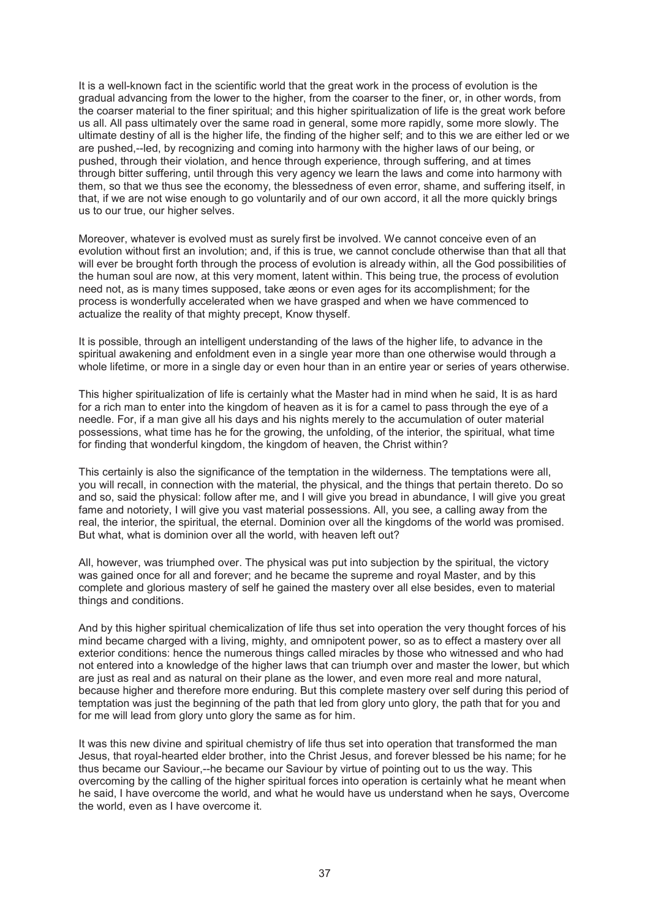It is a well-known fact in the scientific world that the great work in the process of evolution is the gradual advancing from the lower to the higher, from the coarser to the finer, or, in other words, from the coarser material to the finer spiritual; and this higher spiritualization of life is the great work before us all. All pass ultimately over the same road in general, some more rapidly, some more slowly. The ultimate destiny of all is the higher life, the finding of the higher self; and to this we are either led or we are pushed,--led, by recognizing and coming into harmony with the higher laws of our being, or pushed, through their violation, and hence through experience, through suffering, and at times through bitter suffering, until through this very agency we learn the laws and come into harmony with them, so that we thus see the economy, the blessedness of even error, shame, and suffering itself, in that, if we are not wise enough to go voluntarily and of our own accord, it all the more quickly brings us to our true, our higher selves.

Moreover, whatever is evolved must as surely first be involved. We cannot conceive even of an evolution without first an involution; and, if this is true, we cannot conclude otherwise than that all that will ever be brought forth through the process of evolution is already within, all the God possibilities of the human soul are now, at this very moment, latent within. This being true, the process of evolution need not, as is many times supposed, take æons or even ages for its accomplishment; for the process is wonderfully accelerated when we have grasped and when we have commenced to actualize the reality of that mighty precept, Know thyself.

It is possible, through an intelligent understanding of the laws of the higher life, to advance in the spiritual awakening and enfoldment even in a single year more than one otherwise would through a whole lifetime, or more in a single day or even hour than in an entire year or series of years otherwise.

This higher spiritualization of life is certainly what the Master had in mind when he said, It is as hard for a rich man to enter into the kingdom of heaven as it is for a camel to pass through the eye of a needle. For, if a man give all his days and his nights merely to the accumulation of outer material possessions, what time has he for the growing, the unfolding, of the interior, the spiritual, what time for finding that wonderful kingdom, the kingdom of heaven, the Christ within?

This certainly is also the significance of the temptation in the wilderness. The temptations were all, you will recall, in connection with the material, the physical, and the things that pertain thereto. Do so and so, said the physical: follow after me, and I will give you bread in abundance, I will give you great fame and notoriety. I will give you vast material possessions. All, you see, a calling away from the real, the interior, the spiritual, the eternal. Dominion over all the kingdoms of the world was promised. But what, what is dominion over all the world, with heaven left out?

All, however, was triumphed over. The physical was put into subjection by the spiritual, the victory was gained once for all and forever; and he became the supreme and royal Master, and by this complete and glorious mastery of self he gained the mastery over all else besides, even to material things and conditions.

And by this higher spiritual chemicalization of life thus set into operation the very thought forces of his mind became charged with a living, mighty, and omnipotent power, so as to effect a mastery over all exterior conditions: hence the numerous things called miracles by those who witnessed and who had not entered into a knowledge of the higher laws that can triumph over and master the lower, but which are just as real and as natural on their plane as the lower, and even more real and more natural, because higher and therefore more enduring. But this complete mastery over self during this period of temptation was just the beginning of the path that led from glory unto glory, the path that for you and for me will lead from glory unto glory the same as for him.

It was this new divine and spiritual chemistry of life thus set into operation that transformed the man Jesus, that royal-hearted elder brother, into the Christ Jesus, and forever blessed be his name; for he thus became our Saviour,--he became our Saviour by virtue of pointing out to us the way. This overcoming by the calling of the higher spiritual forces into operation is certainly what he meant when he said, I have overcome the world, and what he would have us understand when he says, Overcome the world, even as I have overcome it.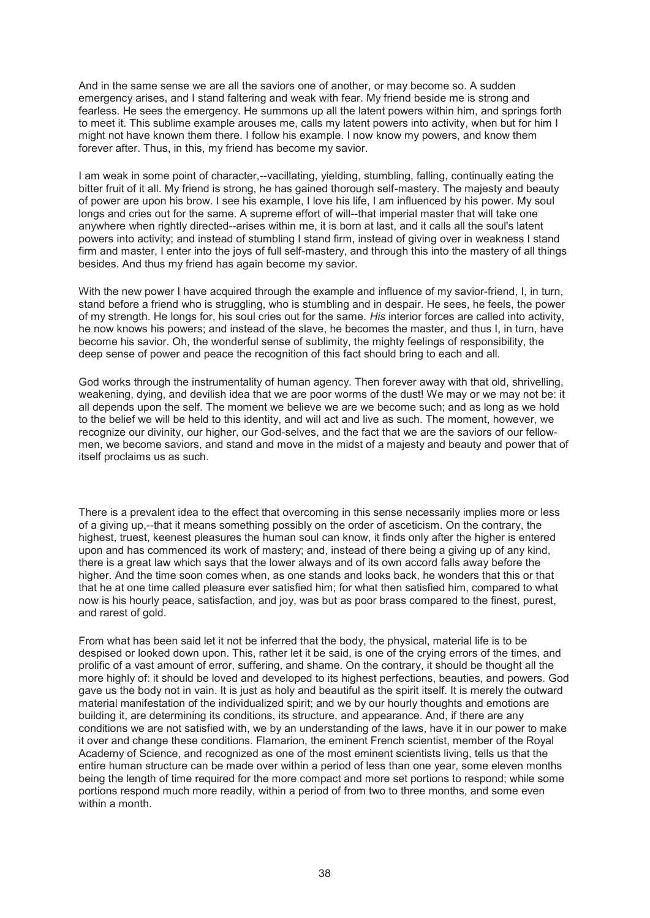And in the same sense we are all the saviors one of another, or may become so. A sudden emergency arises, and I stand faltering and weak with fear. My friend beside me is strong and fearless. He sees the emergency. He summons up all the latent powers within him, and springs forth to meet it. This sublime example arouses me, calls my latent powers into activity, when but for him I might not have known them there. I follow his example. I now know my powers, and know them forever after. Thus, in this, my friend has become my savior.

I am weak in some point of character,--vacillating, yielding, stumbling, falling, continually eating the bitter fruit of it all. My friend is strong, he has gained thorough self-mastery. The majesty and beauty of power are upon his brow. I see his example, I love his life, I am influenced by his power. My soul longs and cries out for the same. A supreme effort of will--that imperial master that will take one anywhere when rightly directed--arises within me, it is born at last, and it calls all the soul's latent powers into activity; and instead of stumbling I stand firm, instead of giving over in weakness I stand firm and master, I enter into the joys of full self-mastery, and through this into the mastery of all things besides. And thus my friend has again become my savior.

With the new power I have acquired through the example and influence of my savior-friend, I, in turn, stand before a friend who is struggling, who is stumbling and in despair. He sees, he feels, the power of my strength. He longs for, his soul cries out for the same. *His* interior forces are called into activity, he now knows his powers; and instead of the slave, he becomes the master, and thus I, in turn, have become his savior. Oh, the wonderful sense of sublimity, the mighty feelings of responsibility, the deep sense of power and peace the recognition of this fact should bring to each and all.

God works through the instrumentality of human agency. Then forever away with that old, shrivelling, weakening, dying, and devilish idea that we are poor worms of the dust! We may or we may not be: it all depends upon the self. The moment we believe we are we become such; and as long as we hold to the belief we will be held to this identity, and will act and live as such. The moment, however, we recognize our divinity, our higher, our God-selves, and the fact that we are the saviors of our fellowmen, we become saviors, and stand and move in the midst of a majesty and beauty and power that of itself proclaims us as such.

There is a prevalent idea to the effect that overcoming in this sense necessarily implies more or less of a giving up,--that it means something possibly on the order of asceticism. On the contrary, the highest, truest, keenest pleasures the human soul can know, it finds only after the higher is entered upon and has commenced its work of mastery; and, instead of there being a giving up of any kind, there is a great law which says that the lower always and of its own accord falls away before the higher. And the time soon comes when, as one stands and looks back, he wonders that this or that that he at one time called pleasure ever satisfied him; for what then satisfied him, compared to what now is his hourly peace, satisfaction, and joy, was but as poor brass compared to the finest, purest, and rarest of gold.

From what has been said let it not be inferred that the body, the physical, material life is to be despised or looked down upon. This, rather let it be said, is one of the crying errors of the times, and prolific of a vast amount of error, suffering, and shame. On the contrary, it should be thought all the more highly of: it should be loved and developed to its highest perfections, beauties, and powers. God gave us the body not in vain. It is just as holy and beautiful as the spirit itself. It is merely the outward material manifestation of the individualized spirit; and we by our hourly thoughts and emotions are building it, are determining its conditions, its structure, and appearance. And, if there are any conditions we are not satisfied with, we by an understanding of the laws, have it in our power to make it over and change these conditions. Flamarion, the eminent French scientist, member of the Royal Academy of Science, and recognized as one of the most eminent scientists living, tells us that the entire human structure can be made over within a period of less than one year, some eleven months being the length of time required for the more compact and more set portions to respond; while some portions respond much more readily, within a period of from two to three months, and some even within a month.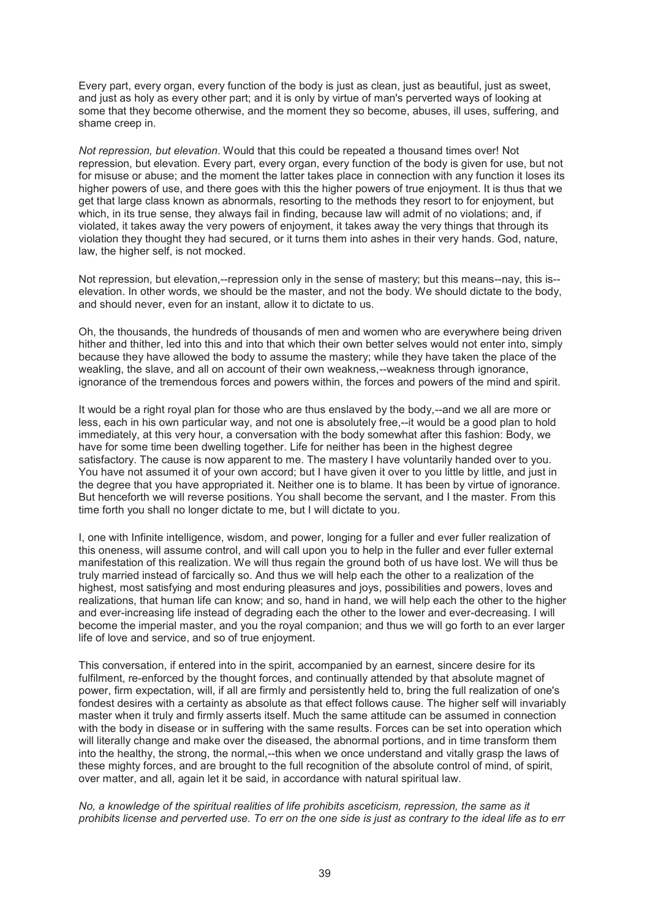Every part, every organ, every function of the body is just as clean, just as beautiful, just as sweet, and just as holy as every other part; and it is only by virtue of man's perverted ways of looking at some that they become otherwise, and the moment they so become, abuses, ill uses, suffering, and shame creep in.

*Not repression, but elevation*. Would that this could be repeated a thousand times over! Not repression, but elevation. Every part, every organ, every function of the body is given for use, but not for misuse or abuse; and the moment the latter takes place in connection with any function it loses its higher powers of use, and there goes with this the higher powers of true enjoyment. It is thus that we get that large class known as abnormals, resorting to the methods they resort to for enjoyment, but which, in its true sense, they always fail in finding, because law will admit of no violations; and, if violated, it takes away the very powers of enjoyment, it takes away the very things that through its violation they thought they had secured, or it turns them into ashes in their very hands. God, nature, law, the higher self, is not mocked.

Not repression, but elevation,--repression only in the sense of mastery; but this means--nay, this is- elevation. In other words, we should be the master, and not the body. We should dictate to the body, and should never, even for an instant, allow it to dictate to us.

Oh, the thousands, the hundreds of thousands of men and women who are everywhere being driven hither and thither, led into this and into that which their own better selves would not enter into, simply because they have allowed the body to assume the mastery; while they have taken the place of the weakling, the slave, and all on account of their own weakness,--weakness through ignorance, ignorance of the tremendous forces and powers within, the forces and powers of the mind and spirit.

It would be a right royal plan for those who are thus enslaved by the body,--and we all are more or less, each in his own particular way, and not one is absolutely free,--it would be a good plan to hold immediately, at this very hour, a conversation with the body somewhat after this fashion: Body, we have for some time been dwelling together. Life for neither has been in the highest degree satisfactory. The cause is now apparent to me. The mastery I have voluntarily handed over to you. You have not assumed it of your own accord; but I have given it over to you little by little, and just in the degree that you have appropriated it. Neither one is to blame. It has been by virtue of ignorance. But henceforth we will reverse positions. You shall become the servant, and I the master. From this time forth you shall no longer dictate to me, but I will dictate to you.

I, one with Infinite intelligence, wisdom, and power, longing for a fuller and ever fuller realization of this oneness, will assume control, and will call upon you to help in the fuller and ever fuller external manifestation of this realization. We will thus regain the ground both of us have lost. We will thus be truly married instead of farcically so. And thus we will help each the other to a realization of the highest, most satisfying and most enduring pleasures and joys, possibilities and powers, loves and realizations, that human life can know; and so, hand in hand, we will help each the other to the higher and ever-increasing life instead of degrading each the other to the lower and ever-decreasing. I will become the imperial master, and you the royal companion; and thus we will go forth to an ever larger life of love and service, and so of true enjoyment.

This conversation, if entered into in the spirit, accompanied by an earnest, sincere desire for its fulfilment, re-enforced by the thought forces, and continually attended by that absolute magnet of power, firm expectation, will, if all are firmly and persistently held to, bring the full realization of one's fondest desires with a certainty as absolute as that effect follows cause. The higher self will invariably master when it truly and firmly asserts itself. Much the same attitude can be assumed in connection with the body in disease or in suffering with the same results. Forces can be set into operation which will literally change and make over the diseased, the abnormal portions, and in time transform them into the healthy, the strong, the normal,--this when we once understand and vitally grasp the laws of these mighty forces, and are brought to the full recognition of the absolute control of mind, of spirit, over matter, and all, again let it be said, in accordance with natural spiritual law.

*No, a knowledge of the spiritual realities of life prohibits asceticism, repression, the same as it prohibits license and perverted use. To err on the one side is just as contrary to the ideal life as to err*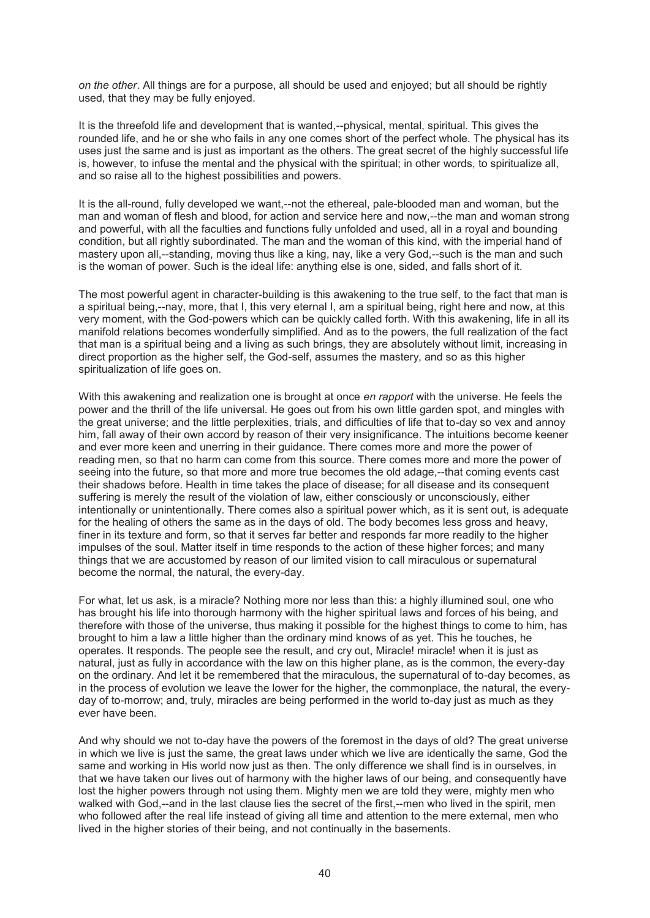*on the other*. All things are for a purpose, all should be used and enjoyed; but all should be rightly used, that they may be fully enjoyed.

It is the threefold life and development that is wanted,--physical, mental, spiritual. This gives the rounded life, and he or she who fails in any one comes short of the perfect whole. The physical has its uses just the same and is just as important as the others. The great secret of the highly successful life is, however, to infuse the mental and the physical with the spiritual; in other words, to spiritualize all, and so raise all to the highest possibilities and powers.

It is the all-round, fully developed we want,--not the ethereal, pale-blooded man and woman, but the man and woman of flesh and blood, for action and service here and now,--the man and woman strong and powerful, with all the faculties and functions fully unfolded and used, all in a royal and bounding condition, but all rightly subordinated. The man and the woman of this kind, with the imperial hand of mastery upon all,--standing, moving thus like a king, nay, like a very God,--such is the man and such is the woman of power. Such is the ideal life: anything else is one, sided, and falls short of it.

The most powerful agent in character-building is this awakening to the true self, to the fact that man is a spiritual being,--nay, more, that I, this very eternal I, am a spiritual being, right here and now, at this very moment, with the God-powers which can be quickly called forth. With this awakening, life in all its manifold relations becomes wonderfully simplified. And as to the powers, the full realization of the fact that man is a spiritual being and a living as such brings, they are absolutely without limit, increasing in direct proportion as the higher self, the God-self, assumes the mastery, and so as this higher spiritualization of life goes on.

With this awakening and realization one is brought at once *en rapport* with the universe. He feels the power and the thrill of the life universal. He goes out from his own little garden spot, and mingles with the great universe; and the little perplexities, trials, and difficulties of life that to-day so vex and annoy him, fall away of their own accord by reason of their very insignificance. The intuitions become keener and ever more keen and unerring in their guidance. There comes more and more the power of reading men, so that no harm can come from this source. There comes more and more the power of seeing into the future, so that more and more true becomes the old adage,--that coming events cast their shadows before. Health in time takes the place of disease; for all disease and its consequent suffering is merely the result of the violation of law, either consciously or unconsciously, either intentionally or unintentionally. There comes also a spiritual power which, as it is sent out, is adequate for the healing of others the same as in the days of old. The body becomes less gross and heavy, finer in its texture and form, so that it serves far better and responds far more readily to the higher impulses of the soul. Matter itself in time responds to the action of these higher forces; and many things that we are accustomed by reason of our limited vision to call miraculous or supernatural become the normal, the natural, the every-day.

For what, let us ask, is a miracle? Nothing more nor less than this: a highly illumined soul, one who has brought his life into thorough harmony with the higher spiritual laws and forces of his being, and therefore with those of the universe, thus making it possible for the highest things to come to him, has brought to him a law a little higher than the ordinary mind knows of as yet. This he touches, he operates. It responds. The people see the result, and cry out, Miracle! miracle! when it is just as natural, just as fully in accordance with the law on this higher plane, as is the common, the every-day on the ordinary. And let it be remembered that the miraculous, the supernatural of to-day becomes, as in the process of evolution we leave the lower for the higher, the commonplace, the natural, the everyday of to-morrow; and, truly, miracles are being performed in the world to-day just as much as they ever have been.

And why should we not to-day have the powers of the foremost in the days of old? The great universe in which we live is just the same, the great laws under which we live are identically the same, God the same and working in His world now just as then. The only difference we shall find is in ourselves, in that we have taken our lives out of harmony with the higher laws of our being, and consequently have lost the higher powers through not using them. Mighty men we are told they were, mighty men who walked with God,--and in the last clause lies the secret of the first,--men who lived in the spirit, men who followed after the real life instead of giving all time and attention to the mere external, men who lived in the higher stories of their being, and not continually in the basements.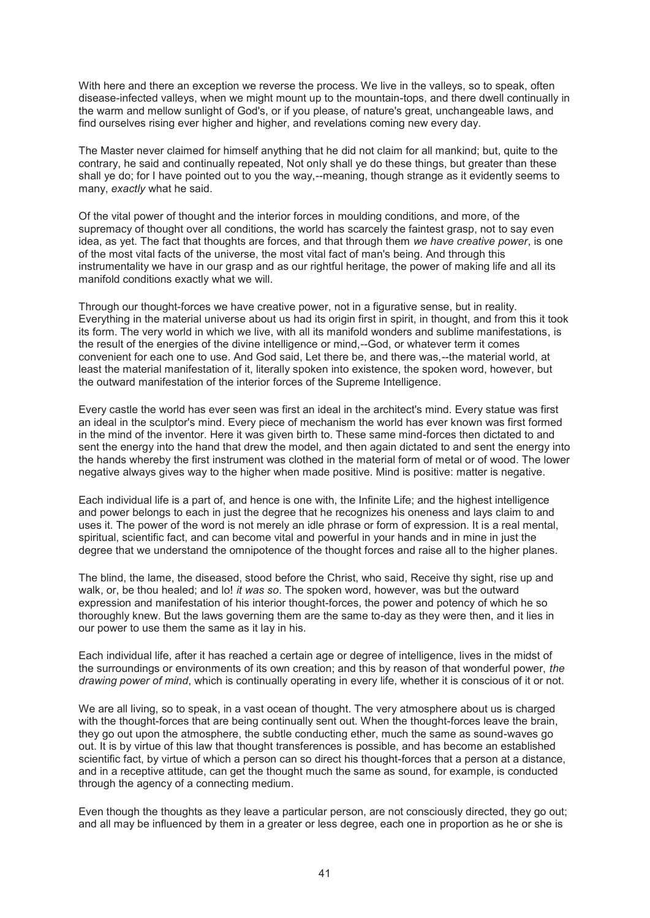With here and there an exception we reverse the process. We live in the valleys, so to speak, often disease-infected valleys, when we might mount up to the mountain-tops, and there dwell continually in the warm and mellow sunlight of God's, or if you please, of nature's great, unchangeable laws, and find ourselves rising ever higher and higher, and revelations coming new every day.

The Master never claimed for himself anything that he did not claim for all mankind; but, quite to the contrary, he said and continually repeated, Not only shall ye do these things, but greater than these shall ye do; for I have pointed out to you the way,--meaning, though strange as it evidently seems to many, *exactly* what he said.

Of the vital power of thought and the interior forces in moulding conditions, and more, of the supremacy of thought over all conditions, the world has scarcely the faintest grasp, not to say even idea, as yet. The fact that thoughts are forces, and that through them *we have creative power*, is one of the most vital facts of the universe, the most vital fact of man's being. And through this instrumentality we have in our grasp and as our rightful heritage, the power of making life and all its manifold conditions exactly what we will.

Through our thought-forces we have creative power, not in a figurative sense, but in reality. Everything in the material universe about us had its origin first in spirit, in thought, and from this it took its form. The very world in which we live, with all its manifold wonders and sublime manifestations, is the result of the energies of the divine intelligence or mind,--God, or whatever term it comes convenient for each one to use. And God said, Let there be, and there was,--the material world, at least the material manifestation of it, literally spoken into existence, the spoken word, however, but the outward manifestation of the interior forces of the Supreme Intelligence.

Every castle the world has ever seen was first an ideal in the architect's mind. Every statue was first an ideal in the sculptor's mind. Every piece of mechanism the world has ever known was first formed in the mind of the inventor. Here it was given birth to. These same mind-forces then dictated to and sent the energy into the hand that drew the model, and then again dictated to and sent the energy into the hands whereby the first instrument was clothed in the material form of metal or of wood. The lower negative always gives way to the higher when made positive. Mind is positive: matter is negative.

Each individual life is a part of, and hence is one with, the Infinite Life; and the highest intelligence and power belongs to each in just the degree that he recognizes his oneness and lays claim to and uses it. The power of the word is not merely an idle phrase or form of expression. It is a real mental, spiritual, scientific fact, and can become vital and powerful in your hands and in mine in just the degree that we understand the omnipotence of the thought forces and raise all to the higher planes.

The blind, the lame, the diseased, stood before the Christ, who said, Receive thy sight, rise up and walk, or, be thou healed; and lo! *it was so*. The spoken word, however, was but the outward expression and manifestation of his interior thought-forces, the power and potency of which he so thoroughly knew. But the laws governing them are the same to-day as they were then, and it lies in our power to use them the same as it lay in his.

Each individual life, after it has reached a certain age or degree of intelligence, lives in the midst of the surroundings or environments of its own creation; and this by reason of that wonderful power, *the drawing power of mind*, which is continually operating in every life, whether it is conscious of it or not.

We are all living, so to speak, in a vast ocean of thought. The very atmosphere about us is charged with the thought-forces that are being continually sent out. When the thought-forces leave the brain, they go out upon the atmosphere, the subtle conducting ether, much the same as sound-waves go out. It is by virtue of this law that thought transferences is possible, and has become an established scientific fact, by virtue of which a person can so direct his thought-forces that a person at a distance, and in a receptive attitude, can get the thought much the same as sound, for example, is conducted through the agency of a connecting medium.

Even though the thoughts as they leave a particular person, are not consciously directed, they go out; and all may be influenced by them in a greater or less degree, each one in proportion as he or she is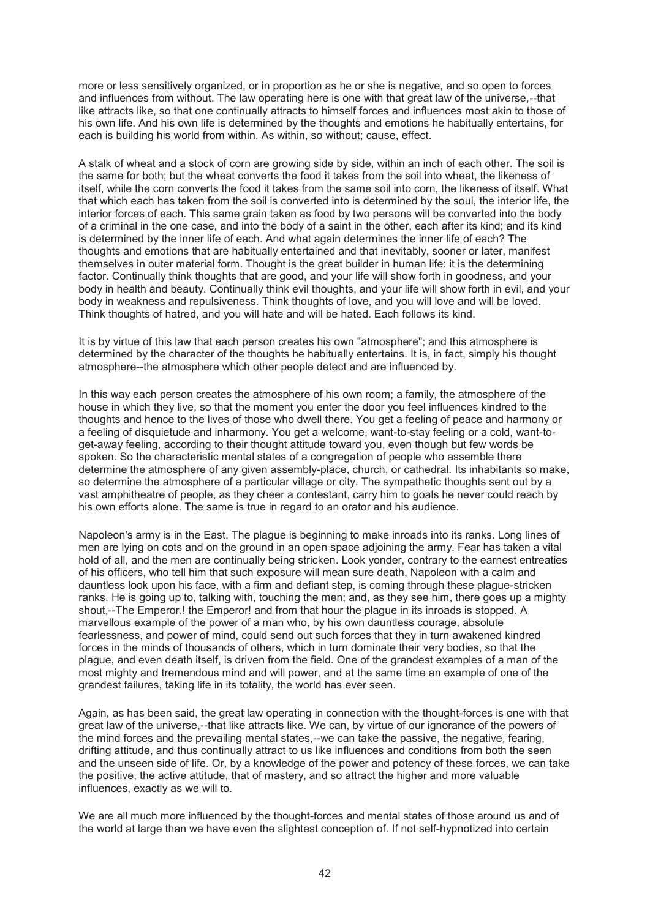more or less sensitively organized, or in proportion as he or she is negative, and so open to forces and influences from without. The law operating here is one with that great law of the universe,--that like attracts like, so that one continually attracts to himself forces and influences most akin to those of his own life. And his own life is determined by the thoughts and emotions he habitually entertains, for each is building his world from within. As within, so without; cause, effect.

A stalk of wheat and a stock of corn are growing side by side, within an inch of each other. The soil is the same for both; but the wheat converts the food it takes from the soil into wheat, the likeness of itself, while the corn converts the food it takes from the same soil into corn, the likeness of itself. What that which each has taken from the soil is converted into is determined by the soul, the interior life, the interior forces of each. This same grain taken as food by two persons will be converted into the body of a criminal in the one case, and into the body of a saint in the other, each after its kind; and its kind is determined by the inner life of each. And what again determines the inner life of each? The thoughts and emotions that are habitually entertained and that inevitably, sooner or later, manifest themselves in outer material form. Thought is the great builder in human life: it is the determining factor. Continually think thoughts that are good, and your life will show forth in goodness, and your body in health and beauty. Continually think evil thoughts, and your life will show forth in evil, and your body in weakness and repulsiveness. Think thoughts of love, and you will love and will be loved. Think thoughts of hatred, and you will hate and will be hated. Each follows its kind.

It is by virtue of this law that each person creates his own "atmosphere"; and this atmosphere is determined by the character of the thoughts he habitually entertains. It is, in fact, simply his thought atmosphere--the atmosphere which other people detect and are influenced by.

In this way each person creates the atmosphere of his own room; a family, the atmosphere of the house in which they live, so that the moment you enter the door you feel influences kindred to the thoughts and hence to the lives of those who dwell there. You get a feeling of peace and harmony or a feeling of disquietude and inharmony. You get a welcome, want-to-stay feeling or a cold, want-toget-away feeling, according to their thought attitude toward you, even though but few words be spoken. So the characteristic mental states of a congregation of people who assemble there determine the atmosphere of any given assembly-place, church, or cathedral. Its inhabitants so make, so determine the atmosphere of a particular village or city. The sympathetic thoughts sent out by a vast amphitheatre of people, as they cheer a contestant, carry him to goals he never could reach by his own efforts alone. The same is true in regard to an orator and his audience.

Napoleon's army is in the East. The plague is beginning to make inroads into its ranks. Long lines of men are lying on cots and on the ground in an open space adjoining the army. Fear has taken a vital hold of all, and the men are continually being stricken. Look yonder, contrary to the earnest entreaties of his officers, who tell him that such exposure will mean sure death, Napoleon with a calm and dauntless look upon his face, with a firm and defiant step, is coming through these plague-stricken ranks. He is going up to, talking with, touching the men; and, as they see him, there goes up a mighty shout,--The Emperor.! the Emperor! and from that hour the plague in its inroads is stopped. A marvellous example of the power of a man who, by his own dauntless courage, absolute fearlessness, and power of mind, could send out such forces that they in turn awakened kindred forces in the minds of thousands of others, which in turn dominate their very bodies, so that the plague, and even death itself, is driven from the field. One of the grandest examples of a man of the most mighty and tremendous mind and will power, and at the same time an example of one of the grandest failures, taking life in its totality, the world has ever seen.

Again, as has been said, the great law operating in connection with the thought-forces is one with that great law of the universe,--that like attracts like. We can, by virtue of our ignorance of the powers of the mind forces and the prevailing mental states,--we can take the passive, the negative, fearing, drifting attitude, and thus continually attract to us like influences and conditions from both the seen and the unseen side of life. Or, by a knowledge of the power and potency of these forces, we can take the positive, the active attitude, that of mastery, and so attract the higher and more valuable influences, exactly as we will to.

We are all much more influenced by the thought-forces and mental states of those around us and of the world at large than we have even the slightest conception of. If not self-hypnotized into certain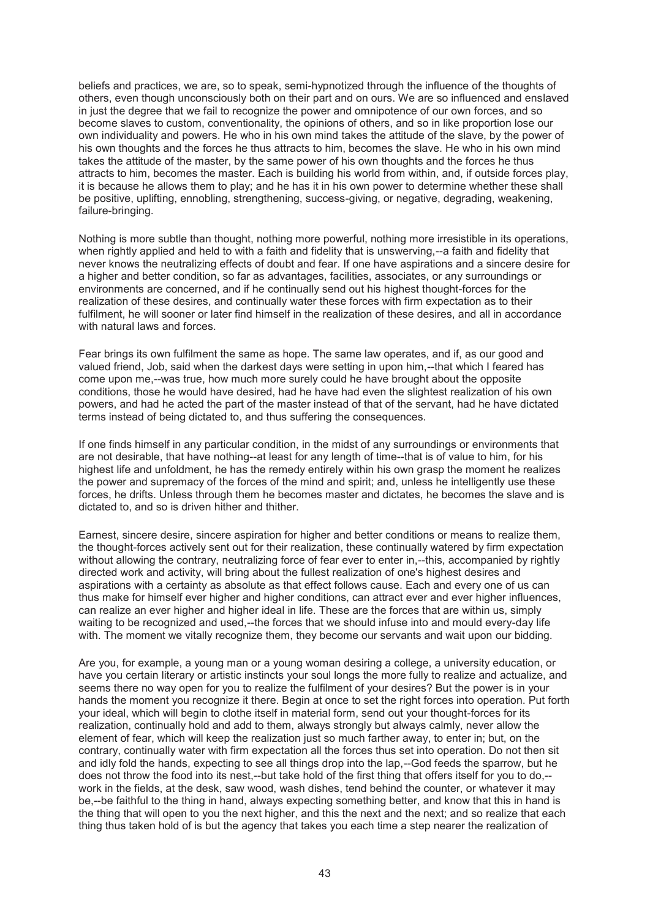beliefs and practices, we are, so to speak, semi-hypnotized through the influence of the thoughts of others, even though unconsciously both on their part and on ours. We are so influenced and enslaved in just the degree that we fail to recognize the power and omnipotence of our own forces, and so become slaves to custom, conventionality, the opinions of others, and so in like proportion lose our own individuality and powers. He who in his own mind takes the attitude of the slave, by the power of his own thoughts and the forces he thus attracts to him, becomes the slave. He who in his own mind takes the attitude of the master, by the same power of his own thoughts and the forces he thus attracts to him, becomes the master. Each is building his world from within, and, if outside forces play, it is because he allows them to play; and he has it in his own power to determine whether these shall be positive, uplifting, ennobling, strengthening, success-giving, or negative, degrading, weakening, failure-bringing.

Nothing is more subtle than thought, nothing more powerful, nothing more irresistible in its operations, when rightly applied and held to with a faith and fidelity that is unswerving,--a faith and fidelity that never knows the neutralizing effects of doubt and fear. If one have aspirations and a sincere desire for a higher and better condition, so far as advantages, facilities, associates, or any surroundings or environments are concerned, and if he continually send out his highest thought-forces for the realization of these desires, and continually water these forces with firm expectation as to their fulfilment, he will sooner or later find himself in the realization of these desires, and all in accordance with natural laws and forces.

Fear brings its own fulfilment the same as hope. The same law operates, and if, as our good and valued friend, Job, said when the darkest days were setting in upon him,--that which I feared has come upon me,--was true, how much more surely could he have brought about the opposite conditions, those he would have desired, had he have had even the slightest realization of his own powers, and had he acted the part of the master instead of that of the servant, had he have dictated terms instead of being dictated to, and thus suffering the consequences.

If one finds himself in any particular condition, in the midst of any surroundings or environments that are not desirable, that have nothing--at least for any length of time--that is of value to him, for his highest life and unfoldment, he has the remedy entirely within his own grasp the moment he realizes the power and supremacy of the forces of the mind and spirit; and, unless he intelligently use these forces, he drifts. Unless through them he becomes master and dictates, he becomes the slave and is dictated to, and so is driven hither and thither.

Earnest, sincere desire, sincere aspiration for higher and better conditions or means to realize them, the thought-forces actively sent out for their realization, these continually watered by firm expectation without allowing the contrary, neutralizing force of fear ever to enter in,--this, accompanied by rightly directed work and activity, will bring about the fullest realization of one's highest desires and aspirations with a certainty as absolute as that effect follows cause. Each and every one of us can thus make for himself ever higher and higher conditions, can attract ever and ever higher influences, can realize an ever higher and higher ideal in life. These are the forces that are within us, simply waiting to be recognized and used,--the forces that we should infuse into and mould every-day life with. The moment we vitally recognize them, they become our servants and wait upon our bidding.

Are you, for example, a young man or a young woman desiring a college, a university education, or have you certain literary or artistic instincts your soul longs the more fully to realize and actualize, and seems there no way open for you to realize the fulfilment of your desires? But the power is in your hands the moment you recognize it there. Begin at once to set the right forces into operation. Put forth your ideal, which will begin to clothe itself in material form, send out your thought-forces for its realization, continually hold and add to them, always strongly but always calmly, never allow the element of fear, which will keep the realization just so much farther away, to enter in; but, on the contrary, continually water with firm expectation all the forces thus set into operation. Do not then sit and idly fold the hands, expecting to see all things drop into the lap,--God feeds the sparrow, but he does not throw the food into its nest,--but take hold of the first thing that offers itself for you to do,- work in the fields, at the desk, saw wood, wash dishes, tend behind the counter, or whatever it may be,--be faithful to the thing in hand, always expecting something better, and know that this in hand is the thing that will open to you the next higher, and this the next and the next; and so realize that each thing thus taken hold of is but the agency that takes you each time a step nearer the realization of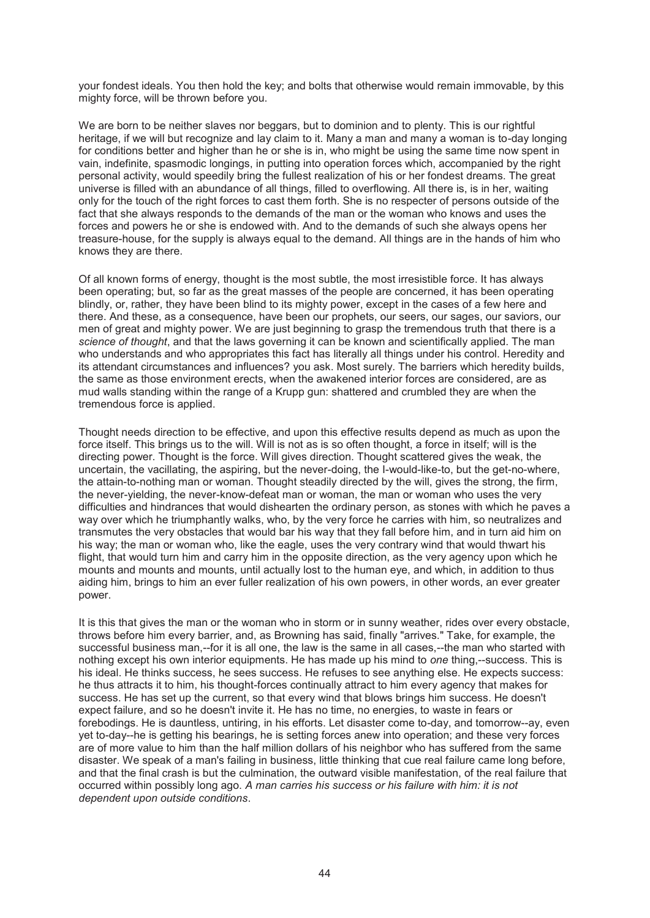your fondest ideals. You then hold the key; and bolts that otherwise would remain immovable, by this mighty force, will be thrown before you.

We are born to be neither slaves nor beggars, but to dominion and to plenty. This is our rightful heritage, if we will but recognize and lay claim to it. Many a man and many a woman is to-day longing for conditions better and higher than he or she is in, who might be using the same time now spent in vain, indefinite, spasmodic longings, in putting into operation forces which, accompanied by the right personal activity, would speedily bring the fullest realization of his or her fondest dreams. The great universe is filled with an abundance of all things, filled to overflowing. All there is, is in her, waiting only for the touch of the right forces to cast them forth. She is no respecter of persons outside of the fact that she always responds to the demands of the man or the woman who knows and uses the forces and powers he or she is endowed with. And to the demands of such she always opens her treasure-house, for the supply is always equal to the demand. All things are in the hands of him who knows they are there.

Of all known forms of energy, thought is the most subtle, the most irresistible force. It has always been operating; but, so far as the great masses of the people are concerned, it has been operating blindly, or, rather, they have been blind to its mighty power, except in the cases of a few here and there. And these, as a consequence, have been our prophets, our seers, our sages, our saviors, our men of great and mighty power. We are just beginning to grasp the tremendous truth that there is a *science of thought*, and that the laws governing it can be known and scientifically applied. The man who understands and who appropriates this fact has literally all things under his control. Heredity and its attendant circumstances and influences? you ask. Most surely. The barriers which heredity builds, the same as those environment erects, when the awakened interior forces are considered, are as mud walls standing within the range of a Krupp gun: shattered and crumbled they are when the tremendous force is applied.

Thought needs direction to be effective, and upon this effective results depend as much as upon the force itself. This brings us to the will. Will is not as is so often thought, a force in itself; will is the directing power. Thought is the force. Will gives direction. Thought scattered gives the weak, the uncertain, the vacillating, the aspiring, but the never-doing, the I-would-like-to, but the get-no-where, the attain-to-nothing man or woman. Thought steadily directed by the will, gives the strong, the firm, the never-yielding, the never-know-defeat man or woman, the man or woman who uses the very difficulties and hindrances that would dishearten the ordinary person, as stones with which he paves a way over which he triumphantly walks, who, by the very force he carries with him, so neutralizes and transmutes the very obstacles that would bar his way that they fall before him, and in turn aid him on his way; the man or woman who, like the eagle, uses the very contrary wind that would thwart his flight, that would turn him and carry him in the opposite direction, as the very agency upon which he mounts and mounts and mounts, until actually lost to the human eye, and which, in addition to thus aiding him, brings to him an ever fuller realization of his own powers, in other words, an ever greater power.

It is this that gives the man or the woman who in storm or in sunny weather, rides over every obstacle, throws before him every barrier, and, as Browning has said, finally "arrives." Take, for example, the successful business man,--for it is all one, the law is the same in all cases,--the man who started with nothing except his own interior equipments. He has made up his mind to *one* thing,--success. This is his ideal. He thinks success, he sees success. He refuses to see anything else. He expects success: he thus attracts it to him, his thought-forces continually attract to him every agency that makes for success. He has set up the current, so that every wind that blows brings him success. He doesn't expect failure, and so he doesn't invite it. He has no time, no energies, to waste in fears or forebodings. He is dauntless, untiring, in his efforts. Let disaster come to-day, and tomorrow--ay, even yet to-day--he is getting his bearings, he is setting forces anew into operation; and these very forces are of more value to him than the half million dollars of his neighbor who has suffered from the same disaster. We speak of a man's failing in business, little thinking that cue real failure came long before, and that the final crash is but the culmination, the outward visible manifestation, of the real failure that occurred within possibly long ago. *A man carries his success or his failure with him: it is not dependent upon outside conditions*.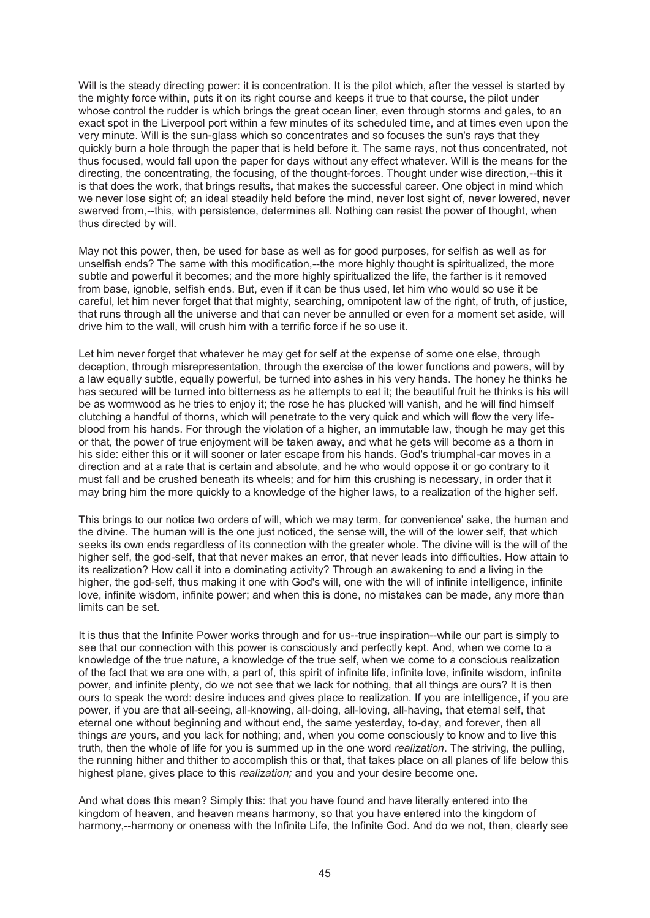Will is the steady directing power: it is concentration. It is the pilot which, after the vessel is started by the mighty force within, puts it on its right course and keeps it true to that course, the pilot under whose control the rudder is which brings the great ocean liner, even through storms and gales, to an exact spot in the Liverpool port within a few minutes of its scheduled time, and at times even upon the very minute. Will is the sun-glass which so concentrates and so focuses the sun's rays that they quickly burn a hole through the paper that is held before it. The same rays, not thus concentrated, not thus focused, would fall upon the paper for days without any effect whatever. Will is the means for the directing, the concentrating, the focusing, of the thought-forces. Thought under wise direction,--this it is that does the work, that brings results, that makes the successful career. One object in mind which we never lose sight of; an ideal steadily held before the mind, never lost sight of, never lowered, never swerved from,--this, with persistence, determines all. Nothing can resist the power of thought, when thus directed by will.

May not this power, then, be used for base as well as for good purposes, for selfish as well as for unselfish ends? The same with this modification,--the more highly thought is spiritualized, the more subtle and powerful it becomes; and the more highly spiritualized the life, the farther is it removed from base, ignoble, selfish ends. But, even if it can be thus used, let him who would so use it be careful, let him never forget that that mighty, searching, omnipotent law of the right, of truth, of justice, that runs through all the universe and that can never be annulled or even for a moment set aside, will drive him to the wall, will crush him with a terrific force if he so use it.

Let him never forget that whatever he may get for self at the expense of some one else, through deception, through misrepresentation, through the exercise of the lower functions and powers, will by a law equally subtle, equally powerful, be turned into ashes in his very hands. The honey he thinks he has secured will be turned into bitterness as he attempts to eat it; the beautiful fruit he thinks is his will be as wormwood as he tries to enjoy it; the rose he has plucked will vanish, and he will find himself clutching a handful of thorns, which will penetrate to the very quick and which will flow the very lifeblood from his hands. For through the violation of a higher, an immutable law, though he may get this or that, the power of true enjoyment will be taken away, and what he gets will become as a thorn in his side: either this or it will sooner or later escape from his hands. God's triumphal-car moves in a direction and at a rate that is certain and absolute, and he who would oppose it or go contrary to it must fall and be crushed beneath its wheels; and for him this crushing is necessary, in order that it may bring him the more quickly to a knowledge of the higher laws, to a realization of the higher self.

This brings to our notice two orders of will, which we may term, for convenience' sake, the human and the divine. The human will is the one just noticed, the sense will, the will of the lower self, that which seeks its own ends regardless of its connection with the greater whole. The divine will is the will of the higher self, the god-self, that that never makes an error, that never leads into difficulties. How attain to its realization? How call it into a dominating activity? Through an awakening to and a living in the higher, the god-self, thus making it one with God's will, one with the will of infinite intelligence, infinite love, infinite wisdom, infinite power; and when this is done, no mistakes can be made, any more than limits can be set.

It is thus that the Infinite Power works through and for us--true inspiration--while our part is simply to see that our connection with this power is consciously and perfectly kept. And, when we come to a knowledge of the true nature, a knowledge of the true self, when we come to a conscious realization of the fact that we are one with, a part of, this spirit of infinite life, infinite love, infinite wisdom, infinite power, and infinite plenty, do we not see that we lack for nothing, that all things are ours? It is then ours to speak the word: desire induces and gives place to realization. If you are intelligence, if you are power, if you are that all-seeing, all-knowing, all-doing, all-loving, all-having, that eternal self, that eternal one without beginning and without end, the same yesterday, to-day, and forever, then all things *are* yours, and you lack for nothing; and, when you come consciously to know and to live this truth, then the whole of life for you is summed up in the one word *realization*. The striving, the pulling, the running hither and thither to accomplish this or that, that takes place on all planes of life below this highest plane, gives place to this *realization;* and you and your desire become one.

And what does this mean? Simply this: that you have found and have literally entered into the kingdom of heaven, and heaven means harmony, so that you have entered into the kingdom of harmony,--harmony or oneness with the Infinite Life, the Infinite God. And do we not, then, clearly see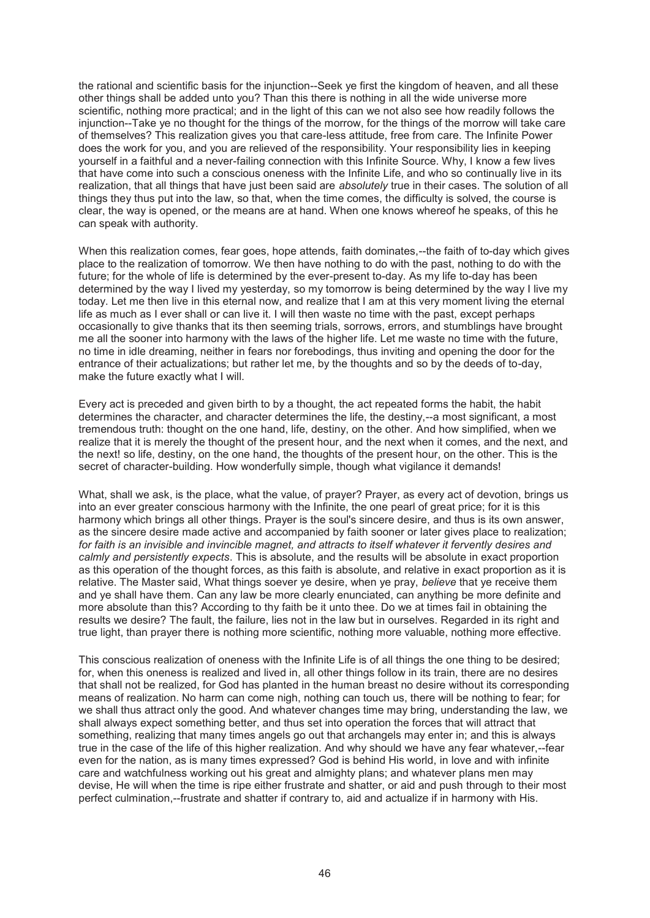the rational and scientific basis for the injunction--Seek ye first the kingdom of heaven, and all these other things shall be added unto you? Than this there is nothing in all the wide universe more scientific, nothing more practical; and in the light of this can we not also see how readily follows the injunction--Take ye no thought for the things of the morrow, for the things of the morrow will take care of themselves? This realization gives you that care-less attitude, free from care. The Infinite Power does the work for you, and you are relieved of the responsibility. Your responsibility lies in keeping yourself in a faithful and a never-failing connection with this Infinite Source. Why, I know a few lives that have come into such a conscious oneness with the Infinite Life, and who so continually live in its realization, that all things that have just been said are *absolutely* true in their cases. The solution of all things they thus put into the law, so that, when the time comes, the difficulty is solved, the course is clear, the way is opened, or the means are at hand. When one knows whereof he speaks, of this he can speak with authority.

When this realization comes, fear goes, hope attends, faith dominates,--the faith of to-day which gives place to the realization of tomorrow. We then have nothing to do with the past, nothing to do with the future; for the whole of life is determined by the ever-present to-day. As my life to-day has been determined by the way I lived my yesterday, so my tomorrow is being determined by the way I live my today. Let me then live in this eternal now, and realize that I am at this very moment living the eternal life as much as I ever shall or can live it. I will then waste no time with the past, except perhaps occasionally to give thanks that its then seeming trials, sorrows, errors, and stumblings have brought me all the sooner into harmony with the laws of the higher life. Let me waste no time with the future, no time in idle dreaming, neither in fears nor forebodings, thus inviting and opening the door for the entrance of their actualizations; but rather let me, by the thoughts and so by the deeds of to-day, make the future exactly what I will.

Every act is preceded and given birth to by a thought, the act repeated forms the habit, the habit determines the character, and character determines the life, the destiny,--a most significant, a most tremendous truth: thought on the one hand, life, destiny, on the other. And how simplified, when we realize that it is merely the thought of the present hour, and the next when it comes, and the next, and the next! so life, destiny, on the one hand, the thoughts of the present hour, on the other. This is the secret of character-building. How wonderfully simple, though what vigilance it demands!

What, shall we ask, is the place, what the value, of prayer? Prayer, as every act of devotion, brings us into an ever greater conscious harmony with the Infinite, the one pearl of great price; for it is this harmony which brings all other things. Prayer is the soul's sincere desire, and thus is its own answer, as the sincere desire made active and accompanied by faith sooner or later gives place to realization; *for faith is an invisible and invincible magnet, and attracts to itself whatever it fervently desires and calmly and persistently expects*. This is absolute, and the results will be absolute in exact proportion as this operation of the thought forces, as this faith is absolute, and relative in exact proportion as it is relative. The Master said, What things soever ye desire, when ye pray, *believe* that ye receive them and ye shall have them. Can any law be more clearly enunciated, can anything be more definite and more absolute than this? According to thy faith be it unto thee. Do we at times fail in obtaining the results we desire? The fault, the failure, lies not in the law but in ourselves. Regarded in its right and true light, than prayer there is nothing more scientific, nothing more valuable, nothing more effective.

This conscious realization of oneness with the Infinite Life is of all things the one thing to be desired; for, when this oneness is realized and lived in, all other things follow in its train, there are no desires that shall not be realized, for God has planted in the human breast no desire without its corresponding means of realization. No harm can come nigh, nothing can touch us, there will be nothing to fear; for we shall thus attract only the good. And whatever changes time may bring, understanding the law, we shall always expect something better, and thus set into operation the forces that will attract that something, realizing that many times angels go out that archangels may enter in; and this is always true in the case of the life of this higher realization. And why should we have any fear whatever,--fear even for the nation, as is many times expressed? God is behind His world, in love and with infinite care and watchfulness working out his great and almighty plans; and whatever plans men may devise, He will when the time is ripe either frustrate and shatter, or aid and push through to their most perfect culmination,--frustrate and shatter if contrary to, aid and actualize if in harmony with His.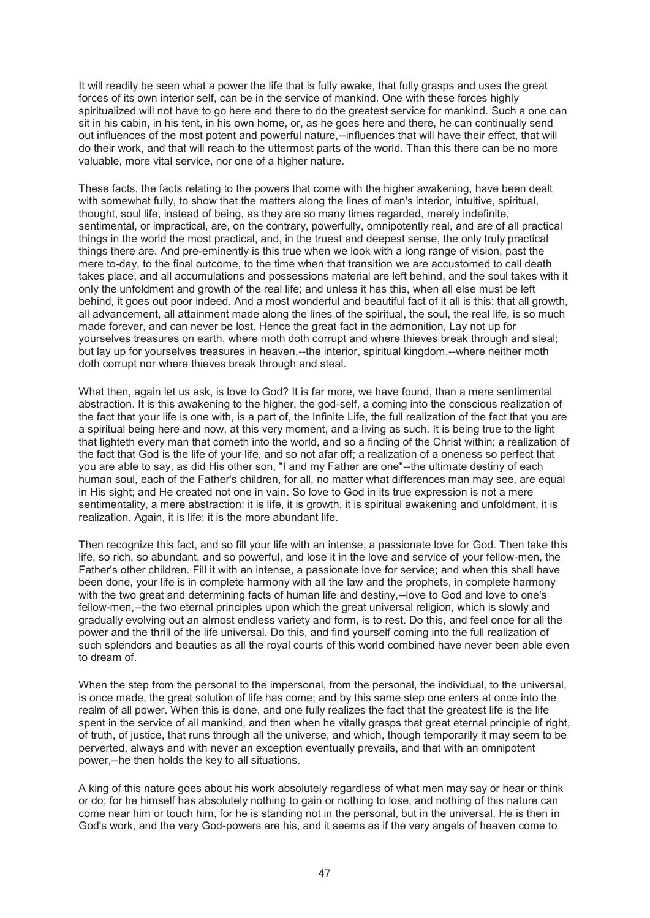It will readily be seen what a power the life that is fully awake, that fully grasps and uses the great forces of its own interior self, can be in the service of mankind. One with these forces highly spiritualized will not have to go here and there to do the greatest service for mankind. Such a one can sit in his cabin, in his tent, in his own home, or, as he goes here and there, he can continually send out influences of the most potent and powerful nature,--influences that will have their effect, that will do their work, and that will reach to the uttermost parts of the world. Than this there can be no more valuable, more vital service, nor one of a higher nature.

These facts, the facts relating to the powers that come with the higher awakening, have been dealt with somewhat fully, to show that the matters along the lines of man's interior, intuitive, spiritual, thought, soul life, instead of being, as they are so many times regarded, merely indefinite, sentimental, or impractical, are, on the contrary, powerfully, omnipotently real, and are of all practical things in the world the most practical, and, in the truest and deepest sense, the only truly practical things there are. And pre-eminently is this true when we look with a long range of vision, past the mere to-day, to the final outcome, to the time when that transition we are accustomed to call death takes place, and all accumulations and possessions material are left behind, and the soul takes with it only the unfoldment and growth of the real life; and unless it has this, when all else must be left behind, it goes out poor indeed. And a most wonderful and beautiful fact of it all is this: that all growth, all advancement, all attainment made along the lines of the spiritual, the soul, the real life, is so much made forever, and can never be lost. Hence the great fact in the admonition, Lay not up for yourselves treasures on earth, where moth doth corrupt and where thieves break through and steal; but lay up for yourselves treasures in heaven,--the interior, spiritual kingdom,--where neither moth doth corrupt nor where thieves break through and steal.

What then, again let us ask, is love to God? It is far more, we have found, than a mere sentimental abstraction. It is this awakening to the higher, the god-self, a coming into the conscious realization of the fact that your life is one with, is a part of, the Infinite Life, the full realization of the fact that you are a spiritual being here and now, at this very moment, and a living as such. It is being true to the light that lighteth every man that cometh into the world, and so a finding of the Christ within; a realization of the fact that God is the life of your life, and so not afar off; a realization of a oneness so perfect that you are able to say, as did His other son, "I and my Father are one"--the ultimate destiny of each human soul, each of the Father's children, for all, no matter what differences man may see, are equal in His sight; and He created not one in vain. So love to God in its true expression is not a mere sentimentality, a mere abstraction: it is life, it is growth, it is spiritual awakening and unfoldment, it is realization. Again, it is life: it is the more abundant life.

Then recognize this fact, and so fill your life with an intense, a passionate love for God. Then take this life, so rich, so abundant, and so powerful, and lose it in the love and service of your fellow-men, the Father's other children. Fill it with an intense, a passionate love for service; and when this shall have been done, your life is in complete harmony with all the law and the prophets, in complete harmony with the two great and determining facts of human life and destiny,--love to God and love to one's fellow-men,--the two eternal principles upon which the great universal religion, which is slowly and gradually evolving out an almost endless variety and form, is to rest. Do this, and feel once for all the power and the thrill of the life universal. Do this, and find yourself coming into the full realization of such splendors and beauties as all the royal courts of this world combined have never been able even to dream of.

When the step from the personal to the impersonal, from the personal, the individual, to the universal, is once made, the great solution of life has come; and by this same step one enters at once into the realm of all power. When this is done, and one fully realizes the fact that the greatest life is the life spent in the service of all mankind, and then when he vitally grasps that great eternal principle of right, of truth, of justice, that runs through all the universe, and which, though temporarily it may seem to be perverted, always and with never an exception eventually prevails, and that with an omnipotent power,--he then holds the key to all situations.

A king of this nature goes about his work absolutely regardless of what men may say or hear or think or do; for he himself has absolutely nothing to gain or nothing to lose, and nothing of this nature can come near him or touch him, for he is standing not in the personal, but in the universal. He is then in God's work, and the very God-powers are his, and it seems as if the very angels of heaven come to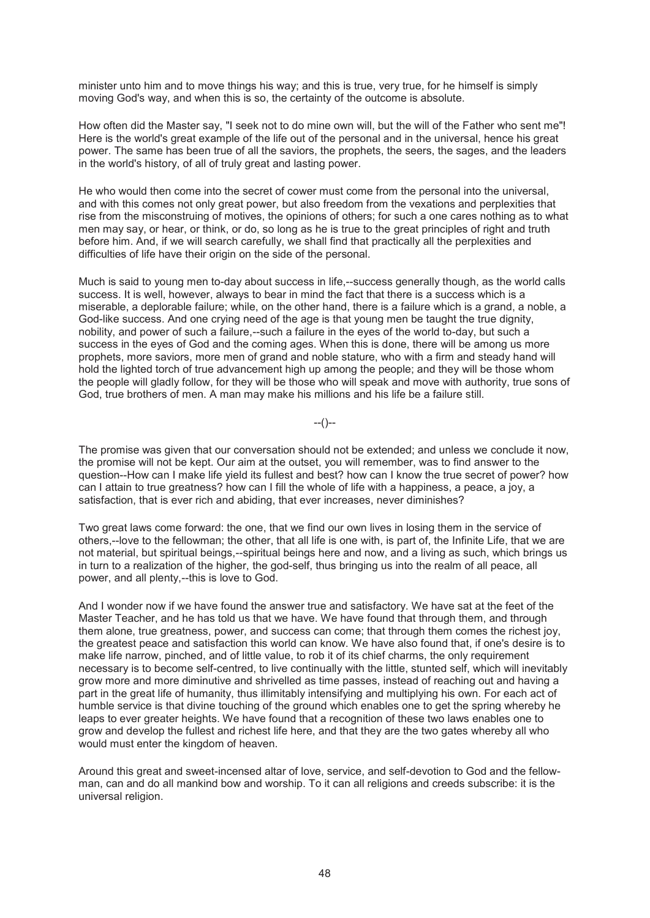minister unto him and to move things his way; and this is true, very true, for he himself is simply moving God's way, and when this is so, the certainty of the outcome is absolute.

How often did the Master say, "I seek not to do mine own will, but the will of the Father who sent me"! Here is the world's great example of the life out of the personal and in the universal, hence his great power. The same has been true of all the saviors, the prophets, the seers, the sages, and the leaders in the world's history, of all of truly great and lasting power.

He who would then come into the secret of cower must come from the personal into the universal, and with this comes not only great power, but also freedom from the vexations and perplexities that rise from the misconstruing of motives, the opinions of others; for such a one cares nothing as to what men may say, or hear, or think, or do, so long as he is true to the great principles of right and truth before him. And, if we will search carefully, we shall find that practically all the perplexities and difficulties of life have their origin on the side of the personal.

Much is said to young men to-day about success in life,--success generally though, as the world calls success. It is well, however, always to bear in mind the fact that there is a success which is a miserable, a deplorable failure; while, on the other hand, there is a failure which is a grand, a noble, a God-like success. And one crying need of the age is that young men be taught the true dignity, nobility, and power of such a failure,--such a failure in the eyes of the world to-day, but such a success in the eyes of God and the coming ages. When this is done, there will be among us more prophets, more saviors, more men of grand and noble stature, who with a firm and steady hand will hold the lighted torch of true advancement high up among the people; and they will be those whom the people will gladly follow, for they will be those who will speak and move with authority, true sons of God, true brothers of men. A man may make his millions and his life be a failure still.

--()--

The promise was given that our conversation should not be extended; and unless we conclude it now, the promise will not be kept. Our aim at the outset, you will remember, was to find answer to the question--How can I make life yield its fullest and best? how can I know the true secret of power? how can I attain to true greatness? how can I fill the whole of life with a happiness, a peace, a joy, a satisfaction, that is ever rich and abiding, that ever increases, never diminishes?

Two great laws come forward: the one, that we find our own lives in losing them in the service of others,--love to the fellowman; the other, that all life is one with, is part of, the Infinite Life, that we are not material, but spiritual beings,--spiritual beings here and now, and a living as such, which brings us in turn to a realization of the higher, the god-self, thus bringing us into the realm of all peace, all power, and all plenty,--this is love to God.

And I wonder now if we have found the answer true and satisfactory. We have sat at the feet of the Master Teacher, and he has told us that we have. We have found that through them, and through them alone, true greatness, power, and success can come; that through them comes the richest joy, the greatest peace and satisfaction this world can know. We have also found that, if one's desire is to make life narrow, pinched, and of little value, to rob it of its chief charms, the only requirement necessary is to become self-centred, to live continually with the little, stunted self, which will inevitably grow more and more diminutive and shrivelled as time passes, instead of reaching out and having a part in the great life of humanity, thus illimitably intensifying and multiplying his own. For each act of humble service is that divine touching of the ground which enables one to get the spring whereby he leaps to ever greater heights. We have found that a recognition of these two laws enables one to grow and develop the fullest and richest life here, and that they are the two gates whereby all who would must enter the kingdom of heaven.

Around this great and sweet-incensed altar of love, service, and self-devotion to God and the fellowman, can and do all mankind bow and worship. To it can all religions and creeds subscribe: it is the universal religion.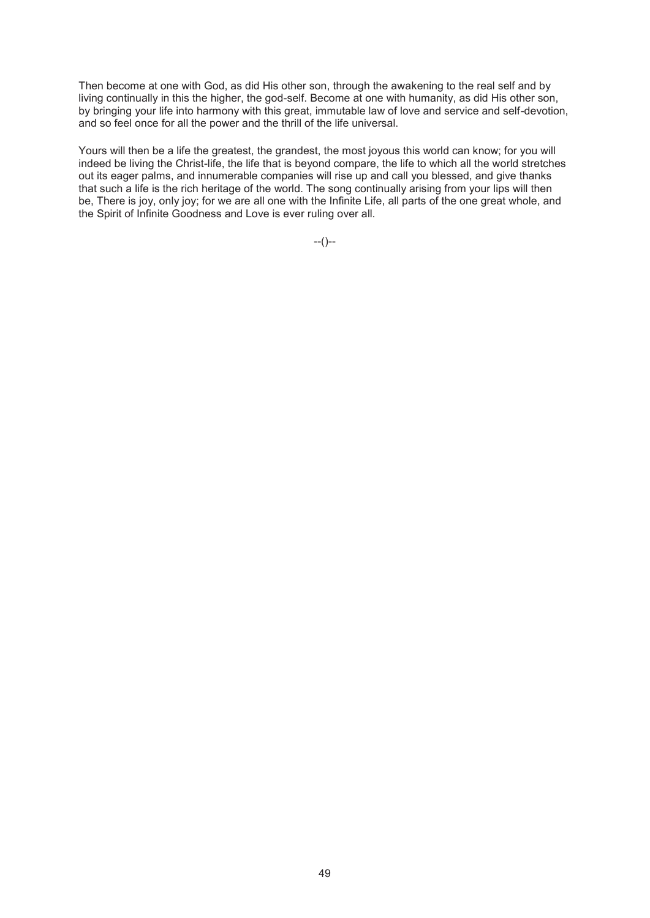Then become at one with God, as did His other son, through the awakening to the real self and by living continually in this the higher, the god-self. Become at one with humanity, as did His other son, by bringing your life into harmony with this great, immutable law of love and service and self-devotion, and so feel once for all the power and the thrill of the life universal.

Yours will then be a life the greatest, the grandest, the most joyous this world can know; for you will indeed be living the Christ-life, the life that is beyond compare, the life to which all the world stretches out its eager palms, and innumerable companies will rise up and call you blessed, and give thanks that such a life is the rich heritage of the world. The song continually arising from your lips will then be, There is joy, only joy; for we are all one with the Infinite Life, all parts of the one great whole, and the Spirit of Infinite Goodness and Love is ever ruling over all.

--()--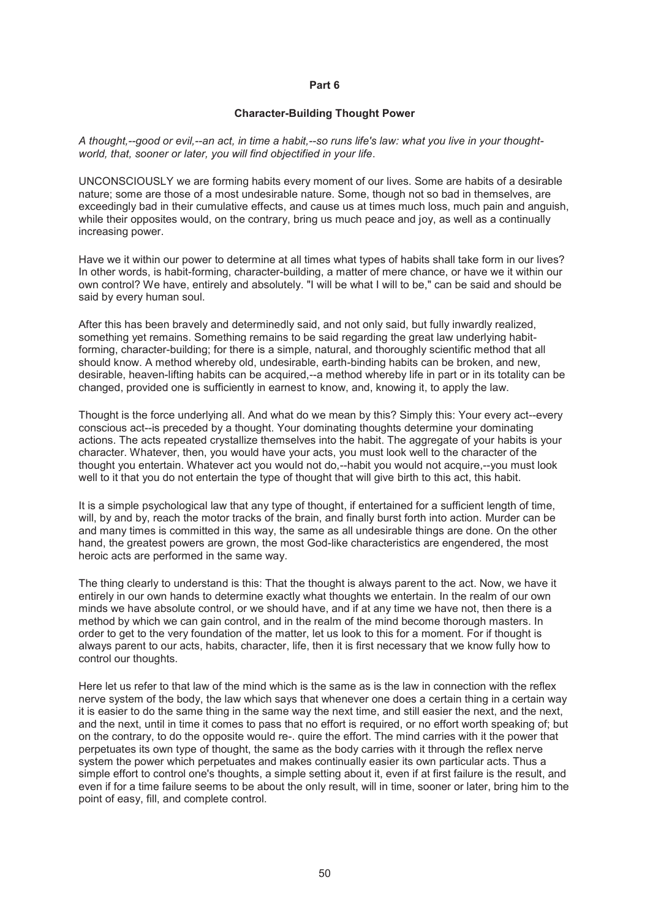### **Part 6**

### **Character-Building Thought Power**

*A thought,--good or evil,--an act, in time a habit,--so runs life's law: what you live in your thoughtworld, that, sooner or later, you will find objectified in your life*.

UNCONSCIOUSLY we are forming habits every moment of our lives. Some are habits of a desirable nature; some are those of a most undesirable nature. Some, though not so bad in themselves, are exceedingly bad in their cumulative effects, and cause us at times much loss, much pain and anguish, while their opposites would, on the contrary, bring us much peace and joy, as well as a continually increasing power.

Have we it within our power to determine at all times what types of habits shall take form in our lives? In other words, is habit-forming, character-building, a matter of mere chance, or have we it within our own control? We have, entirely and absolutely. "I will be what I will to be," can be said and should be said by every human soul.

After this has been bravely and determinedly said, and not only said, but fully inwardly realized, something yet remains. Something remains to be said regarding the great law underlying habitforming, character-building; for there is a simple, natural, and thoroughly scientific method that all should know. A method whereby old, undesirable, earth-binding habits can be broken, and new, desirable, heaven-lifting habits can be acquired,--a method whereby life in part or in its totality can be changed, provided one is sufficiently in earnest to know, and, knowing it, to apply the law.

Thought is the force underlying all. And what do we mean by this? Simply this: Your every act--every conscious act--is preceded by a thought. Your dominating thoughts determine your dominating actions. The acts repeated crystallize themselves into the habit. The aggregate of your habits is your character. Whatever, then, you would have your acts, you must look well to the character of the thought you entertain. Whatever act you would not do,--habit you would not acquire,--you must look well to it that you do not entertain the type of thought that will give birth to this act, this habit.

It is a simple psychological law that any type of thought, if entertained for a sufficient length of time, will, by and by, reach the motor tracks of the brain, and finally burst forth into action. Murder can be and many times is committed in this way, the same as all undesirable things are done. On the other hand, the greatest powers are grown, the most God-like characteristics are engendered, the most heroic acts are performed in the same way.

The thing clearly to understand is this: That the thought is always parent to the act. Now, we have it entirely in our own hands to determine exactly what thoughts we entertain. In the realm of our own minds we have absolute control, or we should have, and if at any time we have not, then there is a method by which we can gain control, and in the realm of the mind become thorough masters. In order to get to the very foundation of the matter, let us look to this for a moment. For if thought is always parent to our acts, habits, character, life, then it is first necessary that we know fully how to control our thoughts.

Here let us refer to that law of the mind which is the same as is the law in connection with the reflex nerve system of the body, the law which says that whenever one does a certain thing in a certain way it is easier to do the same thing in the same way the next time, and still easier the next, and the next, and the next, until in time it comes to pass that no effort is required, or no effort worth speaking of; but on the contrary, to do the opposite would re-. quire the effort. The mind carries with it the power that perpetuates its own type of thought, the same as the body carries with it through the reflex nerve system the power which perpetuates and makes continually easier its own particular acts. Thus a simple effort to control one's thoughts, a simple setting about it, even if at first failure is the result, and even if for a time failure seems to be about the only result, will in time, sooner or later, bring him to the point of easy, fill, and complete control.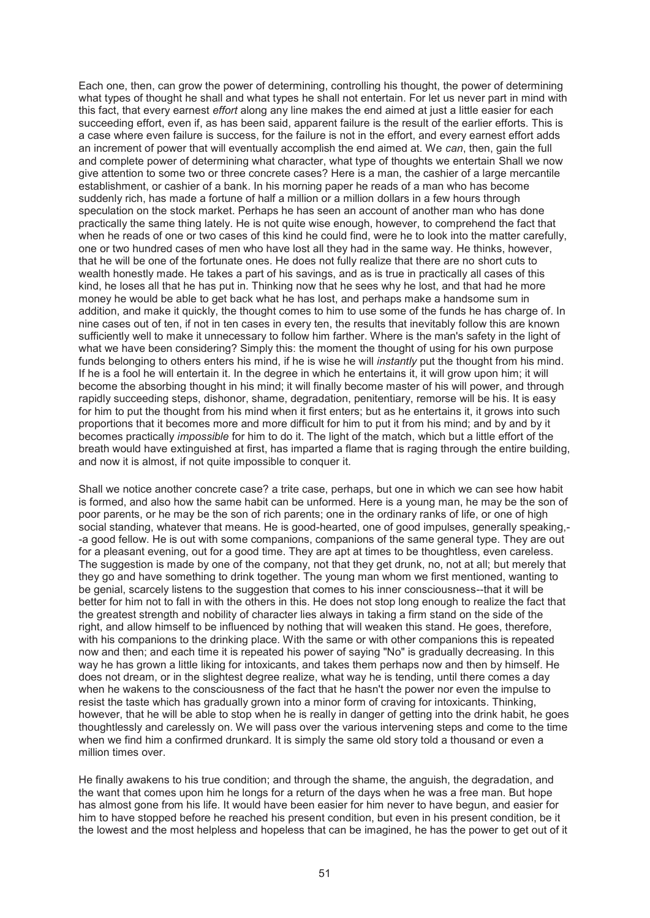Each one, then, can grow the power of determining, controlling his thought, the power of determining what types of thought he shall and what types he shall not entertain. For let us never part in mind with this fact, that every earnest *effort* along any line makes the end aimed at just a little easier for each succeeding effort, even if, as has been said, apparent failure is the result of the earlier efforts. This is a case where even failure is success, for the failure is not in the effort, and every earnest effort adds an increment of power that will eventually accomplish the end aimed at. We *can*, then, gain the full and complete power of determining what character, what type of thoughts we entertain Shall we now give attention to some two or three concrete cases? Here is a man, the cashier of a large mercantile establishment, or cashier of a bank. In his morning paper he reads of a man who has become suddenly rich, has made a fortune of half a million or a million dollars in a few hours through speculation on the stock market. Perhaps he has seen an account of another man who has done practically the same thing lately. He is not quite wise enough, however, to comprehend the fact that when he reads of one or two cases of this kind he could find, were he to look into the matter carefully, one or two hundred cases of men who have lost all they had in the same way. He thinks, however, that he will be one of the fortunate ones. He does not fully realize that there are no short cuts to wealth honestly made. He takes a part of his savings, and as is true in practically all cases of this kind, he loses all that he has put in. Thinking now that he sees why he lost, and that had he more money he would be able to get back what he has lost, and perhaps make a handsome sum in addition, and make it quickly, the thought comes to him to use some of the funds he has charge of. In nine cases out of ten, if not in ten cases in every ten, the results that inevitably follow this are known sufficiently well to make it unnecessary to follow him farther. Where is the man's safety in the light of what we have been considering? Simply this: the moment the thought of using for his own purpose funds belonging to others enters his mind, if he is wise he will *instantly* put the thought from his mind. If he is a fool he will entertain it. In the degree in which he entertains it, it will grow upon him; it will become the absorbing thought in his mind; it will finally become master of his will power, and through rapidly succeeding steps, dishonor, shame, degradation, penitentiary, remorse will be his. It is easy for him to put the thought from his mind when it first enters; but as he entertains it, it grows into such proportions that it becomes more and more difficult for him to put it from his mind; and by and by it becomes practically *impossible* for him to do it. The light of the match, which but a little effort of the breath would have extinguished at first, has imparted a flame that is raging through the entire building, and now it is almost, if not quite impossible to conquer it.

Shall we notice another concrete case? a trite case, perhaps, but one in which we can see how habit is formed, and also how the same habit can be unformed. Here is a young man, he may be the son of poor parents, or he may be the son of rich parents; one in the ordinary ranks of life, or one of high social standing, whatever that means. He is good-hearted, one of good impulses, generally speaking,- -a good fellow. He is out with some companions, companions of the same general type. They are out for a pleasant evening, out for a good time. They are apt at times to be thoughtless, even careless. The suggestion is made by one of the company, not that they get drunk, no, not at all; but merely that they go and have something to drink together. The young man whom we first mentioned, wanting to be genial, scarcely listens to the suggestion that comes to his inner consciousness--that it will be better for him not to fall in with the others in this. He does not stop long enough to realize the fact that the greatest strength and nobility of character lies always in taking a firm stand on the side of the right, and allow himself to be influenced by nothing that will weaken this stand. He goes, therefore, with his companions to the drinking place. With the same or with other companions this is repeated now and then; and each time it is repeated his power of saying "No" is gradually decreasing. In this way he has grown a little liking for intoxicants, and takes them perhaps now and then by himself. He does not dream, or in the slightest degree realize, what way he is tending, until there comes a day when he wakens to the consciousness of the fact that he hasn't the power nor even the impulse to resist the taste which has gradually grown into a minor form of craving for intoxicants. Thinking, however, that he will be able to stop when he is really in danger of getting into the drink habit, he goes thoughtlessly and carelessly on. We will pass over the various intervening steps and come to the time when we find him a confirmed drunkard. It is simply the same old story told a thousand or even a million times over.

He finally awakens to his true condition; and through the shame, the anguish, the degradation, and the want that comes upon him he longs for a return of the days when he was a free man. But hope has almost gone from his life. It would have been easier for him never to have begun, and easier for him to have stopped before he reached his present condition, but even in his present condition, be it the lowest and the most helpless and hopeless that can be imagined, he has the power to get out of it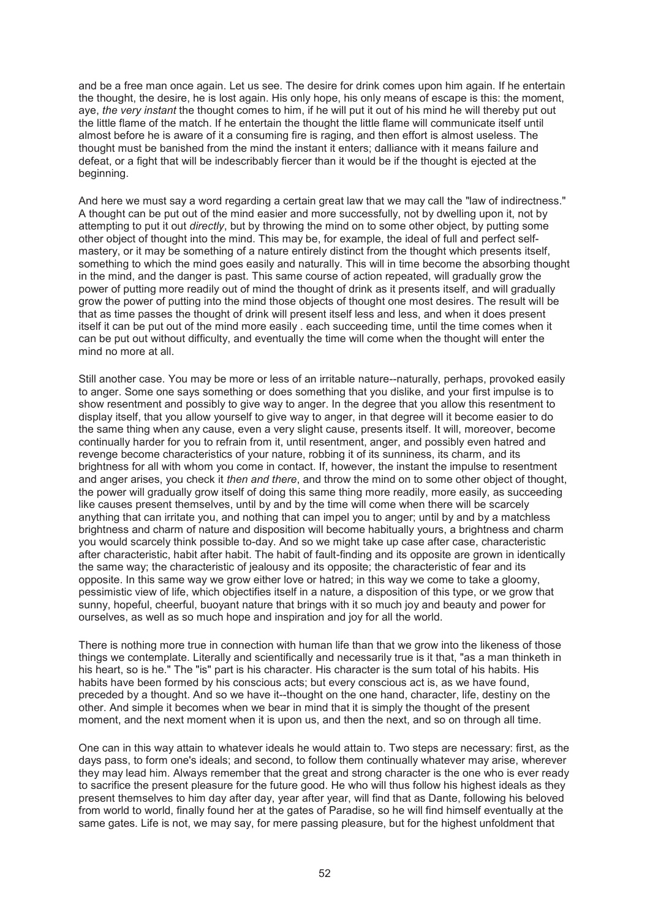and be a free man once again. Let us see. The desire for drink comes upon him again. If he entertain the thought, the desire, he is lost again. His only hope, his only means of escape is this: the moment, aye, *the very instant* the thought comes to him, if he will put it out of his mind he will thereby put out the little flame of the match. If he entertain the thought the little flame will communicate itself until almost before he is aware of it a consuming fire is raging, and then effort is almost useless. The thought must be banished from the mind the instant it enters; dalliance with it means failure and defeat, or a fight that will be indescribably fiercer than it would be if the thought is ejected at the beginning.

And here we must say a word regarding a certain great law that we may call the "law of indirectness." A thought can be put out of the mind easier and more successfully, not by dwelling upon it, not by attempting to put it out *directly*, but by throwing the mind on to some other object, by putting some other object of thought into the mind. This may be, for example, the ideal of full and perfect selfmastery, or it may be something of a nature entirely distinct from the thought which presents itself, something to which the mind goes easily and naturally. This will in time become the absorbing thought in the mind, and the danger is past. This same course of action repeated, will gradually grow the power of putting more readily out of mind the thought of drink as it presents itself, and will gradually grow the power of putting into the mind those objects of thought one most desires. The result will be that as time passes the thought of drink will present itself less and less, and when it does present itself it can be put out of the mind more easily . each succeeding time, until the time comes when it can be put out without difficulty, and eventually the time will come when the thought will enter the mind no more at all.

Still another case. You may be more or less of an irritable nature--naturally, perhaps, provoked easily to anger. Some one says something or does something that you dislike, and your first impulse is to show resentment and possibly to give way to anger. In the degree that you allow this resentment to display itself, that you allow yourself to give way to anger, in that degree will it become easier to do the same thing when any cause, even a very slight cause, presents itself. It will, moreover, become continually harder for you to refrain from it, until resentment, anger, and possibly even hatred and revenge become characteristics of your nature, robbing it of its sunniness, its charm, and its brightness for all with whom you come in contact. If, however, the instant the impulse to resentment and anger arises, you check it *then and there*, and throw the mind on to some other object of thought, the power will gradually grow itself of doing this same thing more readily, more easily, as succeeding like causes present themselves, until by and by the time will come when there will be scarcely anything that can irritate you, and nothing that can impel you to anger; until by and by a matchless brightness and charm of nature and disposition will become habitually yours, a brightness and charm you would scarcely think possible to-day. And so we might take up case after case, characteristic after characteristic, habit after habit. The habit of fault-finding and its opposite are grown in identically the same way; the characteristic of jealousy and its opposite; the characteristic of fear and its opposite. In this same way we grow either love or hatred; in this way we come to take a gloomy, pessimistic view of life, which objectifies itself in a nature, a disposition of this type, or we grow that sunny, hopeful, cheerful, buoyant nature that brings with it so much joy and beauty and power for ourselves, as well as so much hope and inspiration and joy for all the world.

There is nothing more true in connection with human life than that we grow into the likeness of those things we contemplate. Literally and scientifically and necessarily true is it that, "as a man thinketh in his heart, so is he." The "is" part is his character. His character is the sum total of his habits. His habits have been formed by his conscious acts; but every conscious act is, as we have found, preceded by a thought. And so we have it--thought on the one hand, character, life, destiny on the other. And simple it becomes when we bear in mind that it is simply the thought of the present moment, and the next moment when it is upon us, and then the next, and so on through all time.

One can in this way attain to whatever ideals he would attain to. Two steps are necessary: first, as the days pass, to form one's ideals; and second, to follow them continually whatever may arise, wherever they may lead him. Always remember that the great and strong character is the one who is ever ready to sacrifice the present pleasure for the future good. He who will thus follow his highest ideals as they present themselves to him day after day, year after year, will find that as Dante, following his beloved from world to world, finally found her at the gates of Paradise, so he will find himself eventually at the same gates. Life is not, we may say, for mere passing pleasure, but for the highest unfoldment that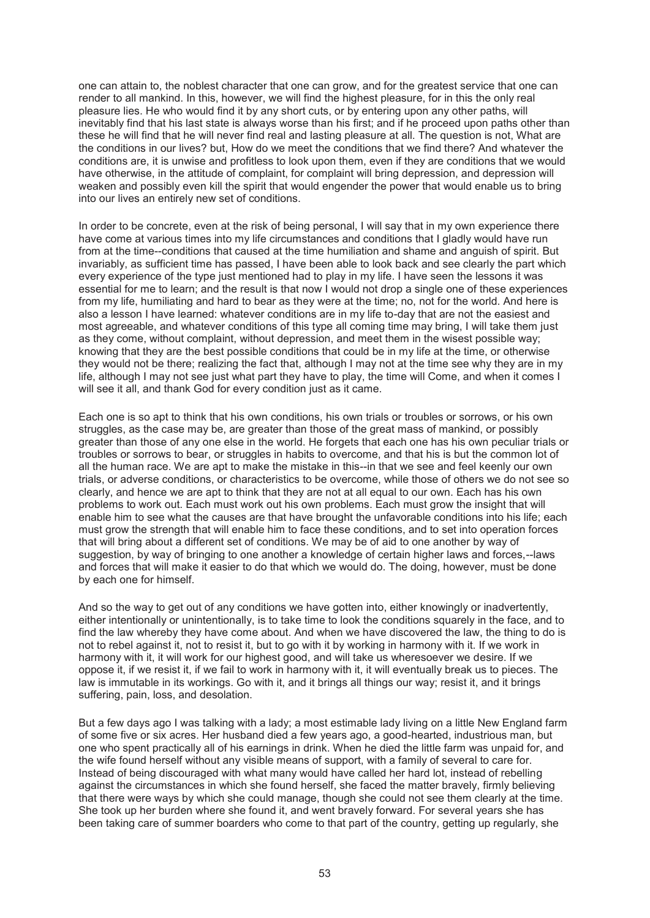one can attain to, the noblest character that one can grow, and for the greatest service that one can render to all mankind. In this, however, we will find the highest pleasure, for in this the only real pleasure lies. He who would find it by any short cuts, or by entering upon any other paths, will inevitably find that his last state is always worse than his first; and if he proceed upon paths other than these he will find that he will never find real and lasting pleasure at all. The question is not, What are the conditions in our lives? but, How do we meet the conditions that we find there? And whatever the conditions are, it is unwise and profitless to look upon them, even if they are conditions that we would have otherwise, in the attitude of complaint, for complaint will bring depression, and depression will weaken and possibly even kill the spirit that would engender the power that would enable us to bring into our lives an entirely new set of conditions.

In order to be concrete, even at the risk of being personal, I will say that in my own experience there have come at various times into my life circumstances and conditions that I gladly would have run from at the time--conditions that caused at the time humiliation and shame and anguish of spirit. But invariably, as sufficient time has passed, I have been able to look back and see clearly the part which every experience of the type just mentioned had to play in my life. I have seen the lessons it was essential for me to learn; and the result is that now I would not drop a single one of these experiences from my life, humiliating and hard to bear as they were at the time; no, not for the world. And here is also a lesson I have learned: whatever conditions are in my life to-day that are not the easiest and most agreeable, and whatever conditions of this type all coming time may bring, I will take them just as they come, without complaint, without depression, and meet them in the wisest possible way; knowing that they are the best possible conditions that could be in my life at the time, or otherwise they would not be there; realizing the fact that, although I may not at the time see why they are in my life, although I may not see just what part they have to play, the time will Come, and when it comes I will see it all, and thank God for every condition just as it came.

Each one is so apt to think that his own conditions, his own trials or troubles or sorrows, or his own struggles, as the case may be, are greater than those of the great mass of mankind, or possibly greater than those of any one else in the world. He forgets that each one has his own peculiar trials or troubles or sorrows to bear, or struggles in habits to overcome, and that his is but the common lot of all the human race. We are apt to make the mistake in this--in that we see and feel keenly our own trials, or adverse conditions, or characteristics to be overcome, while those of others we do not see so clearly, and hence we are apt to think that they are not at all equal to our own. Each has his own problems to work out. Each must work out his own problems. Each must grow the insight that will enable him to see what the causes are that have brought the unfavorable conditions into his life; each must grow the strength that will enable him to face these conditions, and to set into operation forces that will bring about a different set of conditions. We may be of aid to one another by way of suggestion, by way of bringing to one another a knowledge of certain higher laws and forces,--laws and forces that will make it easier to do that which we would do. The doing, however, must be done by each one for himself.

And so the way to get out of any conditions we have gotten into, either knowingly or inadvertently, either intentionally or unintentionally, is to take time to look the conditions squarely in the face, and to find the law whereby they have come about. And when we have discovered the law, the thing to do is not to rebel against it, not to resist it, but to go with it by working in harmony with it. If we work in harmony with it, it will work for our highest good, and will take us wheresoever we desire. If we oppose it, if we resist it, if we fail to work in harmony with it, it will eventually break us to pieces. The law is immutable in its workings. Go with it, and it brings all things our way; resist it, and it brings suffering, pain, loss, and desolation.

But a few days ago I was talking with a lady; a most estimable lady living on a little New England farm of some five or six acres. Her husband died a few years ago, a good-hearted, industrious man, but one who spent practically all of his earnings in drink. When he died the little farm was unpaid for, and the wife found herself without any visible means of support, with a family of several to care for. Instead of being discouraged with what many would have called her hard lot, instead of rebelling against the circumstances in which she found herself, she faced the matter bravely, firmly believing that there were ways by which she could manage, though she could not see them clearly at the time. She took up her burden where she found it, and went bravely forward. For several years she has been taking care of summer boarders who come to that part of the country, getting up regularly, she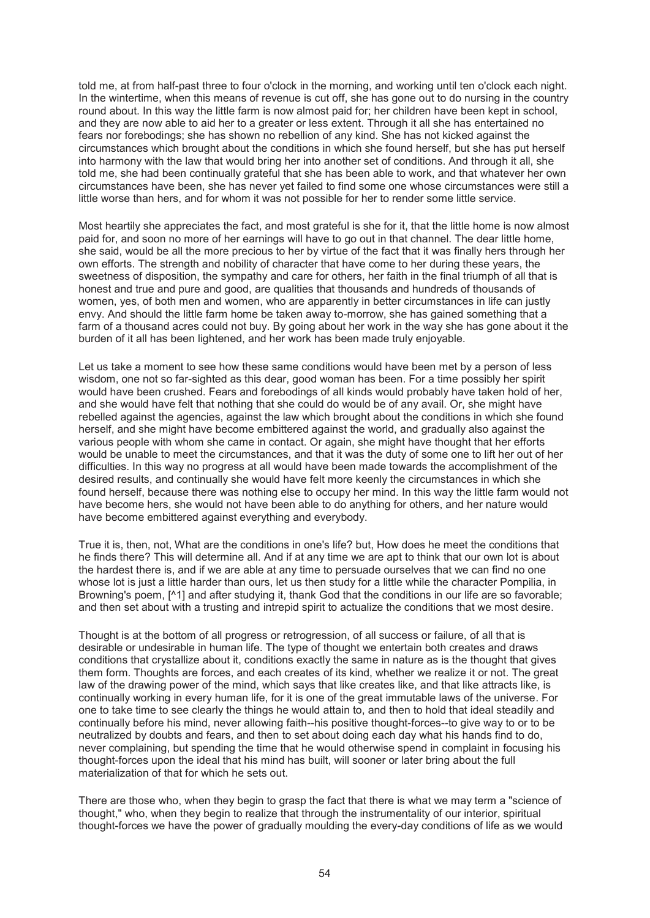told me, at from half-past three to four o'clock in the morning, and working until ten o'clock each night. In the wintertime, when this means of revenue is cut off, she has gone out to do nursing in the country round about. In this way the little farm is now almost paid for; her children have been kept in school, and they are now able to aid her to a greater or less extent. Through it all she has entertained no fears nor forebodings; she has shown no rebellion of any kind. She has not kicked against the circumstances which brought about the conditions in which she found herself, but she has put herself into harmony with the law that would bring her into another set of conditions. And through it all, she told me, she had been continually grateful that she has been able to work, and that whatever her own circumstances have been, she has never yet failed to find some one whose circumstances were still a little worse than hers, and for whom it was not possible for her to render some little service.

Most heartily she appreciates the fact, and most grateful is she for it, that the little home is now almost paid for, and soon no more of her earnings will have to go out in that channel. The dear little home, she said, would be all the more precious to her by virtue of the fact that it was finally hers through her own efforts. The strength and nobility of character that have come to her during these years, the sweetness of disposition, the sympathy and care for others, her faith in the final triumph of all that is honest and true and pure and good, are qualities that thousands and hundreds of thousands of women, yes, of both men and women, who are apparently in better circumstances in life can justly envy. And should the little farm home be taken away to-morrow, she has gained something that a farm of a thousand acres could not buy. By going about her work in the way she has gone about it the burden of it all has been lightened, and her work has been made truly enjoyable.

Let us take a moment to see how these same conditions would have been met by a person of less wisdom, one not so far-sighted as this dear, good woman has been. For a time possibly her spirit would have been crushed. Fears and forebodings of all kinds would probably have taken hold of her, and she would have felt that nothing that she could do would be of any avail. Or, she might have rebelled against the agencies, against the law which brought about the conditions in which she found herself, and she might have become embittered against the world, and gradually also against the various people with whom she came in contact. Or again, she might have thought that her efforts would be unable to meet the circumstances, and that it was the duty of some one to lift her out of her difficulties. In this way no progress at all would have been made towards the accomplishment of the desired results, and continually she would have felt more keenly the circumstances in which she found herself, because there was nothing else to occupy her mind. In this way the little farm would not have become hers, she would not have been able to do anything for others, and her nature would have become embittered against everything and everybody.

True it is, then, not, What are the conditions in one's life? but, How does he meet the conditions that he finds there? This will determine all. And if at any time we are apt to think that our own lot is about the hardest there is, and if we are able at any time to persuade ourselves that we can find no one whose lot is just a little harder than ours, let us then study for a little while the character Pompilia, in Browning's poem, [^1] and after studying it, thank God that the conditions in our life are so favorable; and then set about with a trusting and intrepid spirit to actualize the conditions that we most desire.

Thought is at the bottom of all progress or retrogression, of all success or failure, of all that is desirable or undesirable in human life. The type of thought we entertain both creates and draws conditions that crystallize about it, conditions exactly the same in nature as is the thought that gives them form. Thoughts are forces, and each creates of its kind, whether we realize it or not. The great law of the drawing power of the mind, which says that like creates like, and that like attracts like, is continually working in every human life, for it is one of the great immutable laws of the universe. For one to take time to see clearly the things he would attain to, and then to hold that ideal steadily and continually before his mind, never allowing faith--his positive thought-forces--to give way to or to be neutralized by doubts and fears, and then to set about doing each day what his hands find to do, never complaining, but spending the time that he would otherwise spend in complaint in focusing his thought-forces upon the ideal that his mind has built, will sooner or later bring about the full materialization of that for which he sets out.

There are those who, when they begin to grasp the fact that there is what we may term a "science of thought," who, when they begin to realize that through the instrumentality of our interior, spiritual thought-forces we have the power of gradually moulding the every-day conditions of life as we would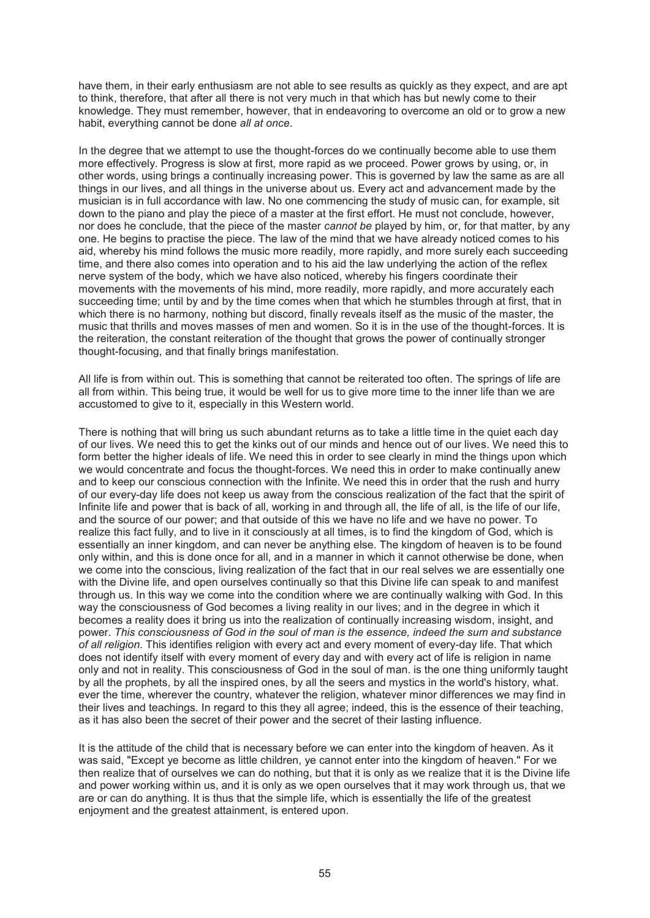have them, in their early enthusiasm are not able to see results as quickly as they expect, and are apt to think, therefore, that after all there is not very much in that which has but newly come to their knowledge. They must remember, however, that in endeavoring to overcome an old or to grow a new habit, everything cannot be done *all at once*.

In the degree that we attempt to use the thought-forces do we continually become able to use them more effectively. Progress is slow at first, more rapid as we proceed. Power grows by using, or, in other words, using brings a continually increasing power. This is governed by law the same as are all things in our lives, and all things in the universe about us. Every act and advancement made by the musician is in full accordance with law. No one commencing the study of music can, for example, sit down to the piano and play the piece of a master at the first effort. He must not conclude, however, nor does he conclude, that the piece of the master *cannot be* played by him, or, for that matter, by any one. He begins to practise the piece. The law of the mind that we have already noticed comes to his aid, whereby his mind follows the music more readily, more rapidly, and more surely each succeeding time, and there also comes into operation and to his aid the law underlying the action of the reflex nerve system of the body, which we have also noticed, whereby his fingers coordinate their movements with the movements of his mind, more readily, more rapidly, and more accurately each succeeding time; until by and by the time comes when that which he stumbles through at first, that in which there is no harmony, nothing but discord, finally reveals itself as the music of the master, the music that thrills and moves masses of men and women. So it is in the use of the thought-forces. It is the reiteration, the constant reiteration of the thought that grows the power of continually stronger thought-focusing, and that finally brings manifestation.

All life is from within out. This is something that cannot be reiterated too often. The springs of life are all from within. This being true, it would be well for us to give more time to the inner life than we are accustomed to give to it, especially in this Western world.

There is nothing that will bring us such abundant returns as to take a little time in the quiet each day of our lives. We need this to get the kinks out of our minds and hence out of our lives. We need this to form better the higher ideals of life. We need this in order to see clearly in mind the things upon which we would concentrate and focus the thought-forces. We need this in order to make continually anew and to keep our conscious connection with the Infinite. We need this in order that the rush and hurry of our every-day life does not keep us away from the conscious realization of the fact that the spirit of Infinite life and power that is back of all, working in and through all, the life of all, is the life of our life, and the source of our power; and that outside of this we have no life and we have no power. To realize this fact fully, and to live in it consciously at all times, is to find the kingdom of God, which is essentially an inner kingdom, and can never be anything else. The kingdom of heaven is to be found only within, and this is done once for all, and in a manner in which it cannot otherwise be done, when we come into the conscious, living realization of the fact that in our real selves we are essentially one with the Divine life, and open ourselves continually so that this Divine life can speak to and manifest through us. In this way we come into the condition where we are continually walking with God. In this way the consciousness of God becomes a living reality in our lives; and in the degree in which it becomes a reality does it bring us into the realization of continually increasing wisdom, insight, and power. *This consciousness of God in the soul of man is the essence, indeed the sum and substance of all religion*. This identifies religion with every act and every moment of every-day life. That which does not identify itself with every moment of every day and with every act of life is religion in name only and not in reality. This consciousness of God in the soul of man. is the one thing uniformly taught by all the prophets, by all the inspired ones, by all the seers and mystics in the world's history, what. ever the time, wherever the country, whatever the religion, whatever minor differences we may find in their lives and teachings. In regard to this they all agree; indeed, this is the essence of their teaching, as it has also been the secret of their power and the secret of their lasting influence.

It is the attitude of the child that is necessary before we can enter into the kingdom of heaven. As it was said, "Except ye become as little children, ye cannot enter into the kingdom of heaven." For we then realize that of ourselves we can do nothing, but that it is only as we realize that it is the Divine life and power working within us, and it is only as we open ourselves that it may work through us, that we are or can do anything. It is thus that the simple life, which is essentially the life of the greatest enjoyment and the greatest attainment, is entered upon.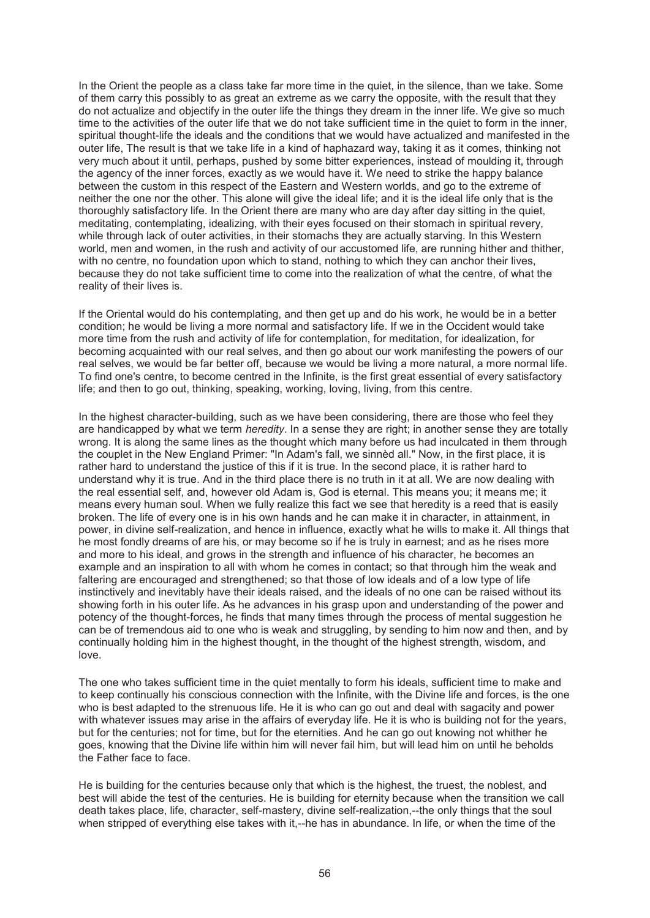In the Orient the people as a class take far more time in the quiet, in the silence, than we take. Some of them carry this possibly to as great an extreme as we carry the opposite, with the result that they do not actualize and objectify in the outer life the things they dream in the inner life. We give so much time to the activities of the outer life that we do not take sufficient time in the quiet to form in the inner, spiritual thought-life the ideals and the conditions that we would have actualized and manifested in the outer life, The result is that we take life in a kind of haphazard way, taking it as it comes, thinking not very much about it until, perhaps, pushed by some bitter experiences, instead of moulding it, through the agency of the inner forces, exactly as we would have it. We need to strike the happy balance between the custom in this respect of the Eastern and Western worlds, and go to the extreme of neither the one nor the other. This alone will give the ideal life; and it is the ideal life only that is the thoroughly satisfactory life. In the Orient there are many who are day after day sitting in the quiet, meditating, contemplating, idealizing, with their eyes focused on their stomach in spiritual revery, while through lack of outer activities, in their stomachs they are actually starving. In this Western world, men and women, in the rush and activity of our accustomed life, are running hither and thither, with no centre, no foundation upon which to stand, nothing to which they can anchor their lives, because they do not take sufficient time to come into the realization of what the centre, of what the reality of their lives is.

If the Oriental would do his contemplating, and then get up and do his work, he would be in a better condition; he would be living a more normal and satisfactory life. If we in the Occident would take more time from the rush and activity of life for contemplation, for meditation, for idealization, for becoming acquainted with our real selves, and then go about our work manifesting the powers of our real selves, we would be far better off, because we would be living a more natural, a more normal life. To find one's centre, to become centred in the Infinite, is the first great essential of every satisfactory life; and then to go out, thinking, speaking, working, loving, living, from this centre.

In the highest character-building, such as we have been considering, there are those who feel they are handicapped by what we term *heredity*. In a sense they are right; in another sense they are totally wrong. It is along the same lines as the thought which many before us had inculcated in them through the couplet in the New England Primer: "In Adam's fall, we sinnèd all." Now, in the first place, it is rather hard to understand the justice of this if it is true. In the second place, it is rather hard to understand why it is true. And in the third place there is no truth in it at all. We are now dealing with the real essential self, and, however old Adam is, God is eternal. This means you; it means me; it means every human soul. When we fully realize this fact we see that heredity is a reed that is easily broken. The life of every one is in his own hands and he can make it in character, in attainment, in power, in divine self-realization, and hence in influence, exactly what he wills to make it. All things that he most fondly dreams of are his, or may become so if he is truly in earnest; and as he rises more and more to his ideal, and grows in the strength and influence of his character, he becomes an example and an inspiration to all with whom he comes in contact; so that through him the weak and faltering are encouraged and strengthened; so that those of low ideals and of a low type of life instinctively and inevitably have their ideals raised, and the ideals of no one can be raised without its showing forth in his outer life. As he advances in his grasp upon and understanding of the power and potency of the thought-forces, he finds that many times through the process of mental suggestion he can be of tremendous aid to one who is weak and struggling, by sending to him now and then, and by continually holding him in the highest thought, in the thought of the highest strength, wisdom, and love.

The one who takes sufficient time in the quiet mentally to form his ideals, sufficient time to make and to keep continually his conscious connection with the Infinite, with the Divine life and forces, is the one who is best adapted to the strenuous life. He it is who can go out and deal with sagacity and power with whatever issues may arise in the affairs of everyday life. He it is who is building not for the years, but for the centuries; not for time, but for the eternities. And he can go out knowing not whither he goes, knowing that the Divine life within him will never fail him, but will lead him on until he beholds the Father face to face.

He is building for the centuries because only that which is the highest, the truest, the noblest, and best will abide the test of the centuries. He is building for eternity because when the transition we call death takes place, life, character, self-mastery, divine self-realization,--the only things that the soul when stripped of everything else takes with it,--he has in abundance. In life, or when the time of the